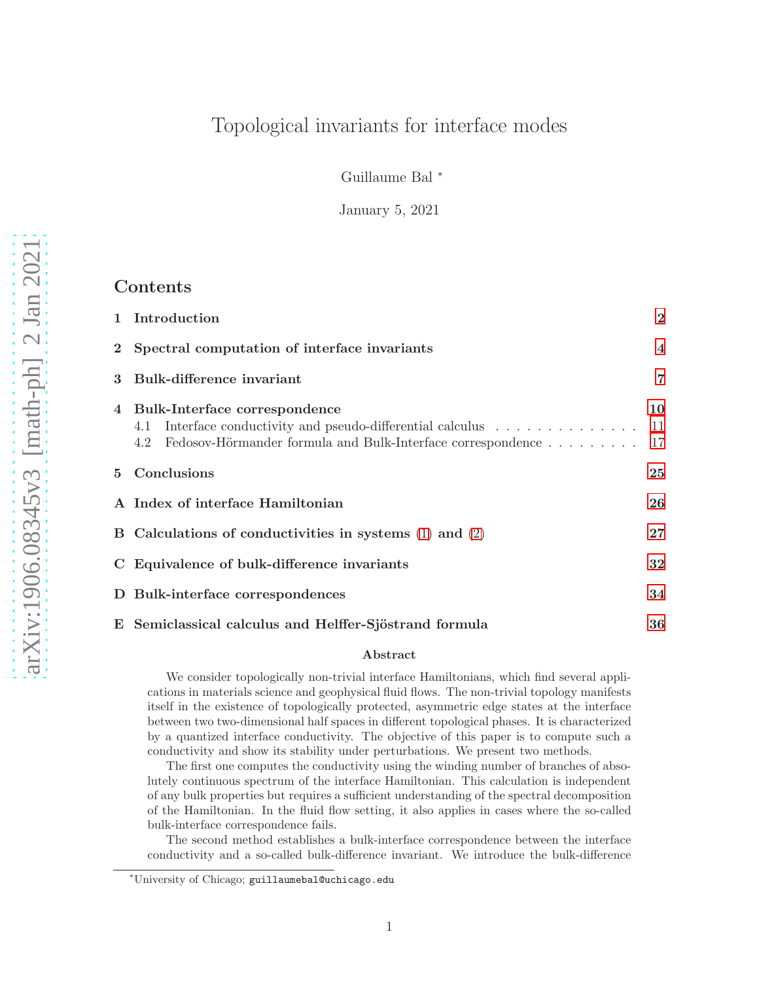# Topological invariants for interface modes

Guillaume Bal <sup>∗</sup>

January 5, 2021

# Contents

| $\mathbf{1}$   | Introduction                                                                                                                                                          | $\mathbf{2}$   |
|----------------|-----------------------------------------------------------------------------------------------------------------------------------------------------------------------|----------------|
| $2^{\circ}$    | Spectral computation of interface invariants                                                                                                                          | $\overline{4}$ |
| 3              | <b>Bulk-difference invariant</b>                                                                                                                                      | 7              |
| $\overline{4}$ | Bulk-Interface correspondence<br>Interface conductivity and pseudo-differential calculus<br>4.1<br>Fedosov-Hörmander formula and Bulk-Interface correspondence<br>4.2 | 10<br>11<br>17 |
| 5.             | Conclusions                                                                                                                                                           | 25             |
|                | A Index of interface Hamiltonian                                                                                                                                      | 26             |
|                | B Calculations of conductivities in systems $(1)$ and $(2)$                                                                                                           | 27             |
|                | C Equivalence of bulk-difference invariants                                                                                                                           | 32             |
| D              | Bulk-interface correspondences                                                                                                                                        | 34             |
|                | E Semiclassical calculus and Helffer-Sjöstrand formula                                                                                                                | 36             |

#### Abstract

We consider topologically non-trivial interface Hamiltonians, which find several applications in materials science and geophysical fluid flows. The non-trivial topology manifests itself in the existence of topologically protected, asymmetric edge states at the interface between two two-dimensional half spaces in different topological phases. It is characterized by a quantized interface conductivity. The objective of this paper is to compute such a conductivity and show its stability under perturbations. We present two methods.

The first one computes the conductivity using the winding number of branches of absolutely continuous spectrum of the interface Hamiltonian. This calculation is independent of any bulk properties but requires a sufficient understanding of the spectral decomposition of the Hamiltonian. In the fluid flow setting, it also applies in cases where the so-called bulk-interface correspondence fails.

The second method establishes a bulk-interface correspondence between the interface conductivity and a so-called bulk-difference invariant. We introduce the bulk-difference

<sup>∗</sup>University of Chicago; guillaumebal@uchicago.edu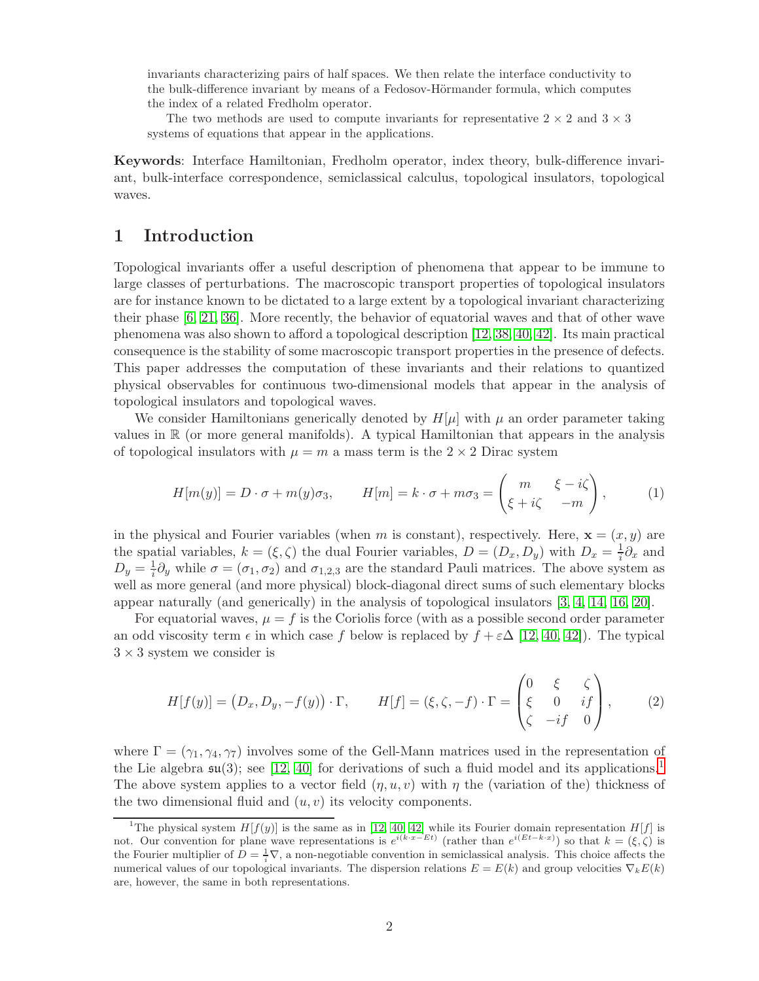invariants characterizing pairs of half spaces. We then relate the interface conductivity to the bulk-difference invariant by means of a Fedosov-Hörmander formula, which computes the index of a related Fredholm operator.

The two methods are used to compute invariants for representative  $2 \times 2$  and  $3 \times 3$ systems of equations that appear in the applications.

Keywords: Interface Hamiltonian, Fredholm operator, index theory, bulk-difference invariant, bulk-interface correspondence, semiclassical calculus, topological insulators, topological waves.

#### <span id="page-1-0"></span>1 Introduction

Topological invariants offer a useful description of phenomena that appear to be immune to large classes of perturbations. The macroscopic transport properties of topological insulators are for instance known to be dictated to a large extent by a topological invariant characterizing their phase [\[6,](#page-36-0) [21,](#page-37-0) [36\]](#page-38-0). More recently, the behavior of equatorial waves and that of other wave phenomena was also shown to afford a topological description [\[12,](#page-37-1) [38,](#page-38-1) [40,](#page-38-2) [42\]](#page-38-3). Its main practical consequence is the stability of some macroscopic transport properties in the presence of defects. This paper addresses the computation of these invariants and their relations to quantized physical observables for continuous two-dimensional models that appear in the analysis of topological insulators and topological waves.

We consider Hamiltonians generically denoted by  $H[\mu]$  with  $\mu$  an order parameter taking values in R (or more general manifolds). A typical Hamiltonian that appears in the analysis of topological insulators with  $\mu = m$  a mass term is the  $2 \times 2$  Dirac system

<span id="page-1-1"></span>
$$
H[m(y)] = D \cdot \sigma + m(y)\sigma_3, \qquad H[m] = k \cdot \sigma + m\sigma_3 = \begin{pmatrix} m & \xi - i\zeta \\ \xi + i\zeta & -m \end{pmatrix}, \tag{1}
$$

in the physical and Fourier variables (when m is constant), respectively. Here,  $\mathbf{x} = (x, y)$  are the spatial variables,  $k = (\xi, \zeta)$  the dual Fourier variables,  $D = (D_x, D_y)$  with  $D_x = \frac{1}{i} \partial_x$  and  $D_y = \frac{1}{i} \partial_y$  while  $\sigma = (\sigma_1, \sigma_2)$  and  $\sigma_{1,2,3}$  are the standard Pauli matrices. The above system as well as more general (and more physical) block-diagonal direct sums of such elementary blocks appear naturally (and generically) in the analysis of topological insulators [\[3,](#page-36-1) [4,](#page-36-2) [14,](#page-37-2) [16,](#page-37-3) [20\]](#page-37-4).

For equatorial waves,  $\mu = f$  is the Coriolis force (with as a possible second order parameter an odd viscosity term  $\epsilon$  in which case f below is replaced by  $f + \epsilon \Delta$  [\[12,](#page-37-1) [40,](#page-38-2) [42\]](#page-38-3)). The typical  $3 \times 3$  system we consider is

<span id="page-1-2"></span>
$$
H[f(y)] = (D_x, D_y, -f(y)) \cdot \Gamma, \qquad H[f] = (\xi, \zeta, -f) \cdot \Gamma = \begin{pmatrix} 0 & \xi & \zeta \\ \xi & 0 & if \\ \zeta & -if & 0 \end{pmatrix}, \qquad (2)
$$

where  $\Gamma = (\gamma_1, \gamma_4, \gamma_7)$  involves some of the Gell-Mann matrices used in the representation of the Lie algebra  $\mathfrak{su}(3)$ ; see [\[12,](#page-37-1) [40\]](#page-38-2) for derivations of such a fluid model and its applications.<sup>[1](#page-1-3)</sup> The above system applies to a vector field  $(\eta, u, v)$  with  $\eta$  the (variation of the) thickness of the two dimensional fluid and  $(u, v)$  its velocity components.

<span id="page-1-3"></span><sup>&</sup>lt;sup>1</sup>The physical system  $H[f(y)]$  is the same as in [\[12,](#page-37-1) [40,](#page-38-2) [42\]](#page-38-3) while its Fourier domain representation  $H[f]$  is not. Our convention for plane wave representations is  $e^{i(k \cdot x - E t)}$  (rather than  $e^{i(E t - k \cdot x)}$ ) so that  $k = (\xi, \zeta)$  is the Fourier multiplier of  $D = \frac{1}{i} \nabla$ , a non-negotiable convention in semiclassical analysis. This choice affects the numerical values of our topological invariants. The dispersion relations  $E = E(k)$  and group velocities  $\nabla_k E(k)$ are, however, the same in both representations.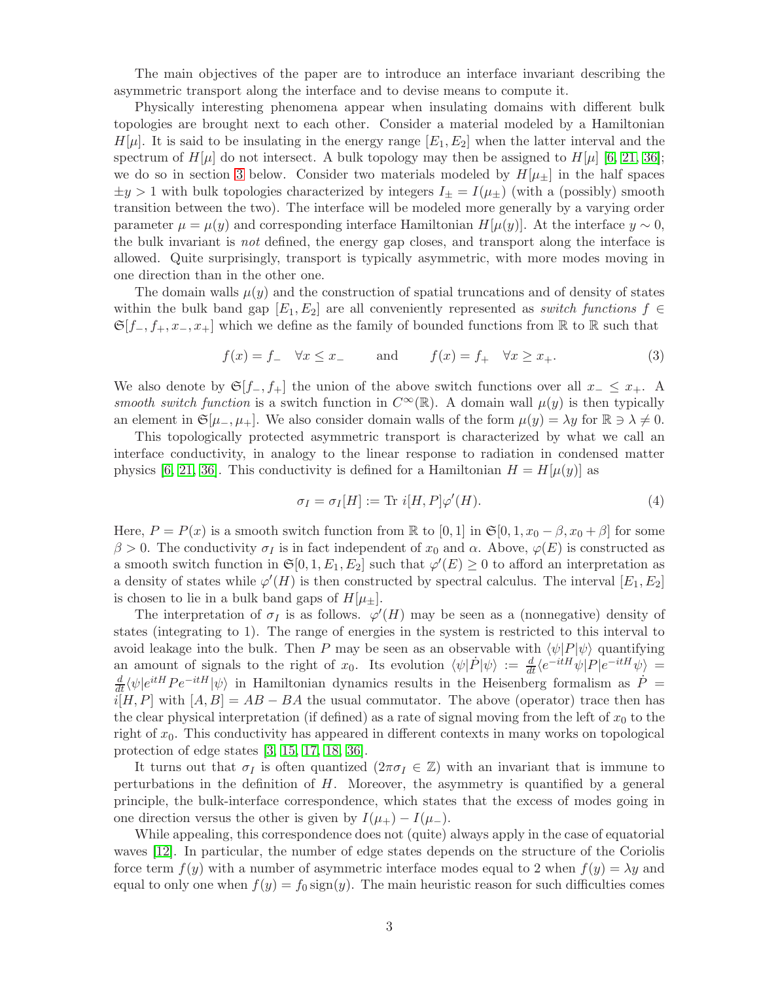The main objectives of the paper are to introduce an interface invariant describing the asymmetric transport along the interface and to devise means to compute it.

Physically interesting phenomena appear when insulating domains with different bulk topologies are brought next to each other. Consider a material modeled by a Hamiltonian  $H[\mu]$ . It is said to be insulating in the energy range  $[E_1, E_2]$  when the latter interval and the spectrum of  $H[\mu]$  do not intersect. A bulk topology may then be assigned to  $H[\mu]$  [\[6,](#page-36-0) [21,](#page-37-0) [36\]](#page-38-0); we do so in section [3](#page-6-0) below. Consider two materials modeled by  $H[\mu_{\pm}]$  in the half spaces  $\pm y > 1$  with bulk topologies characterized by integers  $I_{\pm} = I(\mu_{\pm})$  (with a (possibly) smooth transition between the two). The interface will be modeled more generally by a varying order parameter  $\mu = \mu(y)$  and corresponding interface Hamiltonian  $H[\mu(y)]$ . At the interface  $y \sim 0$ , the bulk invariant is not defined, the energy gap closes, and transport along the interface is allowed. Quite surprisingly, transport is typically asymmetric, with more modes moving in one direction than in the other one.

The domain walls  $\mu(y)$  and the construction of spatial truncations and of density of states within the bulk band gap  $[E_1, E_2]$  are all conveniently represented as switch functions  $f \in$  $\mathfrak{S}[f_-, f_+, x_-, x_+]$  which we define as the family of bounded functions from R to R such that

$$
f(x) = f_-\quad \forall x \le x_-\quad \text{and} \quad f(x) = f_+\quad \forall x \ge x_+\tag{3}
$$

We also denote by  $\mathfrak{S}[f_-, f_+]$  the union of the above switch functions over all  $x_-\leq x_+$ . A smooth switch function is a switch function in  $C^{\infty}(\mathbb{R})$ . A domain wall  $\mu(y)$  is then typically an element in  $\mathfrak{S}[\mu_-, \mu_+]$ . We also consider domain walls of the form  $\mu(y) = \lambda y$  for  $\mathbb{R} \ni \lambda \neq 0$ .

This topologically protected asymmetric transport is characterized by what we call an interface conductivity, in analogy to the linear response to radiation in condensed matter physics [\[6,](#page-36-0) [21,](#page-37-0) [36\]](#page-38-0). This conductivity is defined for a Hamiltonian  $H = H[\mu(y)]$  as

<span id="page-2-0"></span>
$$
\sigma_I = \sigma_I[H] := \text{Tr } i[H, P]\varphi'(H). \tag{4}
$$

Here,  $P = P(x)$  is a smooth switch function from R to [0, 1] in  $\mathfrak{S}[0, 1, x_0 - \beta, x_0 + \beta]$  for some  $β > 0$ . The conductivity  $σ_I$  is in fact independent of  $x_0$  and  $α$ . Above,  $φ(E)$  is constructed as a smooth switch function in  $\mathfrak{S}[0,1,E_1,E_2]$  such that  $\varphi'(E) \geq 0$  to afford an interpretation as a density of states while  $\varphi'(H)$  is then constructed by spectral calculus. The interval  $[E_1, E_2]$ is chosen to lie in a bulk band gaps of  $H[\mu_{\pm}]$ .

The interpretation of  $\sigma_I$  is as follows.  $\varphi'(H)$  may be seen as a (nonnegative) density of states (integrating to 1). The range of energies in the system is restricted to this interval to avoid leakage into the bulk. Then P may be seen as an observable with  $\langle \psi | P | \psi \rangle$  quantifying an amount of signals to the right of  $x_0$ . Its evolution  $\langle \psi | \dot{P} | \psi \rangle := \frac{d}{dt} \langle e^{-itH} \psi | P | e^{-itH} \psi \rangle =$  $\frac{d}{dt}\langle\psi|e^{itH}Pe^{-itH}|\psi\rangle$  in Hamiltonian dynamics results in the Heisenberg formalism as  $\dot{P}$  =  $i[H, P]$  with  $[A, B] = AB - BA$  the usual commutator. The above (operator) trace then has the clear physical interpretation (if defined) as a rate of signal moving from the left of  $x_0$  to the right of  $x_0$ . This conductivity has appeared in different contexts in many works on topological protection of edge states [\[3,](#page-36-1) [15,](#page-37-5) [17,](#page-37-6) [18,](#page-37-7) [36\]](#page-38-0).

It turns out that  $\sigma_I$  is often quantized  $(2\pi\sigma_I \in \mathbb{Z})$  with an invariant that is immune to perturbations in the definition of  $H$ . Moreover, the asymmetry is quantified by a general principle, the bulk-interface correspondence, which states that the excess of modes going in one direction versus the other is given by  $I(\mu_{+}) - I(\mu_{-})$ .

While appealing, this correspondence does not (quite) always apply in the case of equatorial waves [\[12\]](#page-37-1). In particular, the number of edge states depends on the structure of the Coriolis force term  $f(y)$  with a number of asymmetric interface modes equal to 2 when  $f(y) = \lambda y$  and equal to only one when  $f(y) = f_0 \text{sign}(y)$ . The main heuristic reason for such difficulties comes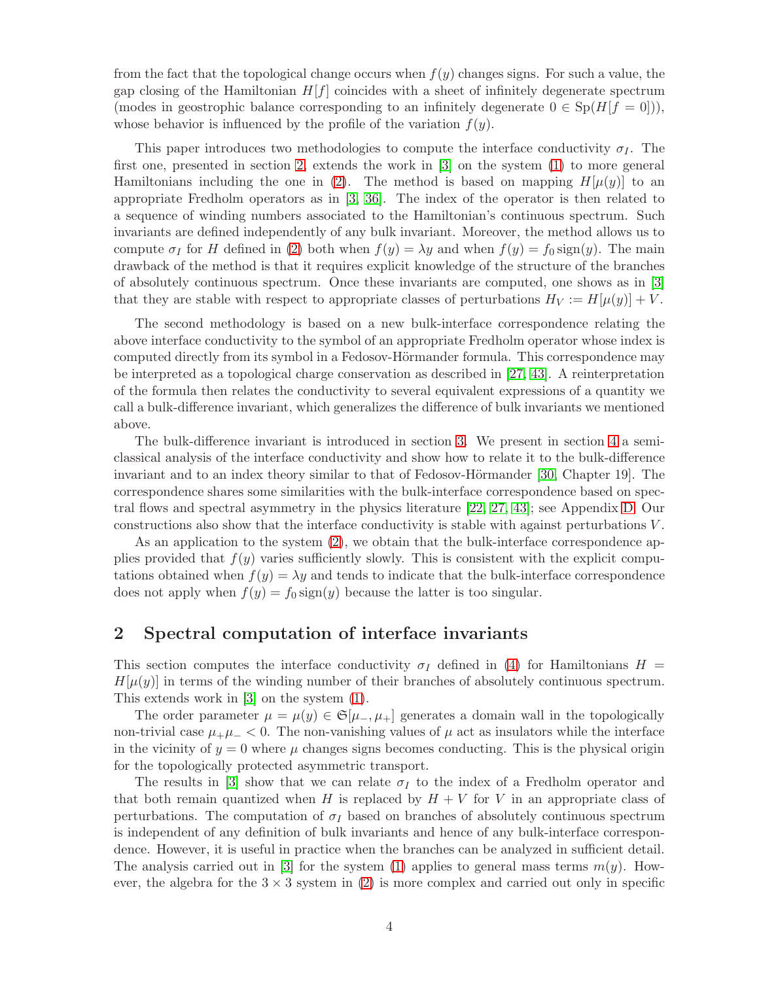from the fact that the topological change occurs when  $f(y)$  changes signs. For such a value, the gap closing of the Hamiltonian  $H[f]$  coincides with a sheet of infinitely degenerate spectrum (modes in geostrophic balance corresponding to an infinitely degenerate  $0 \in Sp(H[f=0]))$ , whose behavior is influenced by the profile of the variation  $f(y)$ .

This paper introduces two methodologies to compute the interface conductivity  $\sigma_I$ . The first one, presented in section [2,](#page-3-0) extends the work in [\[3\]](#page-36-1) on the system [\(1\)](#page-1-1) to more general Hamiltonians including the one in [\(2\)](#page-1-2). The method is based on mapping  $H[\mu(y)]$  to an appropriate Fredholm operators as in [\[3,](#page-36-1) [36\]](#page-38-0). The index of the operator is then related to a sequence of winding numbers associated to the Hamiltonian's continuous spectrum. Such invariants are defined independently of any bulk invariant. Moreover, the method allows us to compute  $\sigma_I$  for H defined in [\(2\)](#page-1-2) both when  $f(y) = \lambda y$  and when  $f(y) = f_0 \text{sign}(y)$ . The main drawback of the method is that it requires explicit knowledge of the structure of the branches of absolutely continuous spectrum. Once these invariants are computed, one shows as in [\[3\]](#page-36-1) that they are stable with respect to appropriate classes of perturbations  $H_V := H[\mu(y)] + V$ .

The second methodology is based on a new bulk-interface correspondence relating the above interface conductivity to the symbol of an appropriate Fredholm operator whose index is computed directly from its symbol in a Fedosov-Hörmander formula. This correspondence may be interpreted as a topological charge conservation as described in [\[27,](#page-38-4) [43\]](#page-38-5). A reinterpretation of the formula then relates the conductivity to several equivalent expressions of a quantity we call a bulk-difference invariant, which generalizes the difference of bulk invariants we mentioned above.

The bulk-difference invariant is introduced in section [3.](#page-6-0) We present in section [4](#page-9-0) a semiclassical analysis of the interface conductivity and show how to relate it to the bulk-difference invariant and to an index theory similar to that of Fedosov-Hörmander [\[30,](#page-38-6) Chapter 19]. The correspondence shares some similarities with the bulk-interface correspondence based on spectral flows and spectral asymmetry in the physics literature [\[22,](#page-37-8) [27,](#page-38-4) [43\]](#page-38-5); see Appendix [D.](#page-33-0) Our constructions also show that the interface conductivity is stable with against perturbations V .

As an application to the system [\(2\)](#page-1-2), we obtain that the bulk-interface correspondence applies provided that  $f(y)$  varies sufficiently slowly. This is consistent with the explicit computations obtained when  $f(y) = \lambda y$  and tends to indicate that the bulk-interface correspondence does not apply when  $f(y) = f_0 \text{sign}(y)$  because the latter is too singular.

## <span id="page-3-0"></span>2 Spectral computation of interface invariants

This section computes the interface conductivity  $\sigma_I$  defined in [\(4\)](#page-2-0) for Hamiltonians  $H =$  $H[\mu(y)]$  in terms of the winding number of their branches of absolutely continuous spectrum. This extends work in [\[3\]](#page-36-1) on the system [\(1\)](#page-1-1).

The order parameter  $\mu = \mu(y) \in \mathfrak{S}[\mu_-, \mu_+]$  generates a domain wall in the topologically non-trivial case  $\mu_+\mu_- < 0$ . The non-vanishing values of  $\mu$  act as insulators while the interface in the vicinity of  $y = 0$  where  $\mu$  changes signs becomes conducting. This is the physical origin for the topologically protected asymmetric transport.

The results in [\[3\]](#page-36-1) show that we can relate  $\sigma_I$  to the index of a Fredholm operator and that both remain quantized when H is replaced by  $H + V$  for V in an appropriate class of perturbations. The computation of  $\sigma_I$  based on branches of absolutely continuous spectrum is independent of any definition of bulk invariants and hence of any bulk-interface correspondence. However, it is useful in practice when the branches can be analyzed in sufficient detail. The analysis carried out in [\[3\]](#page-36-1) for the system [\(1\)](#page-1-1) applies to general mass terms  $m(y)$ . However, the algebra for the  $3 \times 3$  system in [\(2\)](#page-1-2) is more complex and carried out only in specific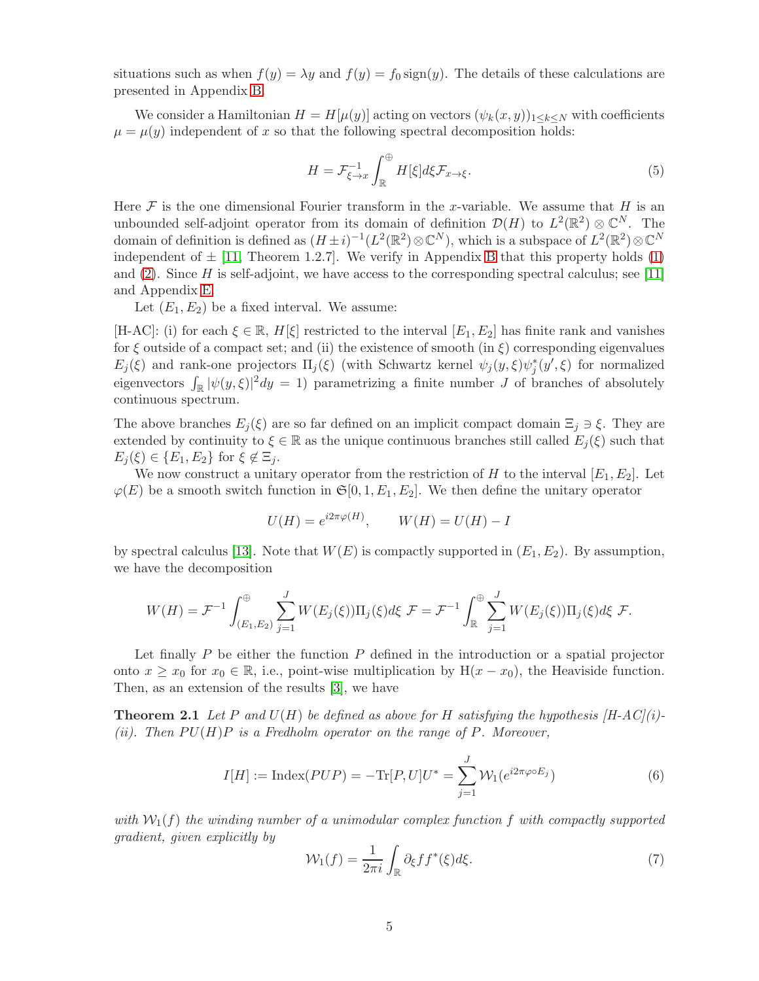situations such as when  $f(y) = \lambda y$  and  $f(y) = f_0 \text{sign}(y)$ . The details of these calculations are presented in Appendix [B.](#page-26-0)

We consider a Hamiltonian  $H = H[\mu(y)]$  acting on vectors  $(\psi_k(x, y))_{1 \leq k \leq N}$  with coefficients  $\mu = \mu(y)$  independent of x so that the following spectral decomposition holds:

<span id="page-4-1"></span>
$$
H = \mathcal{F}_{\xi \to x}^{-1} \int_{\mathbb{R}}^{\oplus} H[\xi] d\xi \mathcal{F}_{x \to \xi}.
$$
 (5)

Here  $\mathcal F$  is the one dimensional Fourier transform in the x-variable. We assume that H is an unbounded self-adjoint operator from its domain of definition  $\mathcal{D}(H)$  to  $L^2(\mathbb{R}^2) \otimes \mathbb{C}^N$ . The domain of definition is defined as  $(H \pm i)^{-1}(L^2(\mathbb{R}^2) \otimes \mathbb{C}^N)$ , which is a subspace of  $L^2(\mathbb{R}^2) \otimes \mathbb{C}^N$ independent of  $\pm$  [\[11,](#page-37-9) Theorem 1.2.7]. We verify in Appendix [B](#page-26-0) that this property holds [\(1\)](#page-1-1) and [\(2\)](#page-1-2). Since H is self-adjoint, we have access to the corresponding spectral calculus; see [\[11\]](#page-37-9) and Appendix [E.](#page-35-0)

Let  $(E_1, E_2)$  be a fixed interval. We assume:

[H-AC]: (i) for each  $\xi \in \mathbb{R}$ ,  $H[\xi]$  restricted to the interval  $[E_1, E_2]$  has finite rank and vanishes for  $\xi$  outside of a compact set; and (ii) the existence of smooth (in  $\xi$ ) corresponding eigenvalues  $E_j(\xi)$  and rank-one projectors  $\Pi_j(\xi)$  (with Schwartz kernel  $\psi_j(y,\xi)\psi_j^*(y',\xi)$  for normalized eigenvectors  $\int_{\mathbb{R}} |\psi(y,\xi)|^2 dy = 1$ ) parametrizing a finite number J of branches of absolutely continuous spectrum.

The above branches  $E_i(\xi)$  are so far defined on an implicit compact domain  $\Xi_i \ni \xi$ . They are extended by continuity to  $\xi \in \mathbb{R}$  as the unique continuous branches still called  $E_j(\xi)$  such that  $E_i(\xi) \in \{E_1, E_2\}$  for  $\xi \notin \Xi_i$ .

We now construct a unitary operator from the restriction of H to the interval  $[E_1, E_2]$ . Let  $\varphi(E)$  be a smooth switch function in  $\mathfrak{S}[0,1,E_1,E_2]$ . We then define the unitary operator

$$
U(H) = e^{i2\pi\varphi(H)}, \qquad W(H) = U(H) - I
$$

by spectral calculus [\[13\]](#page-37-10). Note that  $W(E)$  is compactly supported in  $(E_1, E_2)$ . By assumption, we have the decomposition

$$
W(H) = \mathcal{F}^{-1} \int_{(E_1, E_2)}^{\oplus} \sum_{j=1}^{J} W(E_j(\xi)) \Pi_j(\xi) d\xi \mathcal{F} = \mathcal{F}^{-1} \int_{\mathbb{R}}^{\oplus} \sum_{j=1}^{J} W(E_j(\xi)) \Pi_j(\xi) d\xi \mathcal{F}.
$$

Let finally  $P$  be either the function  $P$  defined in the introduction or a spatial projector onto  $x \geq x_0$  for  $x_0 \in \mathbb{R}$ , i.e., point-wise multiplication by  $H(x - x_0)$ , the Heaviside function. Then, as an extension of the results [\[3\]](#page-36-1), we have

**Theorem 2.1** Let P and  $U(H)$  be defined as above for H satisfying the hypothesis  $\left|H-AC\right|$ (i)-(ii). Then  $PU(H)P$  is a Fredholm operator on the range of P. Moreover,

$$
I[H] := \text{Index}(PUP) = -\text{Tr}[P, U]U^* = \sum_{j=1}^{J} \mathcal{W}_1(e^{i2\pi\varphi \circ E_j})
$$
(6)

with  $\mathcal{W}_1(f)$  the winding number of a unimodular complex function f with compactly supported gradient, given explicitly by

<span id="page-4-0"></span>
$$
\mathcal{W}_1(f) = \frac{1}{2\pi i} \int_{\mathbb{R}} \partial_{\xi} f f^*(\xi) d\xi.
$$
 (7)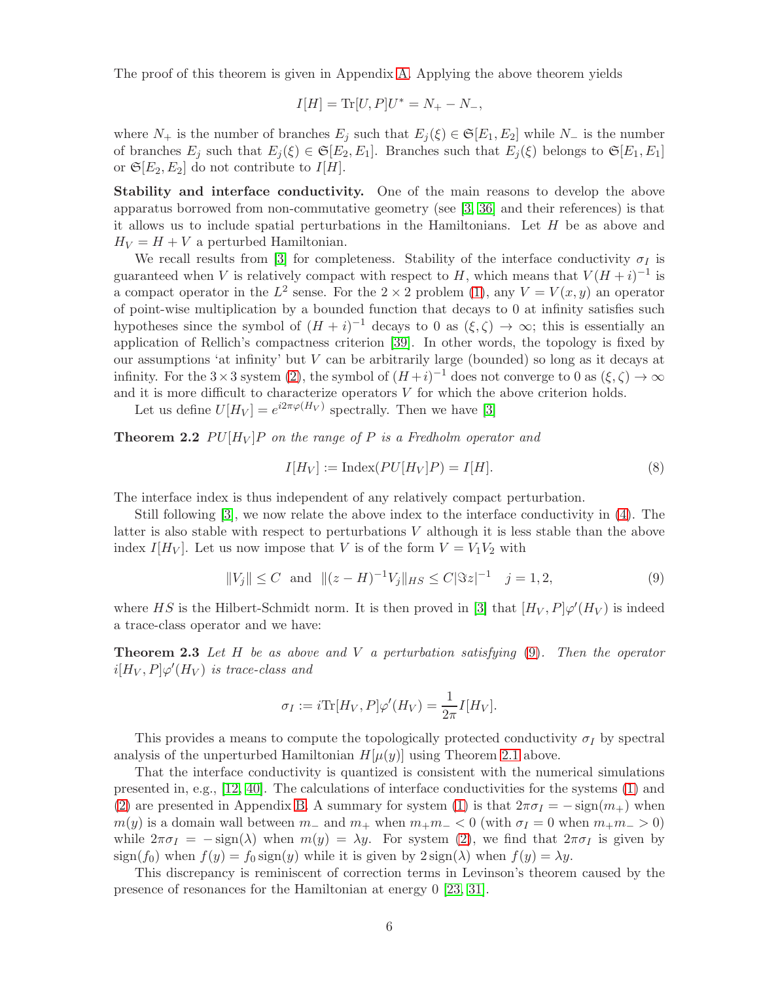The proof of this theorem is given in Appendix [A.](#page-25-0) Applying the above theorem yields

$$
I[H] = \text{Tr}[U, P]U^* = N_+ - N_-,
$$

where  $N_+$  is the number of branches  $E_j$  such that  $E_j(\xi) \in \mathfrak{S}[E_1, E_2]$  while  $N_-$  is the number of branches  $E_i$  such that  $E_i(\xi) \in \mathfrak{S}[E_2, E_1]$ . Branches such that  $E_i(\xi)$  belongs to  $\mathfrak{S}[E_1, E_1]$ or  $\mathfrak{S}[E_2, E_2]$  do not contribute to  $I[H]$ .

Stability and interface conductivity. One of the main reasons to develop the above apparatus borrowed from non-commutative geometry (see [\[3,](#page-36-1) [36\]](#page-38-0) and their references) is that it allows us to include spatial perturbations in the Hamiltonians. Let  $H$  be as above and  $H_V = H + V$  a perturbed Hamiltonian.

We recall results from [\[3\]](#page-36-1) for completeness. Stability of the interface conductivity  $\sigma_I$  is guaranteed when V is relatively compact with respect to H, which means that  $V(H + i)^{-1}$  is a compact operator in the  $L^2$  sense. For the  $2 \times 2$  problem [\(1\)](#page-1-1), any  $V = V(x, y)$  an operator of point-wise multiplication by a bounded function that decays to 0 at infinity satisfies such hypotheses since the symbol of  $(H + i)^{-1}$  decays to 0 as  $(\xi, \zeta) \to \infty$ ; this is essentially an application of Rellich's compactness criterion [\[39\]](#page-38-7). In other words, the topology is fixed by our assumptions 'at infinity' but  $V$  can be arbitrarily large (bounded) so long as it decays at infinity. For the 3 × 3 system [\(2\)](#page-1-2), the symbol of  $(H+i)^{-1}$  does not converge to 0 as  $(\xi, \zeta) \to \infty$ and it is more difficult to characterize operators  $V$  for which the above criterion holds.

Let us define  $U[H_V] = e^{i2\pi\varphi(H_V)}$  spectrally. Then we have [\[3\]](#page-36-1)

**Theorem 2.2**  $PU|H_V|P$  on the range of P is a Fredholm operator and

$$
I[H_V] := \text{Index}(PU[H_V]P) = I[H].\tag{8}
$$

The interface index is thus independent of any relatively compact perturbation.

Still following [\[3\]](#page-36-1), we now relate the above index to the interface conductivity in [\(4\)](#page-2-0). The latter is also stable with respect to perturbations  $V$  although it is less stable than the above index  $I[H_V]$ . Let us now impose that V is of the form  $V = V_1V_2$  with

<span id="page-5-0"></span>
$$
||V_j|| \le C \text{ and } ||(z - H)^{-1}V_j||_{HS} \le C|\Im z|^{-1} \quad j = 1, 2,
$$
 (9)

where HS is the Hilbert-Schmidt norm. It is then proved in [\[3\]](#page-36-1) that  $[H_V, P]\varphi'(H_V)$  is indeed a trace-class operator and we have:

**Theorem 2.3** Let H be as above and V a perturbation satisfying  $(9)$ . Then the operator  $i[H_V, P] \varphi'(H_V)$  is trace-class and

$$
\sigma_I := i \text{Tr}[H_V, P] \varphi'(H_V) = \frac{1}{2\pi} I[H_V].
$$

This provides a means to compute the topologically protected conductivity  $\sigma_I$  by spectral analysis of the unperturbed Hamiltonian  $H[\mu(y)]$  using Theorem [2.1](#page-4-0) above.

That the interface conductivity is quantized is consistent with the numerical simulations presented in, e.g., [\[12,](#page-37-1) [40\]](#page-38-2). The calculations of interface conductivities for the systems [\(1\)](#page-1-1) and [\(2\)](#page-1-2) are presented in Appendix [B.](#page-26-0) A summary for system [\(1\)](#page-1-1) is that  $2\pi\sigma_I = -\text{sign}(m_+)$  when  $m(y)$  is a domain wall between  $m_-\text{ and }m_+\text{ when }m_+m_-<0$  (with  $\sigma_I=0$  when  $m_+m_->0$ ) while  $2\pi\sigma I = -\text{sign}(\lambda)$  when  $m(y) = \lambda y$ . For system [\(2\)](#page-1-2), we find that  $2\pi\sigma I$  is given by  $sign(f_0)$  when  $f(y) = f_0 sign(y)$  while it is given by  $2 sign(\lambda)$  when  $f(y) = \lambda y$ .

This discrepancy is reminiscent of correction terms in Levinson's theorem caused by the presence of resonances for the Hamiltonian at energy 0 [\[23,](#page-37-11) [31\]](#page-38-8).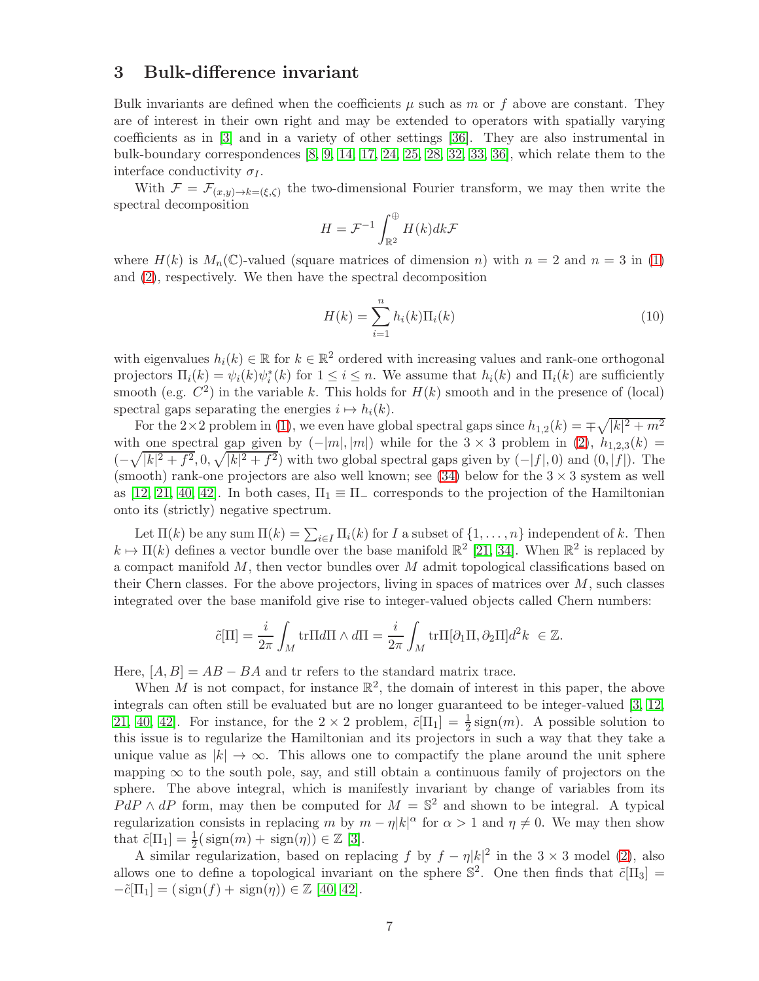#### <span id="page-6-0"></span>3 Bulk-difference invariant

Bulk invariants are defined when the coefficients  $\mu$  such as m or f above are constant. They are of interest in their own right and may be extended to operators with spatially varying coefficients as in [\[3\]](#page-36-1) and in a variety of other settings [\[36\]](#page-38-0). They are also instrumental in bulk-boundary correspondences [\[8,](#page-37-12) [9,](#page-37-13) [14,](#page-37-2) [17,](#page-37-6) [24,](#page-37-14) [25,](#page-38-9) [28,](#page-38-10) [32,](#page-38-11) [33,](#page-38-12) [36\]](#page-38-0), which relate them to the interface conductivity  $\sigma_I$ .

With  $\mathcal{F} = \mathcal{F}_{(x,y)\to k=(\xi,\zeta)}$  the two-dimensional Fourier transform, we may then write the spectral decomposition

$$
H = \mathcal{F}^{-1} \int_{\mathbb{R}^2}^{\oplus} H(k)dk \mathcal{F}
$$

where  $H(k)$  is  $M_n(\mathbb{C})$ -valued (square matrices of dimension n) with  $n = 2$  and  $n = 3$  in [\(1\)](#page-1-1) and [\(2\)](#page-1-2), respectively. We then have the spectral decomposition

<span id="page-6-1"></span>
$$
H(k) = \sum_{i=1}^{n} h_i(k) \Pi_i(k)
$$
\n(10)

with eigenvalues  $h_i(k) \in \mathbb{R}$  for  $k \in \mathbb{R}^2$  ordered with increasing values and rank-one orthogonal projectors  $\Pi_i(k) = \psi_i(k)\psi_i^*(k)$  for  $1 \leq i \leq n$ . We assume that  $h_i(k)$  and  $\Pi_i(k)$  are sufficiently smooth (e.g.  $C^2$ ) in the variable k. This holds for  $H(k)$  smooth and in the presence of (local) spectral gaps separating the energies  $i \mapsto h_i(k)$ .

For the 2 × 2 problem in [\(1\)](#page-1-1), we even have global spectral gaps since  $h_{1,2}(k) = \pm \sqrt{|k|^2 + m^2}$ with one spectral gap given by  $(-|m|, |m|)$  while for the 3 × 3 problem in [\(2\)](#page-1-2),  $h_{1,2,3}(k)$  =  $(-\sqrt{|k|^2 + f^2}, 0, \sqrt{|k|^2 + f^2})$  with two global spectral gaps given by  $(-|f|, 0)$  and  $(0, |f|)$ . The (smooth) rank-one projectors are also well known; see [\(34\)](#page-32-0) below for the  $3 \times 3$  system as well as [\[12,](#page-37-1) [21,](#page-37-0) [40,](#page-38-2) [42\]](#page-38-3). In both cases,  $\Pi_1 \equiv \Pi_-$  corresponds to the projection of the Hamiltonian onto its (strictly) negative spectrum.

Let  $\Pi(k)$  be any sum  $\Pi(k) = \sum_{i \in I} \Pi_i(k)$  for I a subset of  $\{1, \ldots, n\}$  independent of k. Then  $k \mapsto \Pi(k)$  defines a vector bundle over the base manifold  $\mathbb{R}^2$  [\[21,](#page-37-0) [34\]](#page-38-13). When  $\mathbb{R}^2$  is replaced by a compact manifold M, then vector bundles over M admit topological classifications based on their Chern classes. For the above projectors, living in spaces of matrices over  $M$ , such classes integrated over the base manifold give rise to integer-valued objects called Chern numbers:

$$
\tilde{c}[\Pi] = \frac{i}{2\pi} \int_M \text{tr}\Pi d\Pi \wedge d\Pi = \frac{i}{2\pi} \int_M \text{tr}\Pi[\partial_1 \Pi, \partial_2 \Pi] d^2 k \in \mathbb{Z}.
$$

Here,  $[A, B] = AB - BA$  and tr refers to the standard matrix trace.

When M is not compact, for instance  $\mathbb{R}^2$ , the domain of interest in this paper, the above integrals can often still be evaluated but are no longer guaranteed to be integer-valued [\[3,](#page-36-1) [12,](#page-37-1) [21,](#page-37-0) [40,](#page-38-2) [42\]](#page-38-3). For instance, for the  $2 \times 2$  problem,  $\tilde{c}[\Pi_1] = \frac{1}{2} \operatorname{sign}(m)$ . A possible solution to this issue is to regularize the Hamiltonian and its projectors in such a way that they take a unique value as  $|k| \to \infty$ . This allows one to compactify the plane around the unit sphere mapping  $\infty$  to the south pole, say, and still obtain a continuous family of projectors on the sphere. The above integral, which is manifestly invariant by change of variables from its  $PdP \wedge dP$  form, may then be computed for  $M = \mathbb{S}^2$  and shown to be integral. A typical regularization consists in replacing m by  $m - \eta |k|^\alpha$  for  $\alpha > 1$  and  $\eta \neq 0$ . We may then show that  $\tilde{c}[\Pi_1] = \frac{1}{2}(\text{sign}(m) + \text{sign}(\eta)) \in \mathbb{Z}$  [\[3\]](#page-36-1).

A similar regularization, based on replacing f by  $f - \eta |k|^2$  in the  $3 \times 3$  model [\(2\)](#page-1-2), also allows one to define a topological invariant on the sphere  $\mathbb{S}^2$ . One then finds that  $\tilde{c}[\Pi_3] =$  $-\tilde{c}[\Pi_1] = (\text{sign}(f) + \text{sign}(\eta)) \in \mathbb{Z}$  [\[40,](#page-38-2) [42\]](#page-38-3).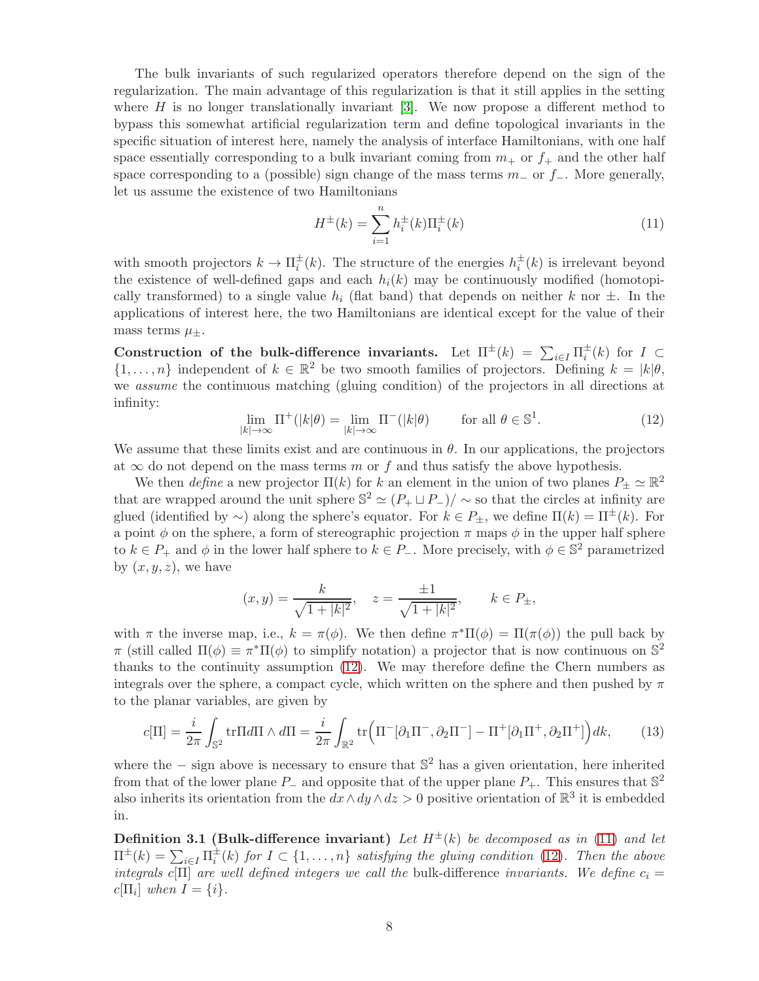The bulk invariants of such regularized operators therefore depend on the sign of the regularization. The main advantage of this regularization is that it still applies in the setting where  $H$  is no longer translationally invariant [\[3\]](#page-36-1). We now propose a different method to bypass this somewhat artificial regularization term and define topological invariants in the specific situation of interest here, namely the analysis of interface Hamiltonians, with one half space essentially corresponding to a bulk invariant coming from  $m_+$  or  $f_+$  and the other half space corresponding to a (possible) sign change of the mass terms  $m_$  or  $f_$ . More generally, let us assume the existence of two Hamiltonians

<span id="page-7-1"></span>
$$
H^{\pm}(k) = \sum_{i=1}^{n} h_i^{\pm}(k) \Pi_i^{\pm}(k)
$$
\n(11)

with smooth projectors  $k \to \Pi_i^{\pm}(k)$ . The structure of the energies  $h_i^{\pm}(k)$  is irrelevant beyond the existence of well-defined gaps and each  $h_i(k)$  may be continuously modified (homotopically transformed) to a single value  $h_i$  (flat band) that depends on neither k nor  $\pm$ . In the applications of interest here, the two Hamiltonians are identical except for the value of their mass terms  $\mu_{\pm}$ .

Construction of the bulk-difference invariants. Let  $\Pi^{\pm}(k) = \sum_{i \in I} \Pi^{\pm}_i(k)$  for  $I \subset$  $\{1,\ldots,n\}$  independent of  $k \in \mathbb{R}^2$  be two smooth families of projectors. Defining  $k = |k|\theta$ , we assume the continuous matching (gluing condition) of the projectors in all directions at infinity:

<span id="page-7-0"></span>
$$
\lim_{|k| \to \infty} \Pi^+(|k|\theta) = \lim_{|k| \to \infty} \Pi^-(|k|\theta) \qquad \text{for all } \theta \in \mathbb{S}^1. \tag{12}
$$

We assume that these limits exist and are continuous in  $\theta$ . In our applications, the projectors at  $\infty$  do not depend on the mass terms m or f and thus satisfy the above hypothesis.

We then *define* a new projector  $\Pi(k)$  for k an element in the union of two planes  $P_{\pm} \simeq \mathbb{R}^2$ that are wrapped around the unit sphere  $\mathbb{S}^2 \simeq (P_+ \sqcup P_-)/\sim$  so that the circles at infinity are glued (identified by  $\sim$ ) along the sphere's equator. For  $k \in P_{\pm}$ , we define  $\Pi(k) = \Pi^{\pm}(k)$ . For a point  $\phi$  on the sphere, a form of stereographic projection  $\pi$  maps  $\phi$  in the upper half sphere to  $k \in P_+$  and  $\phi$  in the lower half sphere to  $k \in P_-$ . More precisely, with  $\phi \in \mathbb{S}^2$  parametrized by  $(x, y, z)$ , we have

$$
(x, y) = \frac{k}{\sqrt{1 + |k|^2}}, \quad z = \frac{\pm 1}{\sqrt{1 + |k|^2}}, \quad k \in P_{\pm},
$$

with  $\pi$  the inverse map, i.e.,  $k = \pi(\phi)$ . We then define  $\pi^* \Pi(\phi) = \Pi(\pi(\phi))$  the pull back by  $\pi$  (still called  $\Pi(\phi) \equiv \pi^* \Pi(\phi)$  to simplify notation) a projector that is now continuous on  $\mathbb{S}^2$ thanks to the continuity assumption [\(12\)](#page-7-0). We may therefore define the Chern numbers as integrals over the sphere, a compact cycle, which written on the sphere and then pushed by  $\pi$ to the planar variables, are given by

<span id="page-7-2"></span>
$$
c[\Pi] = \frac{i}{2\pi} \int_{\mathbb{S}^2} \text{tr}\Pi d\Pi \wedge d\Pi = \frac{i}{2\pi} \int_{\mathbb{R}^2} \text{tr}\Big(\Pi^-[{\partial}_1 \Pi^-, {\partial}_2 \Pi^-] - \Pi^+[{\partial}_1 \Pi^+, {\partial}_2 \Pi^+]\Big) dk,\tag{13}
$$

where the – sign above is necessary to ensure that  $\mathbb{S}^2$  has a given orientation, here inherited from that of the lower plane  $P_-\$  and opposite that of the upper plane  $P_+$ . This ensures that  $\mathbb{S}^2$ also inherits its orientation from the  $dx \wedge dy \wedge dz > 0$  positive orientation of  $\mathbb{R}^3$  it is embedded in.

**Definition 3.1 (Bulk-difference invariant)** Let  $H^{\pm}(k)$  be decomposed as in [\(11\)](#page-7-1) and let  $\Pi^{\pm}(k) = \sum_{i \in I} \Pi_i^{\pm}(k)$  for  $I \subset \{1, ..., n\}$  satisfying the gluing condition [\(12\)](#page-7-0). Then the above integrals  $c[\Pi]$  are well defined integers we call the bulk-difference invariants. We define  $c_i =$  $c[\Pi_i]$  when  $I = \{i\}.$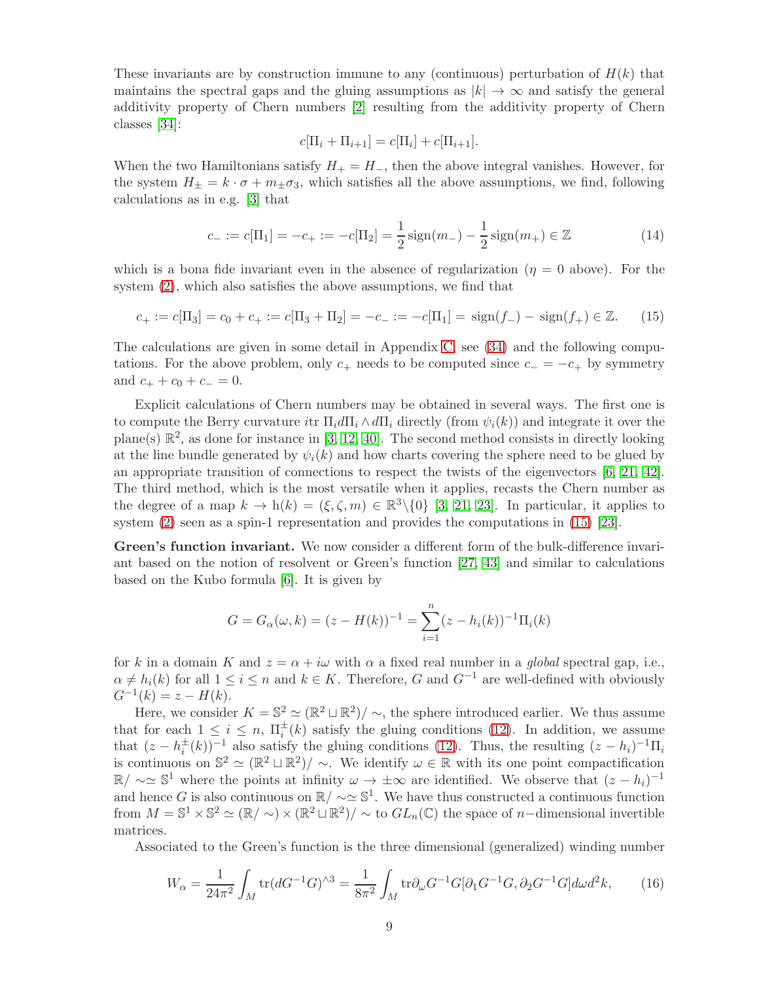These invariants are by construction immune to any (continuous) perturbation of  $H(k)$  that maintains the spectral gaps and the gluing assumptions as  $|k| \to \infty$  and satisfy the general additivity property of Chern numbers [\[2\]](#page-36-3) resulting from the additivity property of Chern classes [\[34\]](#page-38-13):

$$
c[\Pi_i + \Pi_{i+1}] = c[\Pi_i] + c[\Pi_{i+1}].
$$

When the two Hamiltonians satisfy  $H_+ = H_-$ , then the above integral vanishes. However, for the system  $H_{\pm} = k \cdot \sigma + m_{\pm} \sigma_3$ , which satisfies all the above assumptions, we find, following calculations as in e.g. [\[3\]](#page-36-1) that

<span id="page-8-2"></span>
$$
c_{-} := c[\Pi_1] = -c_{+} := -c[\Pi_2] = \frac{1}{2}\operatorname{sign}(m_{-}) - \frac{1}{2}\operatorname{sign}(m_{+}) \in \mathbb{Z}
$$
(14)

which is a bona fide invariant even in the absence of regularization  $(\eta = 0$  above). For the system [\(2\)](#page-1-2), which also satisfies the above assumptions, we find that

<span id="page-8-0"></span>
$$
c_+ := c[\Pi_3] = c_0 + c_+ := c[\Pi_3 + \Pi_2] = -c_- := -c[\Pi_1] = \text{sign}(f_-) - \text{sign}(f_+) \in \mathbb{Z}.
$$
 (15)

The calculations are given in some detail in Appendix [C;](#page-31-0) see [\(34\)](#page-32-0) and the following computations. For the above problem, only  $c_+$  needs to be computed since  $c_- = -c_+$  by symmetry and  $c_{+} + c_{0} + c_{-} = 0$ .

Explicit calculations of Chern numbers may be obtained in several ways. The first one is to compute the Berry curvature itr  $\Pi_i d\Pi_i \wedge d\Pi_i$  directly (from  $\psi_i(k)$ ) and integrate it over the plane(s)  $\mathbb{R}^2$ , as done for instance in [\[3,](#page-36-1) [12,](#page-37-1) [40\]](#page-38-2). The second method consists in directly looking at the line bundle generated by  $\psi_i(k)$  and how charts covering the sphere need to be glued by an appropriate transition of connections to respect the twists of the eigenvectors [\[6,](#page-36-0) [21,](#page-37-0) [42\]](#page-38-3). The third method, which is the most versatile when it applies, recasts the Chern number as the degree of a map  $k \to h(k) = (\xi, \zeta, m) \in \mathbb{R}^3 \setminus \{0\}$  [\[3,](#page-36-1) [21,](#page-37-0) [23\]](#page-37-11). In particular, it applies to system [\(2\)](#page-1-2) seen as a spin-1 representation and provides the computations in [\(15\)](#page-8-0) [\[23\]](#page-37-11).

Green's function invariant. We now consider a different form of the bulk-difference invariant based on the notion of resolvent or Green's function [\[27,](#page-38-4) [43\]](#page-38-5) and similar to calculations based on the Kubo formula [\[6\]](#page-36-0). It is given by

$$
G = G_{\alpha}(\omega, k) = (z - H(k))^{-1} = \sum_{i=1}^{n} (z - h_i(k))^{-1} \Pi_i(k)
$$

for k in a domain K and  $z = \alpha + i\omega$  with  $\alpha$  a fixed real number in a global spectral gap, i.e.,  $\alpha \neq h_i(k)$  for all  $1 \leq i \leq n$  and  $k \in K$ . Therefore, G and  $G^{-1}$  are well-defined with obviously  $G^{-1}(k) = z - H(k).$ 

Here, we consider  $K = \mathbb{S}^2 \simeq (\mathbb{R}^2 \sqcup \mathbb{R}^2)/\sim$ , the sphere introduced earlier. We thus assume that for each  $1 \leq i \leq n$ ,  $\Pi_i^{\pm}(k)$  satisfy the gluing conditions [\(12\)](#page-7-0). In addition, we assume that  $(z - h_i^{\pm}(k))^{-1}$  also satisfy the gluing conditions [\(12\)](#page-7-0). Thus, the resulting  $(z - h_i)^{-1} \Pi_i$ is continuous on  $\mathbb{S}^2 \simeq (\mathbb{R}^2 \sqcup \mathbb{R}^2)/\sim$ . We identify  $\omega \in \mathbb{R}$  with its one point compactification  $\mathbb{R}/\sim\simeq$  S<sup>1</sup> where the points at infinity  $\omega\to\pm\infty$  are identified. We observe that  $(z-h_i)^{-1}$ and hence G is also continuous on  $\mathbb{R}/\sim \simeq \mathbb{S}^1$ . We have thus constructed a continuous function from  $M = \mathbb{S}^1 \times \mathbb{S}^2 \simeq (\mathbb{R}/\sim) \times (\mathbb{R}^2 \sqcup \mathbb{R}^2)/\sim$  to  $GL_n(\mathbb{C})$  the space of *n*-dimensional invertible matrices.

Associated to the Green's function is the three dimensional (generalized) winding number

<span id="page-8-1"></span>
$$
W_{\alpha} = \frac{1}{24\pi^2} \int_M \text{tr}(dG^{-1}G)^{\wedge 3} = \frac{1}{8\pi^2} \int_M \text{tr}\partial_{\omega}G^{-1}G[\partial_1 G^{-1}G, \partial_2 G^{-1}G]d\omega d^2k,\tag{16}
$$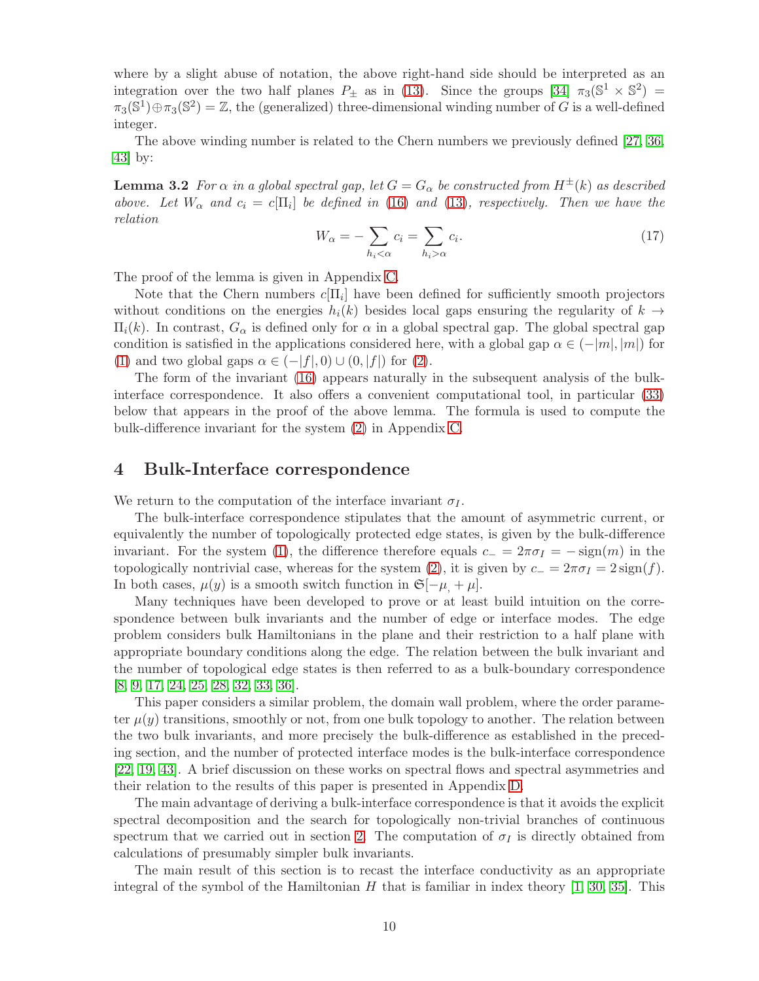where by a slight abuse of notation, the above right-hand side should be interpreted as an integration over the two half planes  $P_{\pm}$  as in [\(13\)](#page-7-2). Since the groups [\[34\]](#page-38-13)  $\pi_3(\mathbb{S}^1 \times \mathbb{S}^2)$  $\pi_3(\mathbb{S}^1)\oplus\pi_3(\mathbb{S}^2)=\mathbb{Z}$ , the (generalized) three-dimensional winding number of G is a well-defined integer.

<span id="page-9-2"></span>The above winding number is related to the Chern numbers we previously defined [\[27,](#page-38-4) [36,](#page-38-0) [43\]](#page-38-5) by:

**Lemma 3.2** For  $\alpha$  in a global spectral gap, let  $G = G_{\alpha}$  be constructed from  $H^{\pm}(k)$  as described above. Let  $W_{\alpha}$  and  $c_i = c[\Pi_i]$  be defined in [\(16\)](#page-8-1) and [\(13\)](#page-7-2), respectively. Then we have the relation

<span id="page-9-1"></span>
$$
W_{\alpha} = -\sum_{h_i < \alpha} c_i = \sum_{h_i > \alpha} c_i.
$$
\n(17)

The proof of the lemma is given in Appendix [C.](#page-31-0)

Note that the Chern numbers  $c[\Pi_i]$  have been defined for sufficiently smooth projectors without conditions on the energies  $h_i(k)$  besides local gaps ensuring the regularity of  $k \rightarrow$  $\Pi_i(k)$ . In contrast,  $G_\alpha$  is defined only for  $\alpha$  in a global spectral gap. The global spectral gap condition is satisfied in the applications considered here, with a global gap  $\alpha \in (-|m|, |m|)$  for [\(1\)](#page-1-1) and two global gaps  $\alpha \in (-|f|, 0) \cup (0, |f|)$  for [\(2\)](#page-1-2).

The form of the invariant [\(16\)](#page-8-1) appears naturally in the subsequent analysis of the bulkinterface correspondence. It also offers a convenient computational tool, in particular [\(33\)](#page-31-1) below that appears in the proof of the above lemma. The formula is used to compute the bulk-difference invariant for the system [\(2\)](#page-1-2) in Appendix [C.](#page-31-0)

# <span id="page-9-0"></span>4 Bulk-Interface correspondence

We return to the computation of the interface invariant  $\sigma_I$ .

The bulk-interface correspondence stipulates that the amount of asymmetric current, or equivalently the number of topologically protected edge states, is given by the bulk-difference invariant. For the system [\(1\)](#page-1-1), the difference therefore equals  $c_ - = 2\pi\sigma_I = -\text{sign}(m)$  in the topologically nontrivial case, whereas for the system [\(2\)](#page-1-2), it is given by  $c_ = 2\pi\sigma_I = 2\,\text{sign}(f)$ . In both cases,  $\mu(y)$  is a smooth switch function in  $\mathfrak{S}[-\mu, +\mu]$ .

Many techniques have been developed to prove or at least build intuition on the correspondence between bulk invariants and the number of edge or interface modes. The edge problem considers bulk Hamiltonians in the plane and their restriction to a half plane with appropriate boundary conditions along the edge. The relation between the bulk invariant and the number of topological edge states is then referred to as a bulk-boundary correspondence [\[8,](#page-37-12) [9,](#page-37-13) [17,](#page-37-6) [24,](#page-37-14) [25,](#page-38-9) [28,](#page-38-10) [32,](#page-38-11) [33,](#page-38-12) [36\]](#page-38-0).

This paper considers a similar problem, the domain wall problem, where the order parameter  $\mu(y)$  transitions, smoothly or not, from one bulk topology to another. The relation between the two bulk invariants, and more precisely the bulk-difference as established in the preceding section, and the number of protected interface modes is the bulk-interface correspondence [\[22,](#page-37-8) [19,](#page-37-15) [43\]](#page-38-5). A brief discussion on these works on spectral flows and spectral asymmetries and their relation to the results of this paper is presented in Appendix [D.](#page-33-0)

The main advantage of deriving a bulk-interface correspondence is that it avoids the explicit spectral decomposition and the search for topologically non-trivial branches of continuous spectrum that we carried out in section [2.](#page-3-0) The computation of  $\sigma_I$  is directly obtained from calculations of presumably simpler bulk invariants.

The main result of this section is to recast the interface conductivity as an appropriate integral of the symbol of the Hamiltonian  $H$  that is familiar in index theory [\[1,](#page-36-4) [30,](#page-38-6) [35\]](#page-38-14). This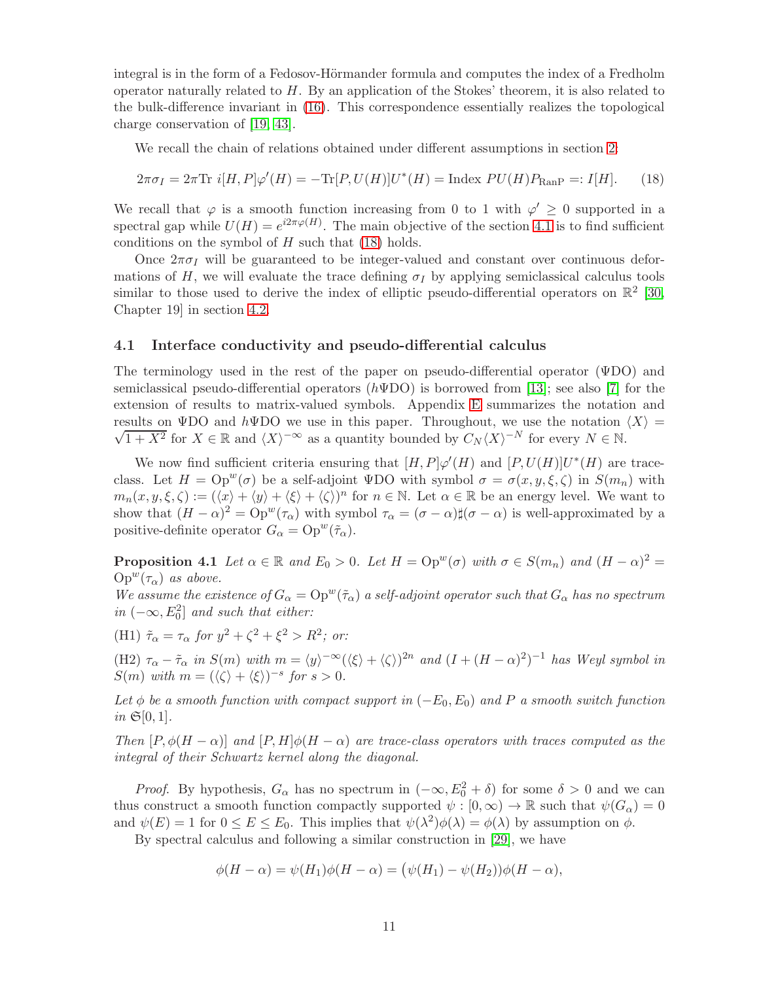integral is in the form of a Fedosov-Hörmander formula and computes the index of a Fredholm operator naturally related to  $H$ . By an application of the Stokes' theorem, it is also related to the bulk-difference invariant in [\(16\)](#page-8-1). This correspondence essentially realizes the topological charge conservation of [\[19,](#page-37-15) [43\]](#page-38-5).

We recall the chain of relations obtained under different assumptions in section [2:](#page-3-0)

<span id="page-10-1"></span>
$$
2\pi\sigma_I = 2\pi \text{Tr } i[H, P]\varphi'(H) = -\text{Tr}[P, U(H)]U^*(H) = \text{Index } PU(H)P_{\text{RanP}} =: I[H]. \tag{18}
$$

We recall that  $\varphi$  is a smooth function increasing from 0 to 1 with  $\varphi' \geq 0$  supported in a spectral gap while  $U(H) = e^{i2\pi\varphi(H)}$ . The main objective of the section [4.1](#page-10-0) is to find sufficient conditions on the symbol of  $H$  such that  $(18)$  holds.

Once  $2\pi\sigma_I$  will be guaranteed to be integer-valued and constant over continuous deformations of H, we will evaluate the trace defining  $\sigma_I$  by applying semiclassical calculus tools similar to those used to derive the index of elliptic pseudo-differential operators on  $\mathbb{R}^2$  [\[30,](#page-38-6) Chapter 19] in section [4.2.](#page-16-0)

#### <span id="page-10-0"></span>4.1 Interface conductivity and pseudo-differential calculus

The terminology used in the rest of the paper on pseudo-differential operator (ΨDO) and semiclassical pseudo-differential operators  $(h\Psi DO)$  is borrowed from [\[13\]](#page-37-10); see also [\[7\]](#page-37-16) for the extension of results to matrix-valued symbols. Appendix [E](#page-35-0) summarizes the notation and  $\sqrt{1+X^2}$  for  $X \in \mathbb{R}$  and  $\langle X \rangle^{-\infty}$  as a quantity bounded by  $C_N \langle X \rangle^{-N}$  for every  $N \in \mathbb{N}$ . results on ΨDO and  $h\Psi$ DO we use in this paper. Throughout, we use the notation  $\langle X \rangle =$ 

We now find sufficient criteria ensuring that  $[H, P]\varphi'(H)$  and  $[P, U(H)]U^*(H)$  are traceclass. Let  $H = \text{Op}^w(\sigma)$  be a self-adjoint ΨDO with symbol  $\sigma = \sigma(x, y, \xi, \zeta)$  in  $S(m_n)$  with  $m_n(x, y, \xi, \zeta) := (\langle x \rangle + \langle y \rangle + \langle \xi \rangle + \langle \zeta \rangle)^n$  for  $n \in \mathbb{N}$ . Let  $\alpha \in \mathbb{R}$  be an energy level. We want to show that  $(H - \alpha)^2 = \text{Op}^w(\tau_\alpha)$  with symbol  $\tau_\alpha = (\sigma - \alpha) \sharp (\sigma - \alpha)$  is well-approximated by a positive-definite operator  $G_{\alpha} = \text{Op}^w(\tilde{\tau}_{\alpha}).$ 

<span id="page-10-2"></span>**Proposition 4.1** Let  $\alpha \in \mathbb{R}$  and  $E_0 > 0$ . Let  $H = \text{Op}^w(\sigma)$  with  $\sigma \in S(m_n)$  and  $(H - \alpha)^2 =$  $Op^{w}(\tau_{\alpha})$  as above.

We assume the existence of  $G_{\alpha} = Op^{w}(\tilde{\tau}_{\alpha})$  a self-adjoint operator such that  $G_{\alpha}$  has no spectrum in  $(-\infty, E_0^2]$  and such that either:

(H1)  $\tilde{\tau}_{\alpha} = \tau_{\alpha}$  for  $y^2 + \zeta^2 + \xi^2 > R^2$ ; or:

(H2)  $\tau_{\alpha} - \tilde{\tau}_{\alpha}$  in  $S(m)$  with  $m = \langle y \rangle^{-\infty} (\langle \xi \rangle + \langle \zeta \rangle)^{2n}$  and  $(I + (H - \alpha)^2)^{-1}$  has Weyl symbol in  $S(m)$  with  $m = (\langle \zeta \rangle + \langle \xi \rangle)^{-s}$  for  $s > 0$ .

Let  $\phi$  be a smooth function with compact support in  $(-E_0, E_0)$  and P a smooth switch function in  $\mathfrak{S}[0,1]$ .

Then  $[P, \phi(H - \alpha)]$  and  $[P, H] \phi(H - \alpha)$  are trace-class operators with traces computed as the integral of their Schwartz kernel along the diagonal.

*Proof.* By hypothesis,  $G_{\alpha}$  has no spectrum in  $(-\infty, E_0^2 + \delta)$  for some  $\delta > 0$  and we can thus construct a smooth function compactly supported  $\psi : [0, \infty) \to \mathbb{R}$  such that  $\psi(G_{\alpha}) = 0$ and  $\psi(E) = 1$  for  $0 \le E \le E_0$ . This implies that  $\psi(\lambda^2)\phi(\lambda) = \phi(\lambda)$  by assumption on  $\phi$ .

By spectral calculus and following a similar construction in [\[29\]](#page-38-15), we have

$$
\phi(H-\alpha) = \psi(H_1)\phi(H-\alpha) = (\psi(H_1) - \psi(H_2))\phi(H-\alpha),
$$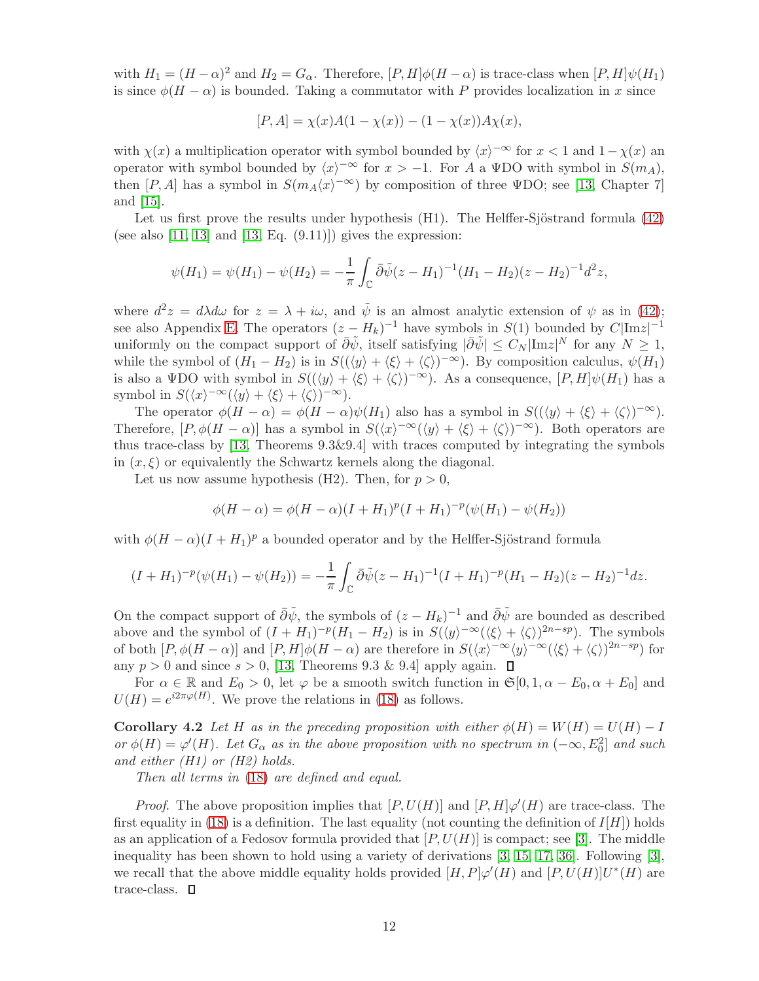with  $H_1 = (H - \alpha)^2$  and  $H_2 = G_\alpha$ . Therefore,  $[P, H] \phi(H - \alpha)$  is trace-class when  $[P, H] \psi(H_1)$ is since  $\phi(H - \alpha)$  is bounded. Taking a commutator with P provides localization in x since

$$
[P, A] = \chi(x)A(1 - \chi(x)) - (1 - \chi(x))A\chi(x),
$$

with  $\chi(x)$  a multiplication operator with symbol bounded by  $\langle x \rangle^{-\infty}$  for  $x < 1$  and  $1 - \chi(x)$  and operator with symbol bounded by  $\langle x \rangle^{-\infty}$  for  $x > -1$ . For A a ΨDO with symbol in  $S(m_A)$ , then [P, A] has a symbol in  $S(m_A\langle x \rangle^{-\infty})$  by composition of three ΨDO; see [\[13,](#page-37-10) Chapter 7] and [\[15\]](#page-37-5).

Let us first prove the results under hypothesis  $(H1)$ . The Helffer-Sjöstrand formula  $(42)$ (see also [\[11,](#page-37-9) [13\]](#page-37-10) and [\[13,](#page-37-10) Eq.  $(9.11)$ ]) gives the expression:

$$
\psi(H_1) = \psi(H_1) - \psi(H_2) = -\frac{1}{\pi} \int_{\mathbb{C}} \bar{\partial} \tilde{\psi}(z - H_1)^{-1} (H_1 - H_2)(z - H_2)^{-1} d^2 z,
$$

where  $d^2z = d\lambda d\omega$  for  $z = \lambda + i\omega$ , and  $\tilde{\psi}$  is an almost analytic extension of  $\psi$  as in [\(42\)](#page-36-5); see also Appendix [E.](#page-35-0) The operators  $(z - H_k)^{-1}$  have symbols in  $S(1)$  bounded by  $C|\text{Im}z|^{-1}$ uniformly on the compact support of  $\overline{\partial}\tilde{\psi}$ , itself satisfying  $|\overline{\partial}\tilde{\psi}| \leq C_N |\text{Im}z|^N$  for any  $N \geq 1$ , while the symbol of  $(H_1 - H_2)$  is in  $S((\langle y \rangle + \langle \xi \rangle + \langle \zeta \rangle)^{-\infty})$ . By composition calculus,  $\psi(H_1)$ is also a  $\Psi$ DO with symbol in  $S((\langle y \rangle + \langle \xi \rangle + \langle \zeta \rangle)^{-\infty})$ . As a consequence,  $[P, H]\psi(H_1)$  has a symbol in  $S(\langle x \rangle^{-\infty}(\langle y \rangle + \langle \xi \rangle + \langle \zeta \rangle)^{-\infty})$ .

The operator  $\phi(H - \alpha) = \phi(H - \alpha)\psi(H_1)$  also has a symbol in  $S((\langle y \rangle + \langle \xi \rangle + \langle \zeta \rangle)^{-\infty})$ . Therefore,  $[P, \phi(H - \alpha)]$  has a symbol in  $S(\langle x \rangle^{-\infty}(\langle y \rangle + \langle \xi \rangle + \langle \zeta \rangle)^{-\infty})$ . Both operators are thus trace-class by [\[13,](#page-37-10) Theorems 9.3&9.4] with traces computed by integrating the symbols in  $(x, \xi)$  or equivalently the Schwartz kernels along the diagonal.

Let us now assume hypothesis (H2). Then, for  $p > 0$ ,

<span id="page-11-0"></span>
$$
\phi(H - \alpha) = \phi(H - \alpha)(I + H_1)^p (I + H_1)^{-p} (\psi(H_1) - \psi(H_2))
$$

with  $\phi(H-\alpha)(I+H_1)^p$  a bounded operator and by the Helffer-Sjöstrand formula

$$
(I+H_1)^{-p}(\psi(H_1)-\psi(H_2))=-\frac{1}{\pi}\int_{\mathbb{C}}\bar{\partial}\tilde{\psi}(z-H_1)^{-1}(I+H_1)^{-p}(H_1-H_2)(z-H_2)^{-1}dz.
$$

On the compact support of  $\bar{\partial}\tilde{\psi}$ , the symbols of  $(z - H_k)^{-1}$  and  $\bar{\partial}\tilde{\psi}$  are bounded as described above and the symbol of  $(I + H_1)^{-p}(H_1 - H_2)$  is in  $S(\langle y \rangle^{-\infty}(\langle \xi \rangle + \langle \zeta \rangle)^{2n-sp})$ . The symbols of both  $[P, \phi(H-\alpha)]$  and  $[P, H]\phi(H-\alpha)$  are therefore in  $S(\langle x \rangle^{-\infty} \langle y \rangle^{-\infty} (\langle \xi \rangle + \langle \zeta \rangle)^{2n-sp})$  for any  $p > 0$  and since  $s > 0$ , [\[13,](#page-37-10) Theorems 9.3 & 9.4] apply again.  $\square$ 

For  $\alpha \in \mathbb{R}$  and  $E_0 > 0$ , let  $\varphi$  be a smooth switch function in  $\mathfrak{S}[0, 1, \alpha - E_0, \alpha + E_0]$  and  $U(H) = e^{i2\pi\varphi(H)}$ . We prove the relations in [\(18\)](#page-10-1) as follows.

Corollary 4.2 Let H as in the preceding proposition with either  $\phi(H) = W(H) = U(H) - I$ or  $\phi(H) = \varphi'(H)$ . Let  $G_{\alpha}$  as in the above proposition with no spectrum in  $(-\infty, E_0^2]$  and such and either  $(H1)$  or  $(H2)$  holds.

Then all terms in [\(18\)](#page-10-1) are defined and equal.

*Proof.* The above proposition implies that  $[P, U(H)]$  and  $[P, H]\varphi'(H)$  are trace-class. The first equality in [\(18\)](#page-10-1) is a definition. The last equality (not counting the definition of  $I[H]$ ) holds as an application of a Fedosov formula provided that  $[P, U(H)]$  is compact; see [\[3\]](#page-36-1). The middle inequality has been shown to hold using a variety of derivations [\[3,](#page-36-1) [15,](#page-37-5) [17,](#page-37-6) [36\]](#page-38-0). Following [\[3\]](#page-36-1), we recall that the above middle equality holds provided  $[H, P]\varphi'(H)$  and  $[P, U(H)]U^*(H)$  are trace-class. **D**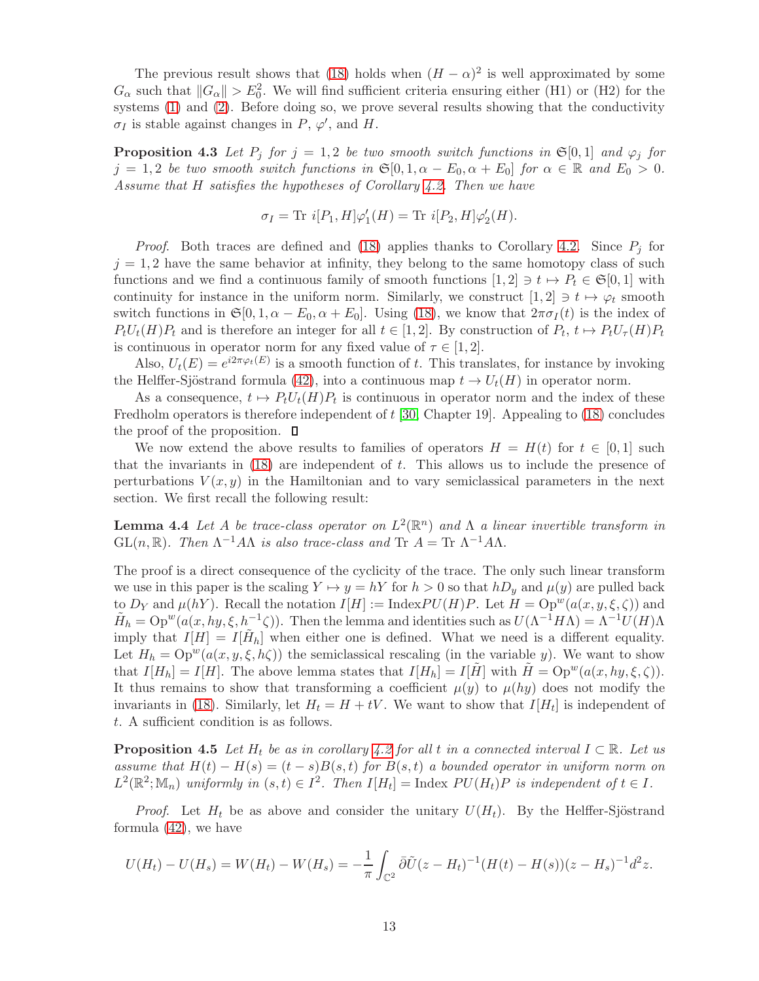The previous result shows that [\(18\)](#page-10-1) holds when  $(H - \alpha)^2$  is well approximated by some  $G_{\alpha}$  such that  $||G_{\alpha}|| > E_0^2$ . We will find sufficient criteria ensuring either (H1) or (H2) for the systems [\(1\)](#page-1-1) and [\(2\)](#page-1-2). Before doing so, we prove several results showing that the conductivity  $\sigma_I$  is stable against changes in P,  $\varphi'$ , and H.

**Proposition 4.3** Let  $P_i$  for  $j = 1, 2$  be two smooth switch functions in  $\mathfrak{S}[0,1]$  and  $\varphi_i$  for  $j = 1, 2$  be two smooth switch functions in  $\mathfrak{S}[0, 1, \alpha - E_0, \alpha + E_0]$  for  $\alpha \in \mathbb{R}$  and  $E_0 > 0$ . Assume that H satisfies the hypotheses of Corollary [4.2.](#page-11-0) Then we have

<span id="page-12-2"></span>
$$
\sigma_I = \text{Tr } i[P_1, H]\varphi_1'(H) = \text{Tr } i[P_2, H]\varphi_2'(H).
$$

*Proof.* Both traces are defined and [\(18\)](#page-10-1) applies thanks to Corollary [4.2.](#page-11-0) Since  $P_j$  for  $j = 1, 2$  have the same behavior at infinity, they belong to the same homotopy class of such functions and we find a continuous family of smooth functions  $[1, 2] \ni t \mapsto P_t \in \mathfrak{S}[0, 1]$  with continuity for instance in the uniform norm. Similarly, we construct  $[1, 2] \ni t \mapsto \varphi_t$  smooth switch functions in  $\mathfrak{S}[0, 1, \alpha - E_0, \alpha + E_0]$ . Using [\(18\)](#page-10-1), we know that  $2\pi\sigma_I(t)$  is the index of  $P_tU_t(H)P_t$  and is therefore an integer for all  $t \in [1,2]$ . By construction of  $P_t$ ,  $t \mapsto P_tU_{\tau}(H)P_t$ is continuous in operator norm for any fixed value of  $\tau \in [1,2]$ .

Also,  $U_t(E) = e^{i2\pi\varphi_t(E)}$  is a smooth function of t. This translates, for instance by invoking the Helffer-Sjöstrand formula [\(42\)](#page-36-5), into a continuous map  $t \to U_t(H)$  in operator norm.

As a consequence,  $t \mapsto P_tU_t(H)P_t$  is continuous in operator norm and the index of these Fredholm operators is therefore independent of  $t$  [\[30,](#page-38-6) Chapter 19]. Appealing to [\(18\)](#page-10-1) concludes the proof of the proposition.  $\Box$ 

We now extend the above results to families of operators  $H = H(t)$  for  $t \in [0, 1]$  such that the invariants in  $(18)$  are independent of t. This allows us to include the presence of perturbations  $V(x, y)$  in the Hamiltonian and to vary semiclassical parameters in the next section. We first recall the following result:

<span id="page-12-1"></span>**Lemma 4.4** Let A be trace-class operator on  $L^2(\mathbb{R}^n)$  and  $\Lambda$  a linear invertible transform in  $GL(n,\mathbb{R})$ . Then  $\Lambda^{-1}A\Lambda$  is also trace-class and Tr  $A = Tr \Lambda^{-1}A\Lambda$ .

The proof is a direct consequence of the cyclicity of the trace. The only such linear transform we use in this paper is the scaling  $Y \mapsto y = hY$  for  $h > 0$  so that  $hD_y$  and  $\mu(y)$  are pulled back to  $D_Y$  and  $\mu(hY)$ . Recall the notation  $I[H] := \text{Index}PU(H)P$ . Let  $H = \text{Op}^{w}(a(x, y, \xi, \zeta))$  and  $\tilde{H}_h = \text{Op}^w(a(x, hy, \xi, h^{-1}\zeta)).$  Then the lemma and identities such as  $U(\Lambda^{-1}H\Lambda) = \Lambda^{-1}U(H)\Lambda$ imply that  $I[H] = I[\tilde{H}_h]$  when either one is defined. What we need is a different equality. Let  $H_h = \text{Op}^{w}(a(x, y, \xi, h\zeta))$  the semiclassical rescaling (in the variable y). We want to show that  $I[H_h] = I[H]$ . The above lemma states that  $I[H_h] = I[H]$  with  $H = \text{Op}^w(a(x, hy, \xi, \zeta))$ . It thus remains to show that transforming a coefficient  $\mu(y)$  to  $\mu(hy)$  does not modify the invariants in [\(18\)](#page-10-1). Similarly, let  $H_t = H + tV$ . We want to show that  $I[H_t]$  is independent of t. A sufficient condition is as follows.

<span id="page-12-0"></span>**Proposition 4.5** Let  $H_t$  be as in corollary [4.2](#page-11-0) for all t in a connected interval  $I \subset \mathbb{R}$ . Let us assume that  $H(t) - H(s) = (t - s)B(s, t)$  for  $B(s, t)$  a bounded operator in uniform norm on  $L^2(\mathbb{R}^2; \mathbb{M}_n)$  uniformly in  $(s, t) \in I^2$ . Then  $I[H_t] = \text{Index } PU(H_t)P$  is independent of  $t \in I$ .

*Proof.* Let  $H_t$  be as above and consider the unitary  $U(H_t)$ . By the Helffer-Sjöstrand formula [\(42\)](#page-36-5), we have

$$
U(H_t) - U(H_s) = W(H_t) - W(H_s) = -\frac{1}{\pi} \int_{\mathbb{C}^2} \bar{\partial} \tilde{U}(z - H_t)^{-1} (H(t) - H(s))(z - H_s)^{-1} d^2 z.
$$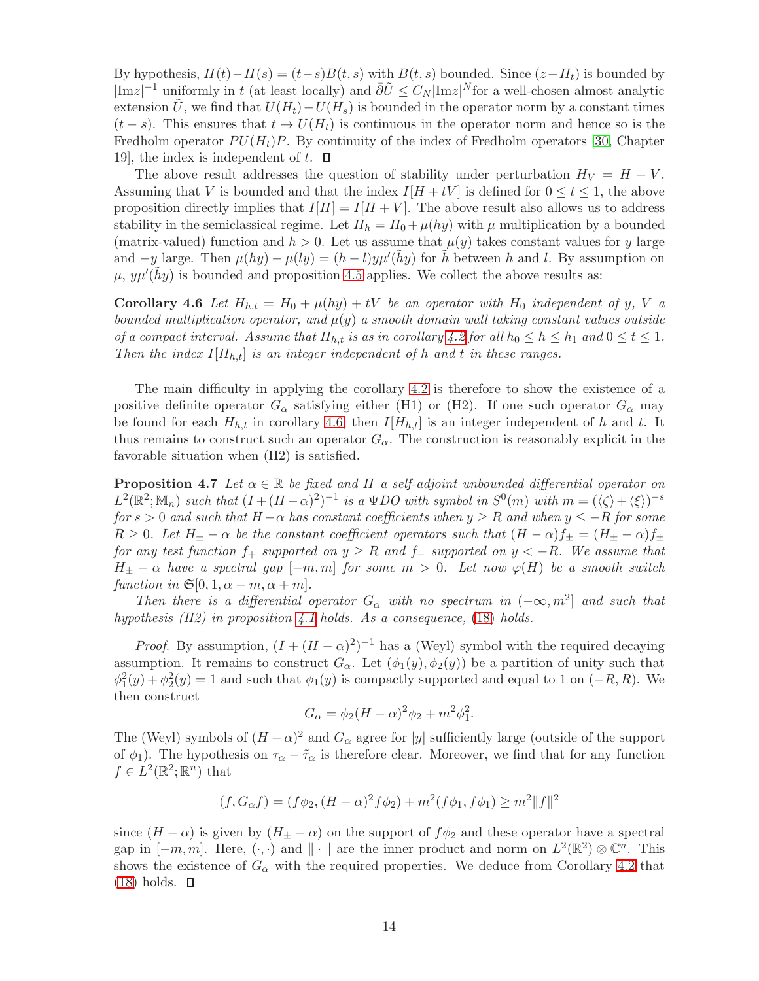By hypothesis,  $H(t)-H(s) = (t-s)B(t, s)$  with  $B(t, s)$  bounded. Since  $(z-H_t)$  is bounded by  $|Imz|^{-1}$  uniformly in t (at least locally) and  $\overline{\partial}\tilde{U} \leq C_N |Imz|^N$  for a well-chosen almost analytic extension U, we find that  $U(H_t)-U(H_s)$  is bounded in the operator norm by a constant times  $(t - s)$ . This ensures that  $t \mapsto U(H_t)$  is continuous in the operator norm and hence so is the Fredholm operator  $PU(H_t)P$ . By continuity of the index of Fredholm operators [\[30,](#page-38-6) Chapter 19, the index is independent of  $t$ .  $\Box$ 

The above result addresses the question of stability under perturbation  $H_V = H + V$ . Assuming that V is bounded and that the index  $I[H + tV]$  is defined for  $0 \le t \le 1$ , the above proposition directly implies that  $I[H] = I[H+V]$ . The above result also allows us to address stability in the semiclassical regime. Let  $H_h = H_0 + \mu(hy)$  with  $\mu$  multiplication by a bounded (matrix-valued) function and  $h > 0$ . Let us assume that  $\mu(y)$  takes constant values for y large and  $-y$  large. Then  $\mu(hy) - \mu(ly) = (h - l)y\mu'(\tilde{h}y)$  for  $\tilde{h}$  between h and l. By assumption on  $\mu$ ,  $y\mu'(\tilde{h}y)$  is bounded and proposition [4.5](#page-12-0) applies. We collect the above results as:

<span id="page-13-0"></span>**Corollary 4.6** Let  $H_{h,t} = H_0 + \mu(hy) + tV$  be an operator with  $H_0$  independent of y, V a bounded multiplication operator, and  $\mu(y)$  a smooth domain wall taking constant values outside of a compact interval. Assume that  $H_{h,t}$  is as in corollary [4.2](#page-11-0) for all  $h_0 \leq h \leq h_1$  and  $0 \leq t \leq 1$ . Then the index  $I[H_{h,t}]$  is an integer independent of h and t in these ranges.

The main difficulty in applying the corollary [4.2](#page-11-0) is therefore to show the existence of a positive definite operator  $G_{\alpha}$  satisfying either (H1) or (H2). If one such operator  $G_{\alpha}$  may be found for each  $H_{h,t}$  in corollary [4.6,](#page-13-0) then  $I[H_{h,t}]$  is an integer independent of h and t. It thus remains to construct such an operator  $G_{\alpha}$ . The construction is reasonably explicit in the favorable situation when (H2) is satisfied.

<span id="page-13-1"></span>**Proposition 4.7** Let  $\alpha \in \mathbb{R}$  be fixed and H a self-adjoint unbounded differential operator on  $L^2(\mathbb{R}^2; \mathbb{M}_n)$  such that  $(I + (H - \alpha)^2)^{-1}$  is a  $\Psi DO$  with symbol in  $S^0(m)$  with  $m = (\langle \zeta \rangle + \langle \xi \rangle)^{-s}$ for s > 0 and such that  $H - \alpha$  has constant coefficients when  $y \ge R$  and when  $y \le -R$  for some  $R \geq 0$ . Let  $H_{\pm} - \alpha$  be the constant coefficient operators such that  $(H - \alpha)f_{\pm} = (H_{\pm} - \alpha)f_{\pm}$ for any test function  $f_+$  supported on  $y \geq R$  and  $f_-$  supported on  $y < -R$ . We assume that  $H_{\pm} - \alpha$  have a spectral gap  $[-m, m]$  for some  $m > 0$ . Let now  $\varphi(H)$  be a smooth switch function in  $\mathfrak{S}[0,1,\alpha-m,\alpha+m]$ .

Then there is a differential operator  $G_{\alpha}$  with no spectrum in  $(-\infty, m^2]$  and such that hypothesis  $(H2)$  in proposition [4.1](#page-10-2) holds. As a consequence, [\(18\)](#page-10-1) holds.

*Proof.* By assumption,  $(I + (H - \alpha)^2)^{-1}$  has a (Weyl) symbol with the required decaying assumption. It remains to construct  $G_{\alpha}$ . Let  $(\phi_1(y), \phi_2(y))$  be a partition of unity such that  $\phi_1^2(y) + \phi_2^2(y) = 1$  and such that  $\phi_1(y)$  is compactly supported and equal to 1 on  $(-R, R)$ . We then construct

$$
G_{\alpha} = \phi_2 (H - \alpha)^2 \phi_2 + m^2 \phi_1^2.
$$

The (Weyl) symbols of  $(H - \alpha)^2$  and  $G_{\alpha}$  agree for |y| sufficiently large (outside of the support of  $\phi_1$ ). The hypothesis on  $\tau_\alpha - \tilde{\tau}_\alpha$  is therefore clear. Moreover, we find that for any function  $f \in L^2(\mathbb{R}^2; \mathbb{R}^n)$  that

$$
(f, G_{\alpha} f) = (f \phi_2, (H - \alpha)^2 f \phi_2) + m^2 (f \phi_1, f \phi_1) \ge m^2 ||f||^2
$$

since  $(H - \alpha)$  is given by  $(H_{\pm} - \alpha)$  on the support of  $f\phi_2$  and these operator have a spectral gap in  $[-m, m]$ . Here,  $(\cdot, \cdot)$  and  $\|\cdot\|$  are the inner product and norm on  $L^2(\mathbb{R}^2) \otimes \mathbb{C}^n$ . This shows the existence of  $G_{\alpha}$  with the required properties. We deduce from Corollary [4.2](#page-11-0) that  $(18)$  holds.  $\Box$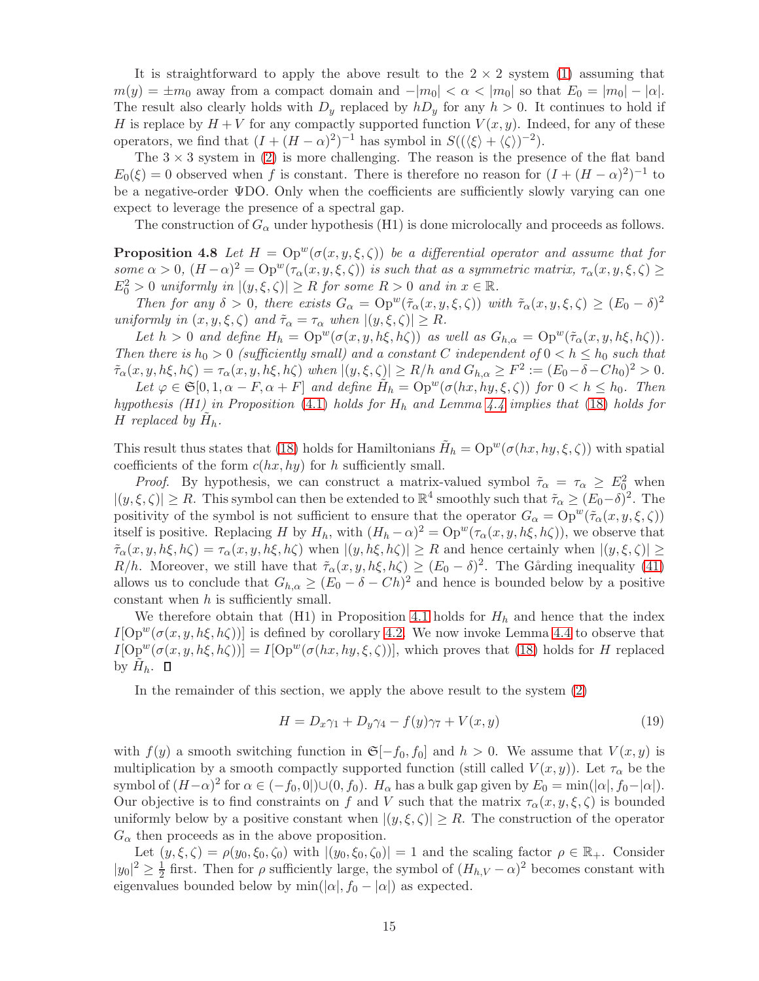It is straightforward to apply the above result to the  $2 \times 2$  system [\(1\)](#page-1-1) assuming that  $m(y) = \pm m_0$  away from a compact domain and  $-|m_0| < \alpha < |m_0|$  so that  $E_0 = |m_0| - |\alpha|$ . The result also clearly holds with  $D_y$  replaced by  $hD_y$  for any  $h > 0$ . It continues to hold if H is replace by  $H + V$  for any compactly supported function  $V(x, y)$ . Indeed, for any of these operators, we find that  $(I + (H - \alpha)^2)^{-1}$  has symbol in  $S((\langle \xi \rangle + \langle \zeta \rangle)^{-2})$ .

The  $3 \times 3$  system in [\(2\)](#page-1-2) is more challenging. The reason is the presence of the flat band  $E_0(\xi) = 0$  observed when f is constant. There is therefore no reason for  $(I + (H - \alpha)^2)^{-1}$  to be a negative-order ΨDO. Only when the coefficients are sufficiently slowly varying can one expect to leverage the presence of a spectral gap.

<span id="page-14-1"></span>The construction of  $G_{\alpha}$  under hypothesis (H1) is done microlocally and proceeds as follows.

**Proposition 4.8** Let  $H = \text{Op}^w(\sigma(x, y, \xi, \zeta))$  be a differential operator and assume that for some  $\alpha > 0$ ,  $(H - \alpha)^2 = \text{Op}^w(\tau_\alpha(x, y, \xi, \zeta))$  is such that as a symmetric matrix,  $\tau_\alpha(x, y, \xi, \zeta) \ge$  $E_0^2 > 0$  uniformly in  $|(y,\xi,\zeta)| \ge R$  for some  $R > 0$  and in  $x \in \mathbb{R}$ .

Then for any  $\delta > 0$ , there exists  $G_{\alpha} = \text{Op}^{w}(\tilde{\tau}_{\alpha}(x, y, \xi, \zeta))$  with  $\tilde{\tau}_{\alpha}(x, y, \xi, \zeta) \geq (E_0 - \delta)^2$ uniformly in  $(x, y, \xi, \zeta)$  and  $\tilde{\tau}_{\alpha} = \tau_{\alpha}$  when  $|(y, \xi, \zeta)| \ge R$ .

Let  $h > 0$  and define  $H_h = \text{Op}^w(\sigma(x, y, h\xi, h\zeta))$  as well as  $G_{h,\alpha} = \text{Op}^w(\tilde{\tau}_\alpha(x, y, h\xi, h\zeta)).$ Then there is  $h_0 > 0$  (sufficiently small) and a constant C independent of  $0 < h \le h_0$  such that  $\tilde{\tau}_{\alpha}(x, y, h\xi, h\zeta) = \tau_{\alpha}(x, y, h\xi, h\zeta)$  when  $|(y, \xi, \zeta)| \ge R/h$  and  $G_{h,\alpha} \ge F^2 := (E_0 - \delta - Ch_0)^2 > 0$ .

Let  $\varphi \in \mathfrak{S}[0,1,\alpha - F, \alpha + F]$  and define  $\tilde{H}_h = \text{Op}^w(\sigma(hx, hy, \xi, \zeta))$  for  $0 < h \leq h_0$ . Then hypothesis (H1) in Proposition [\(4.1\)](#page-10-2) holds for  $H_h$  and Lemma [4.4](#page-12-1) implies that [\(18\)](#page-10-1) holds for H replaced by  $\tilde{H}_h$ .

This result thus states that [\(18\)](#page-10-1) holds for Hamiltonians  $\tilde{H}_h = \text{Op}^w(\sigma(hx, hy, \xi, \zeta))$  with spatial coefficients of the form  $c(hx, hy)$  for h sufficiently small.

*Proof.* By hypothesis, we can construct a matrix-valued symbol  $\tilde{\tau}_{\alpha} = \tau_{\alpha} \geq E_0^2$  when  $|(y,\xi,\zeta)| \ge R$ . This symbol can then be extended to  $\mathbb{R}^4$  smoothly such that  $\tilde{\tau}_\alpha \ge (E_0 - \delta)^2$ . The positivity of the symbol is not sufficient to ensure that the operator  $G_{\alpha} = \text{Op}^{w}(\tilde{\tau}_{\alpha}(x, y, \xi, \zeta))$ itself is positive. Replacing H by  $H_h$ , with  $(H_h - \alpha)^2 = \text{Op}^w(\tau_\alpha(x, y, h\xi, h\zeta))$ , we observe that  $\tilde{\tau}_{\alpha}(x, y, h\xi, h\zeta) = \tau_{\alpha}(x, y, h\xi, h\zeta)$  when  $|(y, h\xi, h\zeta)| \ge R$  and hence certainly when  $|(y, \xi, \zeta)| \ge R$ R/h. Moreover, we still have that  $\tilde{\tau}_{\alpha}(x, y, h\xi, h\zeta) \ge (E_0 - \delta)^2$ . The Gårding inequality [\(41\)](#page-36-6) allows us to conclude that  $G_{h,\alpha} \geq (E_0 - \delta - Ch)^2$  and hence is bounded below by a positive constant when  $h$  is sufficiently small.

We therefore obtain that (H1) in Proposition [4.1](#page-10-2) holds for  $H_h$  and hence that the index  $I[Op^w(\sigma(x, y, h\xi, h\zeta))]$  is defined by corollary [4.2.](#page-11-0) We now invoke Lemma [4.4](#page-12-1) to observe that  $I[Op^w(\sigma(x, y, h\xi, h\zeta))] = I[Op^w(\sigma(hx, hy, \xi, \zeta))]$ , which proves that [\(18\)](#page-10-1) holds for H replaced by  $\tilde{H}_h$ .

In the remainder of this section, we apply the above result to the system [\(2\)](#page-1-2)

<span id="page-14-0"></span>
$$
H = D_x \gamma_1 + D_y \gamma_4 - f(y)\gamma_7 + V(x, y) \tag{19}
$$

with  $f(y)$  a smooth switching function in  $\mathfrak{S}[-f_0, f_0]$  and  $h > 0$ . We assume that  $V(x, y)$  is multiplication by a smooth compactly supported function (still called  $V(x, y)$ ). Let  $\tau_{\alpha}$  be the symbol of  $(H-\alpha)^2$  for  $\alpha \in (-f_0, 0] \cup (0, f_0)$ .  $H_\alpha$  has a bulk gap given by  $E_0 = \min(|\alpha|, f_0-|\alpha|)$ . Our objective is to find constraints on f and V such that the matrix  $\tau_{\alpha}(x, y, \xi, \zeta)$  is bounded uniformly below by a positive constant when  $|(y,\xi,\zeta)| \geq R$ . The construction of the operator  $G_{\alpha}$  then proceeds as in the above proposition.

Let  $(y, \xi, \zeta) = \rho(y_0, \xi_0, \zeta_0)$  with  $|(y_0, \xi_0, \zeta_0)| = 1$  and the scaling factor  $\rho \in \mathbb{R}_+$ . Consider  $|y_0|^2 \geq \frac{1}{2}$  $\frac{1}{2}$  first. Then for  $\rho$  sufficiently large, the symbol of  $(H_{h,V} - \alpha)^2$  becomes constant with eigenvalues bounded below by min( $|\alpha|, f_0 - |\alpha|$ ) as expected.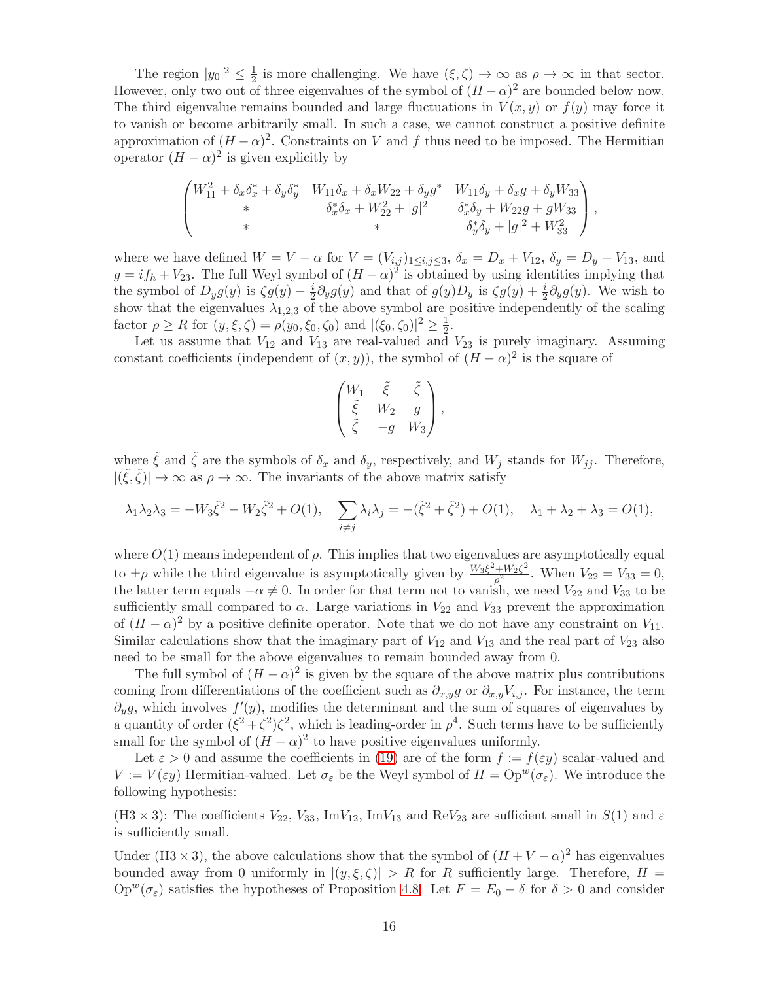The region  $|y_0|^2 \leq \frac{1}{2}$  $\frac{1}{2}$  is more challenging. We have  $(\xi, \zeta) \to \infty$  as  $\rho \to \infty$  in that sector. However, only two out of three eigenvalues of the symbol of  $(H - \alpha)^2$  are bounded below now. The third eigenvalue remains bounded and large fluctuations in  $V(x, y)$  or  $f(y)$  may force it to vanish or become arbitrarily small. In such a case, we cannot construct a positive definite approximation of  $(H - \alpha)^2$ . Constraints on V and f thus need to be imposed. The Hermitian operator  $(H - \alpha)^2$  is given explicitly by

$$
\begin{pmatrix}\nW_{11}^2 + \delta_x \delta_x^* + \delta_y \delta_y^* & W_{11} \delta_x + \delta_x W_{22} + \delta_y g^* & W_{11} \delta_y + \delta_x g + \delta_y W_{33} \\
* & \delta_x^* \delta_x + W_{22}^2 + |g|^2 & \delta_x^* \delta_y + W_{22} g + g W_{33} \\
* & * & \delta_y^* \delta_y + |g|^2 + W_{33}^2\n\end{pmatrix},
$$

where we have defined  $W = V - \alpha$  for  $V = (V_{i,j})_{1 \leq i,j \leq 3}$ ,  $\delta_x = D_x + V_{12}$ ,  $\delta_y = D_y + V_{13}$ , and  $g = if_h + V_{23}$ . The full Weyl symbol of  $(H - \alpha)^2$  is obtained by using identities implying that the symbol of  $D_y g(y)$  is  $\zeta g(y) - \frac{i}{2}$  $\frac{i}{2}\partial_y g(y)$  and that of  $g(y)D_y$  is  $\zeta g(y) + \frac{i}{2}\partial_y g(y)$ . We wish to show that the eigenvalues  $\lambda_{1,2,3}$  of the above symbol are positive independently of the scaling factor  $\rho \ge R$  for  $(y, \xi, \zeta) = \rho(y_0, \xi_0, \zeta_0)$  and  $|(\xi_0, \zeta_0)|^2 \ge \frac{1}{2}$  $\frac{1}{2}$ .

Let us assume that  $V_{12}$  and  $V_{13}$  are real-valued and  $V_{23}$  is purely imaginary. Assuming constant coefficients (independent of  $(x, y)$ ), the symbol of  $(H - \alpha)^2$  is the square of

$$
\begin{pmatrix} W_1 & \tilde{\xi} & \tilde{\zeta} \\ \tilde{\xi} & W_2 & g \\ \tilde{\zeta} & -g & W_3 \end{pmatrix},
$$

where  $\tilde{\xi}$  and  $\tilde{\zeta}$  are the symbols of  $\delta_x$  and  $\delta_y$ , respectively, and  $W_j$  stands for  $W_{jj}$ . Therefore,  $|(\tilde{\xi}, \tilde{\zeta})| \to \infty$  as  $\rho \to \infty$ . The invariants of the above matrix satisfy

$$
\lambda_1 \lambda_2 \lambda_3 = -W_3 \tilde{\xi}^2 - W_2 \tilde{\zeta}^2 + O(1), \quad \sum_{i \neq j} \lambda_i \lambda_j = -(\tilde{\xi}^2 + \tilde{\zeta}^2) + O(1), \quad \lambda_1 + \lambda_2 + \lambda_3 = O(1),
$$

where  $O(1)$  means independent of  $\rho$ . This implies that two eigenvalues are asymptotically equal to  $\pm \rho$  while the third eigenvalue is asymptotically given by  $\frac{W_3 \xi^2 + W_2 \zeta^2}{\rho^2}$  $\frac{W_2S^2}{\rho^2}$ . When  $V_{22} = V_{33} = 0$ , the latter term equals  $-\alpha \neq 0$ . In order for that term not to vanish, we need  $V_{22}$  and  $V_{33}$  to be sufficiently small compared to  $\alpha$ . Large variations in  $V_{22}$  and  $V_{33}$  prevent the approximation of  $(H - \alpha)^2$  by a positive definite operator. Note that we do not have any constraint on  $V_{11}$ . Similar calculations show that the imaginary part of  $V_{12}$  and  $V_{13}$  and the real part of  $V_{23}$  also need to be small for the above eigenvalues to remain bounded away from 0.

The full symbol of  $(H - \alpha)^2$  is given by the square of the above matrix plus contributions coming from differentiations of the coefficient such as  $\partial_{x,y}g$  or  $\partial_{x,y}V_{i,j}$ . For instance, the term  $\partial_y g$ , which involves  $f'(y)$ , modifies the determinant and the sum of squares of eigenvalues by a quantity of order  $(\xi^2 + \zeta^2)\zeta^2$ , which is leading-order in  $\rho^4$ . Such terms have to be sufficiently small for the symbol of  $(H - \alpha)^2$  to have positive eigenvalues uniformly.

Let  $\varepsilon > 0$  and assume the coefficients in [\(19\)](#page-14-0) are of the form  $f := f(\varepsilon y)$  scalar-valued and  $V := V(\varepsilon y)$  Hermitian-valued. Let  $\sigma_{\varepsilon}$  be the Weyl symbol of  $H = \text{Op}^w(\sigma_{\varepsilon})$ . We introduce the following hypothesis:

(H3 × 3): The coefficients  $V_{22}$ ,  $V_{33}$ , Im $V_{12}$ , Im $V_{13}$  and Re $V_{23}$  are sufficient small in  $S(1)$  and  $\varepsilon$ is sufficiently small.

Under (H3 × 3), the above calculations show that the symbol of  $(H + V - \alpha)^2$  has eigenvalues bounded away from 0 uniformly in  $|(y,\xi,\zeta)| > R$  for R sufficiently large. Therefore,  $H =$  $Op^{w}(\sigma_{\varepsilon})$  satisfies the hypotheses of Proposition [4.8.](#page-14-1) Let  $F = E_0 - \delta$  for  $\delta > 0$  and consider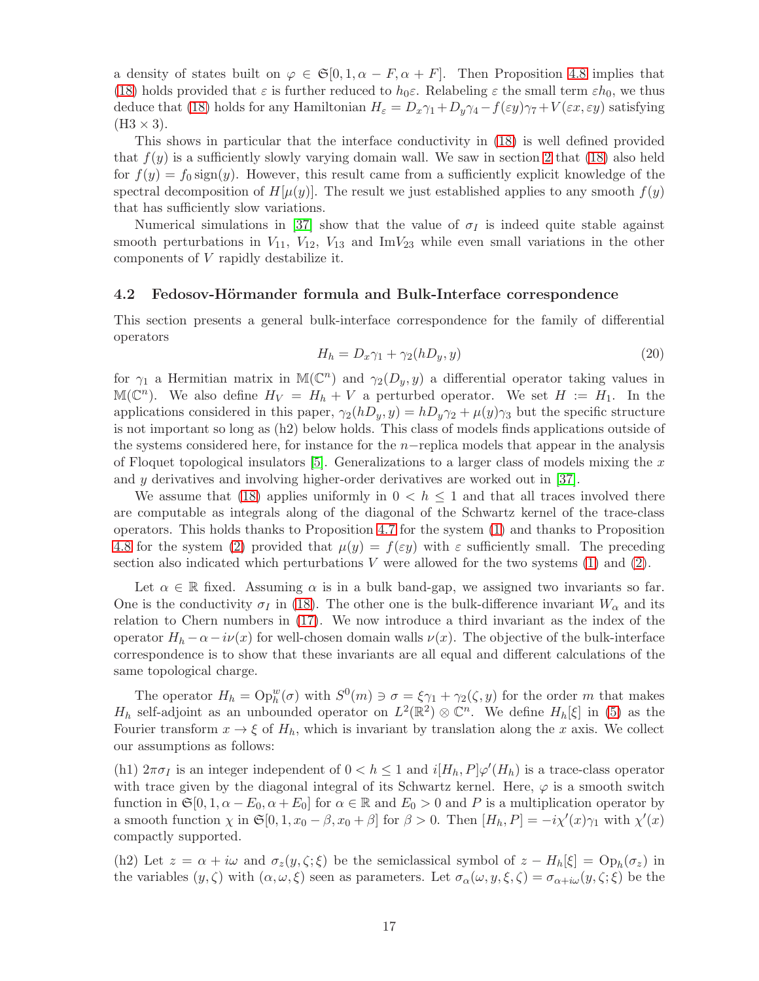a density of states built on  $\varphi \in \mathfrak{S}[0, 1, \alpha - F, \alpha + F]$ . Then Proposition [4.8](#page-14-1) implies that [\(18\)](#page-10-1) holds provided that  $\varepsilon$  is further reduced to  $h_0 \varepsilon$ . Relabeling  $\varepsilon$  the small term  $\varepsilon h_0$ , we thus deduce that [\(18\)](#page-10-1) holds for any Hamiltonian  $H_{\varepsilon} = D_x \gamma_1 + D_y \gamma_4 - f(\varepsilon y) \gamma_7 + V(\varepsilon x, \varepsilon y)$  satisfying  $(H3 \times 3)$ .

This shows in particular that the interface conductivity in [\(18\)](#page-10-1) is well defined provided that  $f(y)$  is a sufficiently slowly varying domain wall. We saw in section [2](#page-3-0) that [\(18\)](#page-10-1) also held for  $f(y) = f_0 \text{sign}(y)$ . However, this result came from a sufficiently explicit knowledge of the spectral decomposition of  $H[\mu(y)]$ . The result we just established applies to any smooth  $f(y)$ that has sufficiently slow variations.

Numerical simulations in [\[37\]](#page-38-16) show that the value of  $\sigma_I$  is indeed quite stable against smooth perturbations in  $V_{11}$ ,  $V_{12}$ ,  $V_{13}$  and Im $V_{23}$  while even small variations in the other components of V rapidly destabilize it.

#### <span id="page-16-0"></span>4.2 Fedosov-Hörmander formula and Bulk-Interface correspondence

This section presents a general bulk-interface correspondence for the family of differential operators

<span id="page-16-1"></span>
$$
H_h = D_x \gamma_1 + \gamma_2(hD_y, y) \tag{20}
$$

for  $\gamma_1$  a Hermitian matrix in M(C<sup>n</sup>) and  $\gamma_2(D_y, y)$  a differential operator taking values in  $\mathbb{M}(\mathbb{C}^n)$ . We also define  $H_V = H_h + V$  a perturbed operator. We set  $H := H_1$ . In the applications considered in this paper,  $\gamma_2(hD_y, y) = hD_y\gamma_2 + \mu(y)\gamma_3$  but the specific structure is not important so long as (h2) below holds. This class of models finds applications outside of the systems considered here, for instance for the n−replica models that appear in the analysis of Floquet topological insulators [\[5\]](#page-36-7). Generalizations to a larger class of models mixing the  $x$ and y derivatives and involving higher-order derivatives are worked out in [\[37\]](#page-38-16).

We assume that [\(18\)](#page-10-1) applies uniformly in  $0 < h \leq 1$  and that all traces involved there are computable as integrals along of the diagonal of the Schwartz kernel of the trace-class operators. This holds thanks to Proposition [4.7](#page-13-1) for the system [\(1\)](#page-1-1) and thanks to Proposition [4.8](#page-14-1) for the system [\(2\)](#page-1-2) provided that  $\mu(y) = f(\varepsilon y)$  with  $\varepsilon$  sufficiently small. The preceding section also indicated which perturbations  $V$  were allowed for the two systems  $(1)$  and  $(2)$ .

Let  $\alpha \in \mathbb{R}$  fixed. Assuming  $\alpha$  is in a bulk band-gap, we assigned two invariants so far. One is the conductivity  $\sigma_I$  in [\(18\)](#page-10-1). The other one is the bulk-difference invariant  $W_\alpha$  and its relation to Chern numbers in [\(17\)](#page-9-1). We now introduce a third invariant as the index of the operator  $H_h - \alpha - i\nu(x)$  for well-chosen domain walls  $\nu(x)$ . The objective of the bulk-interface correspondence is to show that these invariants are all equal and different calculations of the same topological charge.

The operator  $H_h = \text{Op}_h^w(\sigma)$  with  $S^0(m) \ni \sigma = \xi \gamma_1 + \gamma_2(\zeta, y)$  for the order m that makes  $H_h$  self-adjoint as an unbounded operator on  $L^2(\mathbb{R}^2) \otimes \mathbb{C}^n$ . We define  $H_h[\xi]$  in [\(5\)](#page-4-1) as the Fourier transform  $x \to \xi$  of  $H_h$ , which is invariant by translation along the x axis. We collect our assumptions as follows:

(h1)  $2\pi\sigma_I$  is an integer independent of  $0 < h \leq 1$  and  $i[H_h, P]\varphi'(H_h)$  is a trace-class operator with trace given by the diagonal integral of its Schwartz kernel. Here,  $\varphi$  is a smooth switch function in  $\mathfrak{S}[0, 1, \alpha - E_0, \alpha + E_0]$  for  $\alpha \in \mathbb{R}$  and  $E_0 > 0$  and P is a multiplication operator by a smooth function  $\chi$  in  $\mathfrak{S}[0, 1, x_0 - \beta, x_0 + \beta]$  for  $\beta > 0$ . Then  $[H_h, P] = -i\chi'(x)\gamma_1$  with  $\chi'(x)$ compactly supported.

(h2) Let  $z = \alpha + i\omega$  and  $\sigma_z(y,\zeta;\xi)$  be the semiclassical symbol of  $z - H_h[\xi] = \text{Op}_h(\sigma_z)$  in the variables  $(y, \zeta)$  with  $(\alpha, \omega, \xi)$  seen as parameters. Let  $\sigma_\alpha(\omega, y, \xi, \zeta) = \sigma_{\alpha + i\omega}(y, \zeta; \xi)$  be the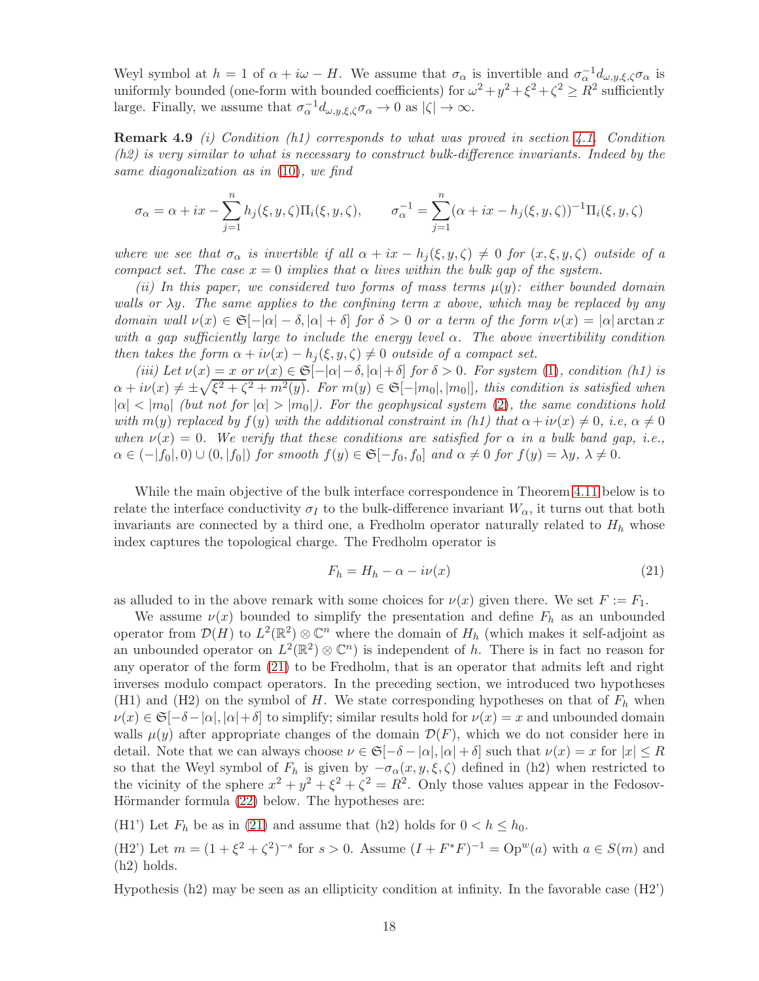Weyl symbol at  $h = 1$  of  $\alpha + i\omega - H$ . We assume that  $\sigma_{\alpha}$  is invertible and  $\sigma_{\alpha}^{-1}d_{\omega, y, \xi, \zeta}\sigma_{\alpha}$  is uniformly bounded (one-form with bounded coefficients) for  $\omega^2 + y^2 + \xi^2 + \zeta^2 \geq R^2$  sufficiently large. Finally, we assume that  $\sigma_{\alpha}^{-1}d_{\omega,y,\xi,\zeta}\sigma_{\alpha}\to 0$  as  $|\zeta|\to\infty$ .

**Remark 4.9** (i) Condition (h1) corresponds to what was proved in section [4.1.](#page-10-0) Condition (h2) is very similar to what is necessary to construct bulk-difference invariants. Indeed by the same diagonalization as in [\(10\)](#page-6-1), we find

$$
\sigma_{\alpha} = \alpha + ix - \sum_{j=1}^{n} h_j(\xi, y, \zeta) \Pi_i(\xi, y, \zeta), \qquad \sigma_{\alpha}^{-1} = \sum_{j=1}^{n} (\alpha + ix - h_j(\xi, y, \zeta))^{-1} \Pi_i(\xi, y, \zeta)
$$

where we see that  $\sigma_{\alpha}$  is invertible if all  $\alpha + ix - h_j(\xi, y, \zeta) \neq 0$  for  $(x, \xi, y, \zeta)$  outside of a compact set. The case  $x = 0$  implies that  $\alpha$  lives within the bulk gap of the system.

(ii) In this paper, we considered two forms of mass terms  $\mu(y)$ : either bounded domain walls or  $\lambda y$ . The same applies to the confining term x above, which may be replaced by any domain wall  $\nu(x) \in \mathfrak{S}[-|\alpha| - \delta, |\alpha| + \delta]$  for  $\delta > 0$  or a term of the form  $\nu(x) = |\alpha| \arctan x$ with a gap sufficiently large to include the energy level  $\alpha$ . The above invertibility condition then takes the form  $\alpha + i\nu(x) - h_i(\xi, y, \zeta) \neq 0$  outside of a compact set.

(iii) Let  $\nu(x) = x$  or  $\nu(x) \in \mathfrak{S}[-|\alpha| - \delta, |\alpha| + \delta]$  for  $\delta > 0$ . For system [\(1\)](#page-1-1), condition (h1) is  $\alpha + i\nu(x) \neq \pm \sqrt{\xi^2 + \zeta^2 + m^2(y)}$ . For  $m(y) \in \mathfrak{S}[-|m_0|, |m_0|]$ , this condition is satisfied when  $|\alpha| < |m_0|$  (but not for  $|\alpha| > |m_0|$ ). For the geophysical system [\(2\)](#page-1-2), the same conditions hold with  $m(y)$  replaced by  $f(y)$  with the additional constraint in (h1) that  $\alpha + i\nu(x) \neq 0$ , i.e,  $\alpha \neq 0$ when  $\nu(x) = 0$ . We verify that these conditions are satisfied for  $\alpha$  in a bulk band gap, i.e.,  $\alpha \in (-|f_0|, 0) \cup (0, |f_0|)$  for smooth  $f(y) \in \mathfrak{S}[-f_0, f_0]$  and  $\alpha \neq 0$  for  $f(y) = \lambda y, \lambda \neq 0$ .

While the main objective of the bulk interface correspondence in Theorem [4.11](#page-18-0) below is to relate the interface conductivity  $\sigma_I$  to the bulk-difference invariant  $W_\alpha$ , it turns out that both invariants are connected by a third one, a Fredholm operator naturally related to  $H<sub>h</sub>$  whose index captures the topological charge. The Fredholm operator is

<span id="page-17-0"></span>
$$
F_h = H_h - \alpha - i\nu(x) \tag{21}
$$

as alluded to in the above remark with some choices for  $\nu(x)$  given there. We set  $F := F_1$ .

We assume  $\nu(x)$  bounded to simplify the presentation and define  $F_h$  as an unbounded operator from  $\mathcal{D}(H)$  to  $L^2(\mathbb{R}^2) \otimes \mathbb{C}^n$  where the domain of  $H_h$  (which makes it self-adjoint as an unbounded operator on  $L^2(\mathbb{R}^2) \otimes \mathbb{C}^n$  is independent of h. There is in fact no reason for any operator of the form [\(21\)](#page-17-0) to be Fredholm, that is an operator that admits left and right inverses modulo compact operators. In the preceding section, we introduced two hypotheses (H1) and (H2) on the symbol of H. We state corresponding hypotheses on that of  $F_h$  when  $\nu(x) \in \mathfrak{S}[-\delta-|\alpha|, |\alpha|+\delta]$  to simplify; similar results hold for  $\nu(x) = x$  and unbounded domain walls  $\mu(y)$  after appropriate changes of the domain  $\mathcal{D}(F)$ , which we do not consider here in detail. Note that we can always choose  $\nu \in \mathfrak{S}[-\delta-|\alpha|, |\alpha|+\delta]$  such that  $\nu(x) = x$  for  $|x| \leq R$ so that the Weyl symbol of  $F_h$  is given by  $-\sigma_\alpha(x, y, \xi, \zeta)$  defined in (h2) when restricted to the vicinity of the sphere  $x^2 + y^2 + \xi^2 + \xi^2 = R^2$ . Only those values appear in the Fedosov-Hörmander formula  $(22)$  below. The hypotheses are:

(H1') Let  $F_h$  be as in [\(21\)](#page-17-0) and assume that (h2) holds for  $0 < h \leq h_0$ .

(H2') Let  $m = (1 + \xi^2 + \zeta^2)^{-s}$  for  $s > 0$ . Assume  $(I + F^*F)^{-1} = \text{Op}^w(a)$  with  $a \in S(m)$  and (h2) holds.

Hypothesis  $(h2)$  may be seen as an ellipticity condition at infinity. In the favorable case  $(H2)$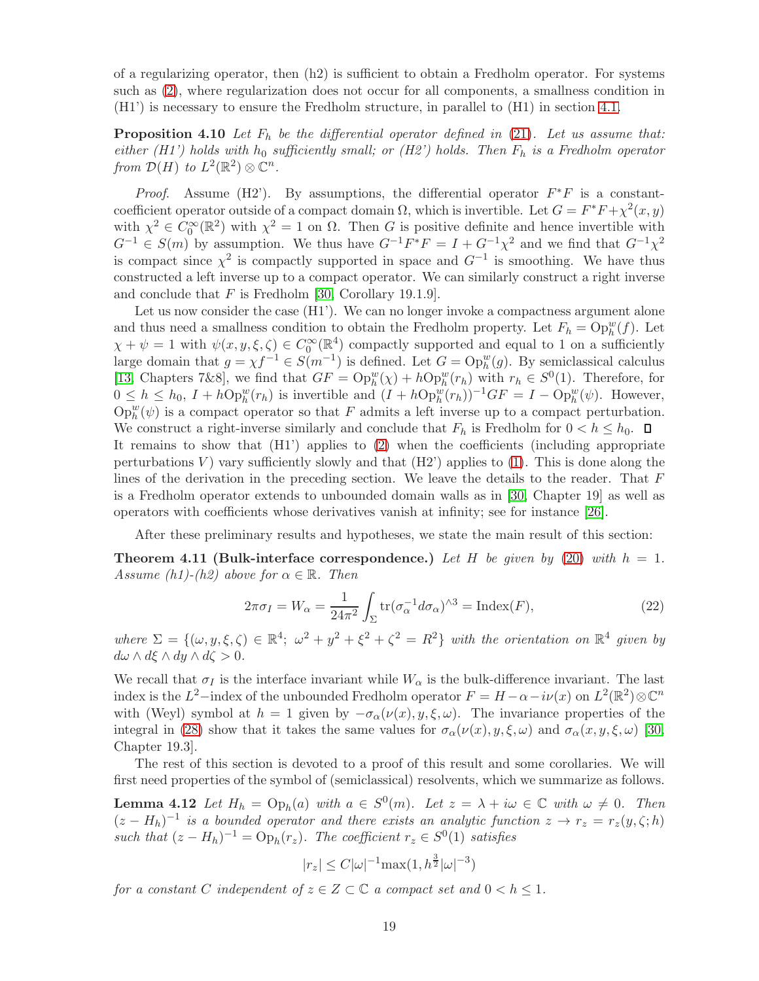of a regularizing operator, then (h2) is sufficient to obtain a Fredholm operator. For systems such as [\(2\)](#page-1-2), where regularization does not occur for all components, a smallness condition in (H1') is necessary to ensure the Fredholm structure, in parallel to (H1) in section [4.1.](#page-10-0)

<span id="page-18-3"></span>**Proposition 4.10** Let  $F_h$  be the differential operator defined in [\(21\)](#page-17-0). Let us assume that: either (H1') holds with h<sub>0</sub> sufficiently small; or (H2') holds. Then  $F_h$  is a Fredholm operator from  $\mathcal{D}(H)$  to  $L^2(\mathbb{R}^2) \otimes \mathbb{C}^n$ .

*Proof.* Assume (H2'). By assumptions, the differential operator  $F^*F$  is a constantcoefficient operator outside of a compact domain  $\Omega$ , which is invertible. Let  $G = F^*F + \chi^2(x, y)$ with  $\chi^2 \in C_0^{\infty}(\mathbb{R}^2)$  with  $\chi^2 = 1$  on  $\Omega$ . Then G is positive definite and hence invertible with  $G^{-1} \in S(m)$  by assumption. We thus have  $G^{-1}F^*F = I + G^{-1}\chi^2$  and we find that  $G^{-1}\chi^2$ is compact since  $\chi^2$  is compactly supported in space and  $G^{-1}$  is smoothing. We have thus constructed a left inverse up to a compact operator. We can similarly construct a right inverse and conclude that  $F$  is Fredholm [\[30,](#page-38-6) Corollary 19.1.9].

Let us now consider the case  $(H1')$ . We can no longer invoke a compactness argument alone and thus need a smallness condition to obtain the Fredholm property. Let  $F_h = \text{Op}_h^w(f)$ . Let  $\chi + \psi = 1$  with  $\psi(x, y, \xi, \zeta) \in C_0^{\infty}(\mathbb{R}^4)$  compactly supported and equal to 1 on a sufficiently large domain that  $g = \chi f^{-1} \in S(m^{-1})$  is defined. Let  $G = \text{Op}_{h}^{w}(g)$ . By semiclassical calculus [\[13,](#page-37-10) Chapters 7&8], we find that  $GF = \text{Op}_{h}^{w}(\chi) + h \text{Op}_{h}^{w}(r_h)$  with  $r_h \in S^{0}(1)$ . Therefore, for  $0 \leq h \leq h_0$ ,  $I + h \text{Op}_h^w(r_h)$  is invertible and  $(I + h \text{Op}_h^w(r_h))^{-1}GF = I - \text{Op}_h^w(\psi)$ . However,  $\mathrm{Op}_{h}^w(\psi)$  is a compact operator so that F admits a left inverse up to a compact perturbation. We construct a right-inverse similarly and conclude that  $F_h$  is Fredholm for  $0 < h \leq h_0$ .  $\Box$ It remains to show that (H1') applies to [\(2\)](#page-1-2) when the coefficients (including appropriate perturbations V) vary sufficiently slowly and that  $(H2')$  applies to  $(1)$ . This is done along the lines of the derivation in the preceding section. We leave the details to the reader. That  $F$ is a Fredholm operator extends to unbounded domain walls as in [\[30,](#page-38-6) Chapter 19] as well as operators with coefficients whose derivatives vanish at infinity; see for instance [\[26\]](#page-38-17).

After these preliminary results and hypotheses, we state the main result of this section:

**Theorem 4.11 (Bulk-interface correspondence.)** Let H be given by [\(20\)](#page-16-1) with  $h = 1$ . Assume (h1)-(h2) above for  $\alpha \in \mathbb{R}$ . Then

<span id="page-18-1"></span><span id="page-18-0"></span>
$$
2\pi\sigma_I = W_\alpha = \frac{1}{24\pi^2} \int_{\Sigma} \text{tr}(\sigma_\alpha^{-1} d\sigma_\alpha)^{\wedge 3} = \text{Index}(F),\tag{22}
$$

where  $\Sigma = \{(\omega, y, \xi, \zeta) \in \mathbb{R}^4$ ;  $\omega^2 + y^2 + \xi^2 + \zeta^2 = R^2\}$  with the orientation on  $\mathbb{R}^4$  given by  $d\omega \wedge d\xi \wedge dy \wedge d\zeta > 0.$ 

We recall that  $\sigma_I$  is the interface invariant while  $W_\alpha$  is the bulk-difference invariant. The last index is the L<sup>2</sup>-index of the unbounded Fredholm operator  $F = H - \alpha - i\nu(x)$  on  $L^2(\mathbb{R}^2) \otimes \mathbb{C}^n$ with (Weyl) symbol at  $h = 1$  given by  $-\sigma_{\alpha}(\nu(x), y, \xi, \omega)$ . The invariance properties of the integral in [\(28\)](#page-22-0) show that it takes the same values for  $\sigma_{\alpha}(\nu(x), y, \xi, \omega)$  and  $\sigma_{\alpha}(x, y, \xi, \omega)$  [\[30,](#page-38-6) Chapter 19.3].

The rest of this section is devoted to a proof of this result and some corollaries. We will first need properties of the symbol of (semiclassical) resolvents, which we summarize as follows.

**Lemma 4.12** Let  $H_h = \text{Op}_h(a)$  with  $a \in S^0(m)$ . Let  $z = \lambda + i\omega \in \mathbb{C}$  with  $\omega \neq 0$ . Then  $(z-H_h)^{-1}$  is a bounded operator and there exists an analytic function  $z \to r_z = r_z(y,\zeta;h)$ such that  $(z - H_h)^{-1} = \text{Op}_h(r_z)$ . The coefficient  $r_z \in S^0(1)$  satisfies

<span id="page-18-2"></span>
$$
|r_z| \le C|\omega|^{-1} \max(1, h^{\frac{3}{2}}|\omega|^{-3})
$$

for a constant C independent of  $z \in Z \subset \mathbb{C}$  a compact set and  $0 < h \leq 1$ .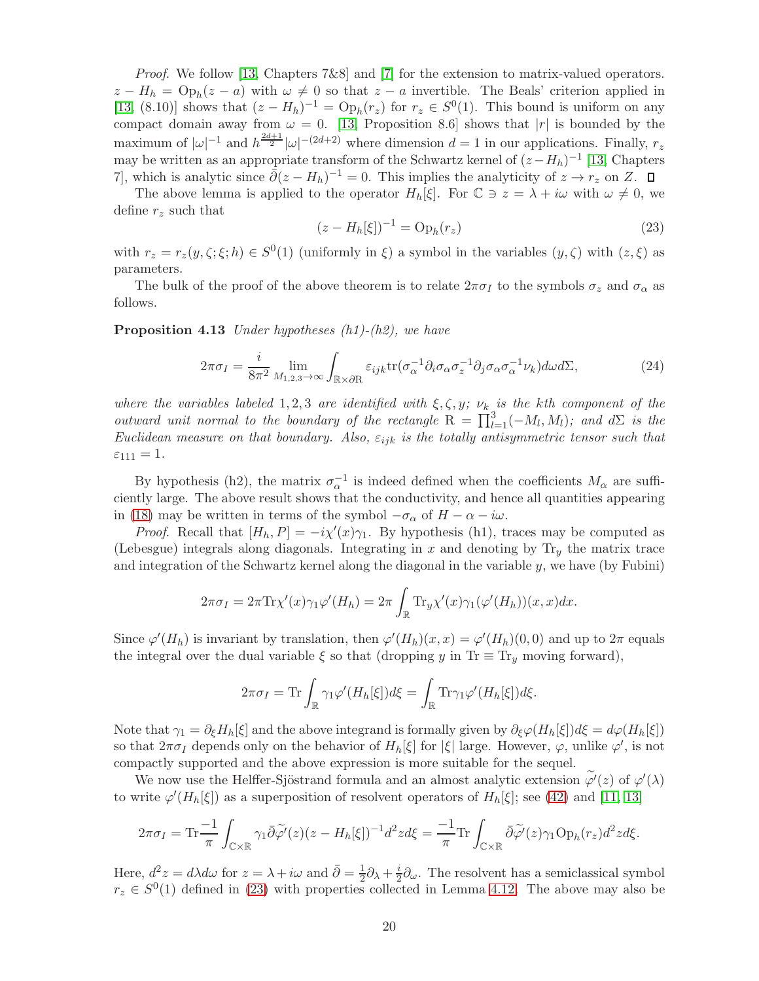Proof. We follow [\[13,](#page-37-10) Chapters 7&8] and [\[7\]](#page-37-16) for the extension to matrix-valued operators.  $z - H_h = \text{Op}_h(z - a)$  with  $\omega \neq 0$  so that  $z - a$  invertible. The Beals' criterion applied in [\[13,](#page-37-10) (8.10)] shows that  $(z - H_h)^{-1} = \text{Op}_h(r_z)$  for  $r_z \in S^0(1)$ . This bound is uniform on any compact domain away from  $\omega = 0$ . [\[13,](#page-37-10) Proposition 8.6] shows that |r| is bounded by the maximum of  $|\omega|^{-1}$  and  $h^{\frac{2d+1}{2}}|\omega|^{-(2d+2)}$  where dimension  $d=1$  in our applications. Finally,  $r_z$ may be written as an appropriate transform of the Schwartz kernel of  $(z-H_h)^{-1}$  [\[13,](#page-37-10) Chapters 7, which is analytic since  $\bar{\partial}(z - H_h)^{-1} = 0$ . This implies the analyticity of  $z \to r_z$  on Z.

The above lemma is applied to the operator  $H_h[\xi]$ . For  $\mathbb{C} \ni z = \lambda + i\omega$  with  $\omega \neq 0$ , we define  $r_z$  such that

<span id="page-19-0"></span>
$$
(z - H_h[\xi])^{-1} = \text{Op}_h(r_z)
$$
\n(23)

with  $r_z = r_z(y, \zeta; \xi; h) \in S^0(1)$  (uniformly in  $\xi$ ) a symbol in the variables  $(y, \zeta)$  with  $(z, \xi)$  as parameters.

<span id="page-19-1"></span>The bulk of the proof of the above theorem is to relate  $2\pi\sigma_I$  to the symbols  $\sigma_z$  and  $\sigma_\alpha$  as follows.

**Proposition 4.13** Under hypotheses  $(h1)-(h2)$ , we have

$$
2\pi\sigma_I = \frac{i}{8\pi^2} \lim_{M_{1,2,3}\to\infty} \int_{\mathbb{R}\times\partial\mathbb{R}} \varepsilon_{ijk} \text{tr}(\sigma_\alpha^{-1} \partial_i \sigma_\alpha \sigma_z^{-1} \partial_j \sigma_\alpha \sigma_\alpha^{-1} \nu_k) d\omega d\Sigma,
$$
 (24)

where the variables labeled 1,2,3 are identified with  $\xi, \zeta, y$ ;  $\nu_k$  is the kth component of the outward unit normal to the boundary of the rectangle  $R = \prod_{l=1}^{3} (-M_l, M_l)$ ; and  $d\Sigma$  is the Euclidean measure on that boundary. Also,  $\varepsilon_{ijk}$  is the totally antisymmetric tensor such that  $\varepsilon_{111} = 1.$ 

By hypothesis (h2), the matrix  $\sigma_{\alpha}^{-1}$  is indeed defined when the coefficients  $M_{\alpha}$  are sufficiently large. The above result shows that the conductivity, and hence all quantities appearing in [\(18\)](#page-10-1) may be written in terms of the symbol  $-\sigma_{\alpha}$  of  $H - \alpha - i\omega$ .

*Proof.* Recall that  $[H_h, P] = -i\chi'(x)\gamma_1$ . By hypothesis (h1), traces may be computed as (Lebesgue) integrals along diagonals. Integrating in  $x$  and denoting by  $\text{Tr}_y$  the matrix trace and integration of the Schwartz kernel along the diagonal in the variable  $y$ , we have (by Fubini)

$$
2\pi\sigma_I = 2\pi \text{Tr}\chi'(x)\gamma_1\varphi'(H_h) = 2\pi \int_{\mathbb{R}} \text{Tr}_y\chi'(x)\gamma_1(\varphi'(H_h))(x,x)dx.
$$

Since  $\varphi'(H_h)$  is invariant by translation, then  $\varphi'(H_h)(x, x) = \varphi'(H_h)(0, 0)$  and up to  $2\pi$  equals the integral over the dual variable  $\xi$  so that (dropping y in Tr  $\equiv$  Tr<sub>y</sub> moving forward),

$$
2\pi\sigma_I = \text{Tr}\int_{\mathbb{R}} \gamma_1 \varphi'(H_h[\xi]) d\xi = \int_{\mathbb{R}} \text{Tr}\gamma_1 \varphi'(H_h[\xi]) d\xi.
$$

Note that  $\gamma_1 = \partial_{\xi} H_h[\xi]$  and the above integrand is formally given by  $\partial_{\xi} \varphi(H_h[\xi]) d\xi = d\varphi(H_h[\xi])$ so that  $2\pi\sigma_I$  depends only on the behavior of  $H_h[\xi]$  for  $|\xi|$  large. However,  $\varphi$ , unlike  $\varphi'$ , is not compactly supported and the above expression is more suitable for the sequel.

We now use the Helffer-Sjöstrand formula and an almost analytic extension  $\varphi'(z)$  of  $\varphi'(\lambda)$ to write  $\varphi'(H_h[\xi])$  as a superposition of resolvent operators of  $H_h[\xi]$ ; see [\(42\)](#page-36-5) and [\[11,](#page-37-9) [13\]](#page-37-10)

$$
2\pi\sigma_I = \text{Tr}\frac{-1}{\pi} \int_{\mathbb{C}\times\mathbb{R}} \gamma_1 \bar{\partial}\widetilde{\varphi'}(z)(z - H_h[\xi])^{-1} d^2z d\xi = \frac{-1}{\pi} \text{Tr} \int_{\mathbb{C}\times\mathbb{R}} \bar{\partial}\widetilde{\varphi'}(z)\gamma_1 \text{Op}_h(r_z) d^2z d\xi.
$$

Here,  $d^2z = d\lambda d\omega$  for  $z = \lambda + i\omega$  and  $\bar{\partial} = \frac{1}{2}$  $\frac{1}{2}\partial_{\lambda}+\frac{i}{2}$  $\frac{i}{2}\partial_{\omega}$ . The resolvent has a semiclassical symbol  $r_z \in S^0(1)$  defined in [\(23\)](#page-19-0) with properties collected in Lemma [4.12.](#page-18-2) The above may also be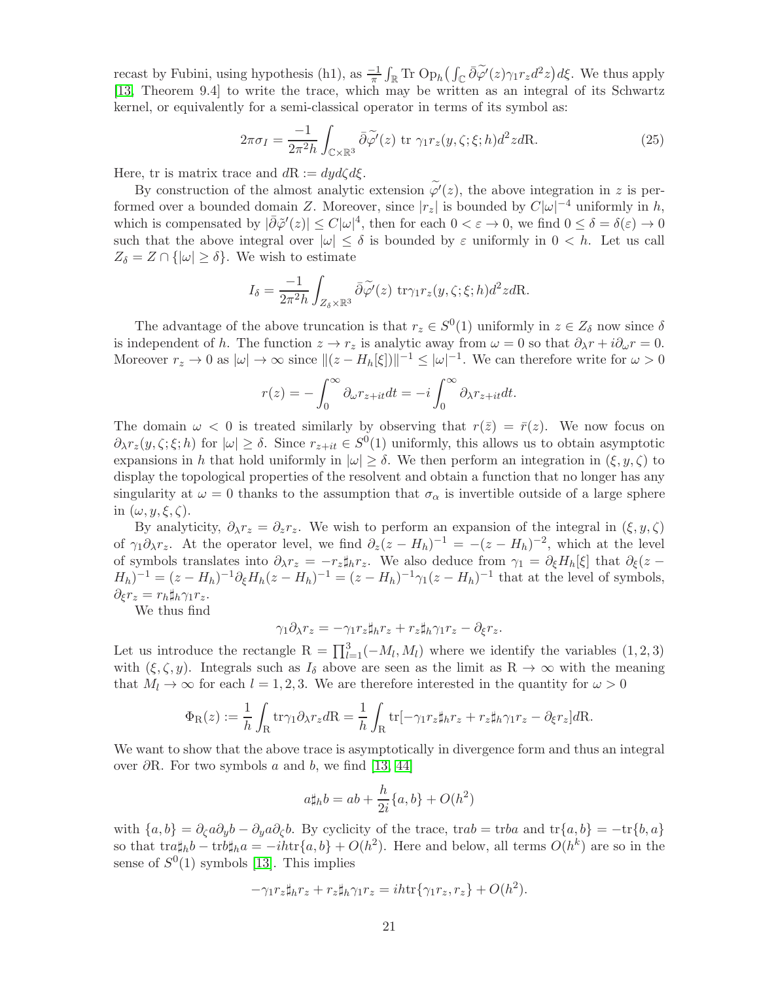recast by Fubini, using hypothesis (h1), as  $\frac{-1}{\pi} \int_{\mathbb{R}} \text{Tr } \text{Op}_h \left( \int_{\mathbb{C}} \overline{\partial} \widetilde{\varphi}'(z) \gamma_1 r_z d^2 z \right) d\xi$ . We thus apply [\[13,](#page-37-10) Theorem 9.4] to write the trace, which may be written as an integral of its Schwartz kernel, or equivalently for a semi-classical operator in terms of its symbol as:

$$
2\pi\sigma_I = \frac{-1}{2\pi^2 h} \int_{\mathbb{C}\times\mathbb{R}^3} \bar{\partial}\tilde{\varphi}'(z) \text{ tr } \gamma_1 r_z(y,\zeta;\xi;h) d^2 z dR.
$$
 (25)

Here, tr is matrix trace and  $dR := dy d\zeta d\xi$ .

By construction of the almost analytic extension  $\varphi'(z)$ , the above integration in z is performed over a bounded domain Z. Moreover, since  $|r_z|$  is bounded by  $C|\omega|^{-4}$  uniformly in h, which is compensated by  $|\bar{\partial}\tilde{\varphi}'(z)| \leq C|\omega|^4$ , then for each  $0 < \varepsilon \to 0$ , we find  $0 \leq \delta = \delta(\varepsilon) \to 0$ such that the above integral over  $|\omega| \leq \delta$  is bounded by  $\varepsilon$  uniformly in  $0 \leq h$ . Let us call  $Z_{\delta} = Z \cap \{|\omega| \geq \delta\}.$  We wish to estimate

$$
I_{\delta} = \frac{-1}{2\pi^2 h} \int_{Z_{\delta} \times \mathbb{R}^3} \bar{\partial} \widetilde{\varphi}'(z) \operatorname{tr} \gamma_1 r_z(y, \zeta; \xi; h) d^2 z dR.
$$

The advantage of the above truncation is that  $r_z \in S^0(1)$  uniformly in  $z \in Z_\delta$  now since  $\delta$ is independent of h. The function  $z \to r_z$  is analytic away from  $\omega = 0$  so that  $\partial_\lambda r + i \partial_\omega r = 0$ . Moreover  $r_z \to 0$  as  $|\omega| \to \infty$  since  $||(z - H_h[\xi])||^{-1} \leq |\omega|^{-1}$ . We can therefore write for  $\omega > 0$ 

$$
r(z) = -\int_0^\infty \partial_\omega r_{z+it} dt = -i \int_0^\infty \partial_\lambda r_{z+it} dt.
$$

The domain  $\omega < 0$  is treated similarly by observing that  $r(\bar{z}) = \bar{r}(z)$ . We now focus on  $\partial_\lambda r_z(y,\zeta;\xi;h)$  for  $|\omega|\geq \delta$ . Since  $r_{z+it}\in S^0(1)$  uniformly, this allows us to obtain asymptotic expansions in h that hold uniformly in  $|\omega| \geq \delta$ . We then perform an integration in  $(\xi, y, \zeta)$  to display the topological properties of the resolvent and obtain a function that no longer has any singularity at  $\omega = 0$  thanks to the assumption that  $\sigma_{\alpha}$  is invertible outside of a large sphere in  $(\omega, y, \xi, \zeta)$ .

By analyticity,  $\partial_{\lambda} r_z = \partial_z r_z$ . We wish to perform an expansion of the integral in  $(\xi, y, \zeta)$ of  $\gamma_1 \partial_\lambda r_z$ . At the operator level, we find  $\partial_z (z - H_h)^{-1} = -(z - H_h)^{-2}$ , which at the level of symbols translates into  $\partial_{\lambda} r_z = -r_z \sharp_h r_z$ . We also deduce from  $\gamma_1 = \partial_{\xi} H_h[\xi]$  that  $\partial_{\xi} (z (H_h)^{-1} = (z - H_h)^{-1} \partial_{\xi} H_h (z - H_h)^{-1} = (z - H_h)^{-1} \gamma_1 (z - H_h)^{-1}$  that at the level of symbols,  $\partial_{\xi}r_{z}=r_{h}\sharp_{h}\gamma_{1}r_{z}.$ 

We thus find

$$
\gamma_1 \partial_\lambda r_z = -\gamma_1 r_z \sharp_h r_z + r_z \sharp_h \gamma_1 r_z - \partial_\xi r_z.
$$

Let us introduce the rectangle  $R = \prod_{l=1}^{3} (-M_l, M_l)$  where we identify the variables  $(1, 2, 3)$ with  $(\xi, \zeta, y)$ . Integrals such as  $I_\delta$  above are seen as the limit as  $R \to \infty$  with the meaning that  $M_l \to \infty$  for each  $l = 1, 2, 3$ . We are therefore interested in the quantity for  $\omega > 0$ 

$$
\Phi_{\mathcal{R}}(z) := \frac{1}{h} \int_{\mathcal{R}} \text{tr} \gamma_1 \partial_{\lambda} r_z d\mathcal{R} = \frac{1}{h} \int_{\mathcal{R}} \text{tr}[-\gamma_1 r_z \sharp_h r_z + r_z \sharp_h \gamma_1 r_z - \partial_{\xi} r_z] d\mathcal{R}.
$$

We want to show that the above trace is asymptotically in divergence form and thus an integral over ∂R. For two symbols a and b, we find [\[13,](#page-37-10) [44\]](#page-38-18)

$$
a\sharp_h b = ab + \frac{h}{2i}\{a, b\} + O(h^2)
$$

with  $\{a, b\} = \partial_{\zeta} a \partial_{y} b - \partial_{y} a \partial_{\zeta} b$ . By cyclicity of the trace, trab = trba and tr $\{a, b\}$  = -tr $\{b, a\}$ so that  $\text{tr}a\sharp_h b - \text{tr}b\sharp_h a = -i\text{htr}\{a, b\} + O(h^2)$ . Here and below, all terms  $O(h^k)$  are so in the sense of  $S^0(1)$  symbols [\[13\]](#page-37-10). This implies

$$
-\gamma_1 r_z \sharp_h r_z + r_z \sharp_h \gamma_1 r_z = ih \text{tr} \{ \gamma_1 r_z, r_z \} + O(h^2).
$$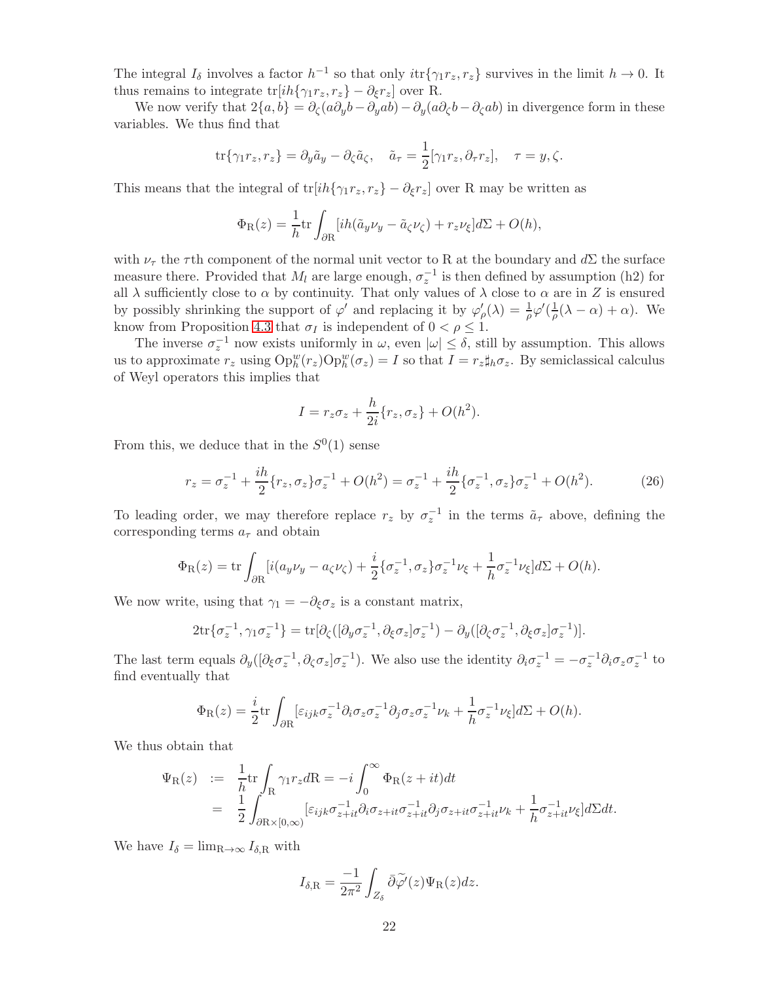The integral  $I_\delta$  involves a factor  $h^{-1}$  so that only  $itr\{\gamma_1r_z, r_z\}$  survives in the limit  $h \to 0$ . It thus remains to integrate  $tr[ih{\gamma_1 r_z, r_z} - \partial_\xi r_z]$  over R.

We now verify that  $2{a,b} = \partial_{\zeta}(a\partial_yb-\partial_yab)-\partial_y(a\partial_{\zeta}b-\partial_{\zeta}ab)$  in divergence form in these variables. We thus find that

$$
\text{tr}\{\gamma_1 r_z, r_z\} = \partial_y \tilde{a}_y - \partial_\zeta \tilde{a}_\zeta, \quad \tilde{a}_\tau = \frac{1}{2} [\gamma_1 r_z, \partial_\tau r_z], \quad \tau = y, \zeta.
$$

This means that the integral of  $tr[ih{\gamma_1r_z, r_z} - \partial_\xi r_z]$  over R may be written as

$$
\Phi_{\rm R}(z) = \frac{1}{h} {\rm tr} \int_{\partial R} [i h(\tilde{a}_y \nu_y - \tilde{a}_\zeta \nu_\zeta) + r_z \nu_\xi] d\Sigma + O(h),
$$

with  $\nu_{\tau}$  the  $\tau$ th component of the normal unit vector to R at the boundary and  $d\Sigma$  the surface measure there. Provided that  $M_l$  are large enough,  $\sigma_z^{-1}$  is then defined by assumption (h2) for all  $\lambda$  sufficiently close to  $\alpha$  by continuity. That only values of  $\lambda$  close to  $\alpha$  are in Z is ensured by possibly shrinking the support of  $\varphi'$  and replacing it by  $\varphi'_{\rho}(\lambda) = \frac{1}{\rho} \varphi'(\frac{1}{\rho}(\lambda - \alpha) + \alpha)$ . We know from Proposition [4.3](#page-12-2) that  $\sigma_I$  is independent of  $0 < \rho \leq 1$ .

The inverse  $\sigma_z^{-1}$  now exists uniformly in  $\omega$ , even  $|\omega| \leq \delta$ , still by assumption. This allows us to approximate  $r_z$  using  $Op_h^w(r_z)Op_h^w(\sigma_z) = I$  so that  $I = r_z \sharp_h \sigma_z$ . By semiclassical calculus of Weyl operators this implies that

$$
I = r_z \sigma_z + \frac{h}{2i} \{r_z, \sigma_z\} + O(h^2).
$$

From this, we deduce that in the  $S^0(1)$  sense

$$
r_z = \sigma_z^{-1} + \frac{ih}{2} \{r_z, \sigma_z\} \sigma_z^{-1} + O(h^2) = \sigma_z^{-1} + \frac{ih}{2} \{\sigma_z^{-1}, \sigma_z\} \sigma_z^{-1} + O(h^2). \tag{26}
$$

To leading order, we may therefore replace  $r_z$  by  $\sigma_z^{-1}$  in the terms  $\tilde{a}_{\tau}$  above, defining the corresponding terms  $a<sub>\tau</sub>$  and obtain

$$
\Phi_{\mathcal{R}}(z) = \text{tr}\int_{\partial \mathcal{R}} [i(a_y \nu_y - a_\zeta \nu_\zeta) + \frac{i}{2} {\{\sigma_z^{-1}, \sigma_z\}} \sigma_z^{-1} \nu_\xi + \frac{1}{h} \sigma_z^{-1} \nu_\xi] d\Sigma + O(h).
$$

We now write, using that  $\gamma_1 = -\partial_{\xi} \sigma_z$  is a constant matrix,

$$
2\mathrm{tr}\{\sigma_z^{-1},\gamma_1\sigma_z^{-1}\}=\mathrm{tr}[\partial_\zeta([\partial_y\sigma_z^{-1},\partial_\xi\sigma_z]\sigma_z^{-1})-\partial_y([\partial_\zeta\sigma_z^{-1},\partial_\xi\sigma_z]\sigma_z^{-1})].
$$

The last term equals  $\partial_y([\partial_\xi \sigma_z^{-1}, \partial_\zeta \sigma_z] \sigma_z^{-1})$ . We also use the identity  $\partial_i \sigma_z^{-1} = -\sigma_z^{-1} \partial_i \sigma_z \sigma_z^{-1}$  to find eventually that

$$
\Phi_{\rm R}(z) = \frac{i}{2} {\rm tr} \int_{\partial R} [\varepsilon_{ijk} \sigma_z^{-1} \partial_i \sigma_z \sigma_z^{-1} \partial_j \sigma_z \sigma_z^{-1} \nu_k + \frac{1}{h} \sigma_z^{-1} \nu_{\xi}] d\Sigma + O(h).
$$

We thus obtain that

$$
\Psi_{\mathcal{R}}(z) := \frac{1}{h} \text{tr} \int_{\mathcal{R}} \gamma_1 r_z d\mathcal{R} = -i \int_0^\infty \Phi_{\mathcal{R}}(z+it) dt
$$
  
\n
$$
= \frac{1}{2} \int_{\partial \mathcal{R} \times [0,\infty)} [\varepsilon_{ijk} \sigma_{z+it}^{-1} \partial_i \sigma_{z+it} \sigma_{z+it}^{-1} \partial_j \sigma_{z+it} \sigma_{z+it}^{-1} \nu_k + \frac{1}{h} \sigma_{z+it}^{-1} \nu_{\xi}] d\Sigma dt.
$$

We have  $I_{\delta} = \lim_{R \to \infty} I_{\delta,R}$  with

$$
I_{\delta,\mathrm{R}} = \frac{-1}{2\pi^2} \int_{Z_{\delta}} \bar{\partial}\tilde{\varphi}'(z) \Psi_{\mathrm{R}}(z) dz.
$$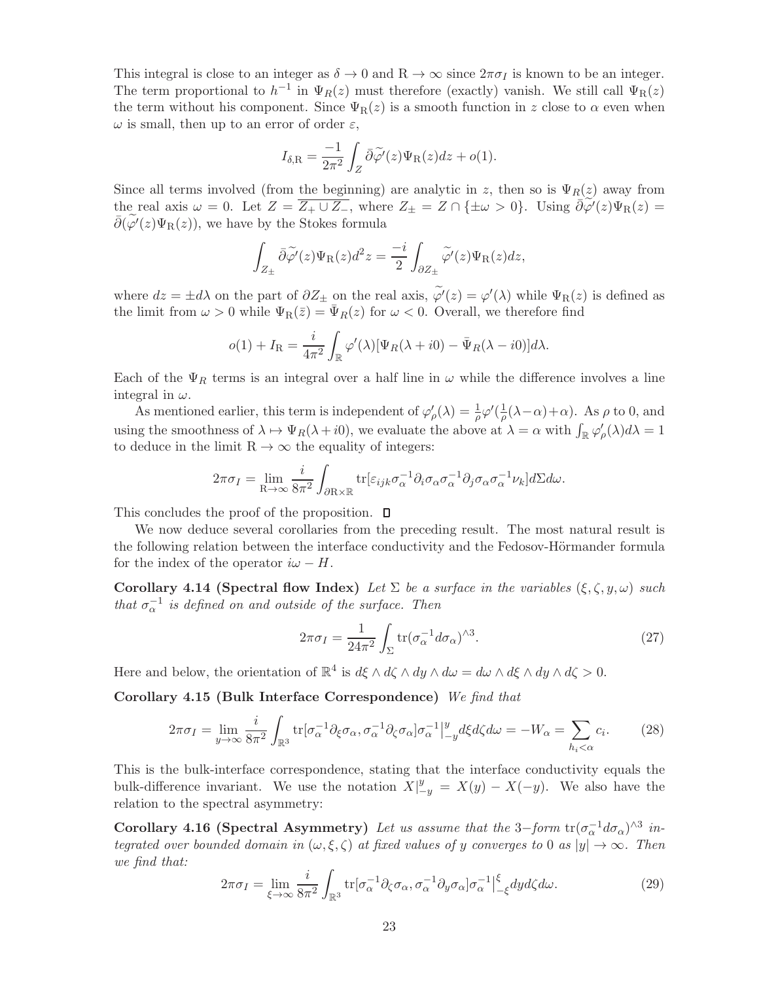This integral is close to an integer as  $\delta \to 0$  and  $R \to \infty$  since  $2\pi\sigma_I$  is known to be an integer. The term proportional to  $h^{-1}$  in  $\Psi_R(z)$  must therefore (exactly) vanish. We still call  $\Psi_R(z)$ the term without his component. Since  $\Psi_R(z)$  is a smooth function in z close to  $\alpha$  even when  $\omega$  is small, then up to an error of order  $\varepsilon$ ,

$$
I_{\delta,\mathrm{R}} = \frac{-1}{2\pi^2} \int_Z \bar{\partial}\tilde{\varphi'}(z)\Psi_{\mathrm{R}}(z)dz + o(1).
$$

Since all terms involved (from the beginning) are analytic in z, then so is  $\Psi_R(z)$  away from the real axis  $\omega = 0$ . Let  $Z = \overline{Z_+ \cup Z_-}$ , where  $Z_{\pm} = Z \cap {\{\pm \omega > 0\}}$ . Using  $\overline{\partial} \overline{\varphi'}(z) \Psi_R(z) =$  $\bar{\partial}(\widetilde{\varphi'}(z)\Psi_{\rm R}(z))$ , we have by the Stokes formula

$$
\int_{Z_{\pm}} \bar{\partial}\widetilde{\varphi'}(z)\Psi_{\mathrm{R}}(z)d^2z = \frac{-i}{2}\int_{\partial Z_{\pm}} \widetilde{\varphi'}(z)\Psi_{\mathrm{R}}(z)dz,
$$

where  $dz = \pm d\lambda$  on the part of  $\partial Z_{\pm}$  on the real axis,  $\varphi'(z) = \varphi'(\lambda)$  while  $\Psi_R(z)$  is defined as the limit from  $\omega > 0$  while  $\Psi_R(\bar{z}) = \bar{\Psi}_R(z)$  for  $\omega < 0$ . Overall, we therefore find

$$
o(1) + IR = \frac{i}{4\pi^2} \int_{\mathbb{R}} \varphi'(\lambda) [\Psi_R(\lambda + i0) - \bar{\Psi}_R(\lambda - i0)] d\lambda.
$$

Each of the  $\Psi_R$  terms is an integral over a half line in  $\omega$  while the difference involves a line integral in  $\omega$ .

As mentioned earlier, this term is independent of  $\varphi'_\rho(\lambda) = \frac{1}{\rho} \varphi'(\frac{1}{\rho}(\lambda - \alpha) + \alpha)$ . As  $\rho$  to 0, and using the smoothness of  $\lambda \mapsto \Psi_R(\lambda + i0)$ , we evaluate the above at  $\lambda = \alpha$  with  $\int_{\mathbb{R}} \varphi'_\rho(\lambda) d\lambda = 1$ to deduce in the limit  $R \to \infty$  the equality of integers:

$$
2\pi\sigma_I=\lim_{\mathbf{R}\to\infty}\frac{i}{8\pi^2}\int_{\partial\mathbf{R}\times\mathbb{R}}\mathrm{tr}[\varepsilon_{ijk}\sigma_\alpha^{-1}\partial_i\sigma_\alpha\sigma_\alpha^{-1}\partial_j\sigma_\alpha\sigma_\alpha^{-1}\nu_k]d\Sigma d\omega.
$$

This concludes the proof of the proposition.  $\Box$ 

We now deduce several corollaries from the preceding result. The most natural result is the following relation between the interface conductivity and the Fedosov-Hörmander formula for the index of the operator  $i\omega - H$ .

Corollary 4.14 (Spectral flow Index) Let  $\Sigma$  be a surface in the variables  $(\xi, \zeta, y, \omega)$  such that  $\sigma_{\alpha}^{-1}$  is defined on and outside of the surface. Then

<span id="page-22-4"></span><span id="page-22-3"></span><span id="page-22-1"></span>
$$
2\pi\sigma_I = \frac{1}{24\pi^2} \int_{\Sigma} tr(\sigma_{\alpha}^{-1} d\sigma_{\alpha})^{\wedge 3}.
$$
 (27)

Here and below, the orientation of  $\mathbb{R}^4$  is  $d\xi \wedge d\zeta \wedge dy \wedge d\omega = d\omega \wedge d\xi \wedge dy \wedge d\zeta > 0$ .

Corollary 4.15 (Bulk Interface Correspondence) We find that

<span id="page-22-0"></span>
$$
2\pi\sigma_I = \lim_{y \to \infty} \frac{i}{8\pi^2} \int_{\mathbb{R}^3} \text{tr}[\sigma_\alpha^{-1} \partial_\xi \sigma_\alpha, \sigma_\alpha^{-1} \partial_\zeta \sigma_\alpha] \sigma_\alpha^{-1} \Big|_{-y}^y d\xi d\zeta d\omega = -W_\alpha = \sum_{h_i < \alpha} c_i. \tag{28}
$$

This is the bulk-interface correspondence, stating that the interface conductivity equals the bulk-difference invariant. We use the notation  $X|_{-y}^{y} = X(y) - X(-y)$ . We also have the relation to the spectral asymmetry:

Corollary 4.16 (Spectral Asymmetry) Let us assume that the 3-form  $tr(\sigma_{\alpha}^{-1} d\sigma_{\alpha})^{\wedge 3}$  integrated over bounded domain in  $(\omega, \xi, \zeta)$  at fixed values of y converges to 0 as  $|y| \to \infty$ . Then we find that:

<span id="page-22-5"></span><span id="page-22-2"></span>
$$
2\pi\sigma_I = \lim_{\xi \to \infty} \frac{i}{8\pi^2} \int_{\mathbb{R}^3} \text{tr}[\sigma_\alpha^{-1} \partial_\zeta \sigma_\alpha, \sigma_\alpha^{-1} \partial_y \sigma_\alpha] \sigma_\alpha^{-1}|_{-\xi}^\xi dy d\zeta d\omega. \tag{29}
$$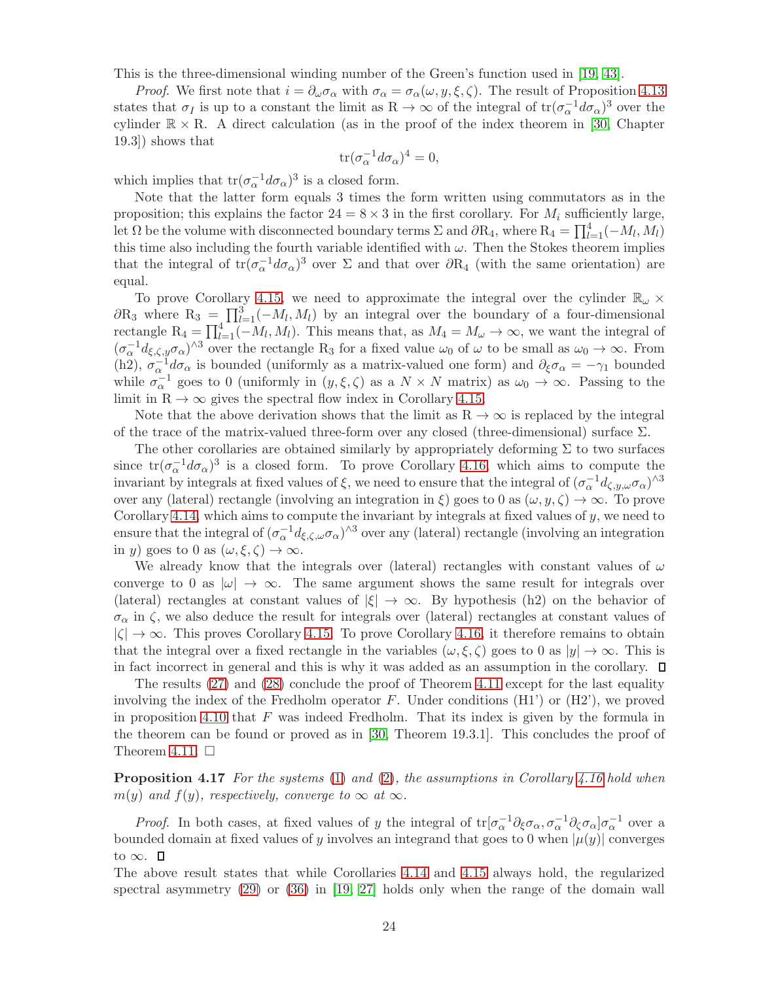This is the three-dimensional winding number of the Green's function used in [\[19,](#page-37-15) [43\]](#page-38-5).

*Proof.* We first note that  $i = \partial_\omega \sigma_\alpha$  with  $\sigma_\alpha = \sigma_\alpha(\omega, y, \xi, \zeta)$ . The result of Proposition [4.13](#page-19-1) states that  $\sigma_I$  is up to a constant the limit as  $R \to \infty$  of the integral of  $tr(\sigma_\alpha^{-1} d\sigma_\alpha)^3$  over the cylinder  $\mathbb{R} \times \mathbb{R}$ . A direct calculation (as in the proof of the index theorem in [\[30,](#page-38-6) Chapter 19.3]) shows that

$$
\operatorname{tr}(\sigma_{\alpha}^{-1}d\sigma_{\alpha})^4 = 0,
$$

which implies that  $tr(\sigma_{\alpha}^{-1} d\sigma_{\alpha})^3$  is a closed form.

Note that the latter form equals 3 times the form written using commutators as in the proposition; this explains the factor  $24 = 8 \times 3$  in the first corollary. For  $M_i$  sufficiently large, let  $\Omega$  be the volume with disconnected boundary terms  $\Sigma$  and  $\partial R_4$ , where  $R_4 = \prod_{l=1}^4 (-M_l, M_l)$ this time also including the fourth variable identified with  $\omega$ . Then the Stokes theorem implies that the integral of  $tr(\sigma_{\alpha}^{-1}d\sigma_{\alpha})^3$  over  $\Sigma$  and that over  $\partial R_4$  (with the same orientation) are equal.

To prove Corollary [4.15,](#page-22-1) we need to approximate the integral over the cylinder  $\mathbb{R}_{\omega}$  ×  $\partial R_3$  where  $R_3 = \prod_{l=1}^3 (-M_l, M_l)$  by an integral over the boundary of a four-dimensional rectangle  $R_4 = \prod_{l=1}^4 (-M_l, M_l)$ . This means that, as  $M_4 = M_\omega \to \infty$ , we want the integral of  $(\sigma_{\alpha}^{-1}d_{\xi,\zeta,y}\sigma_{\alpha})^{\wedge 3}$  over the rectangle R<sub>3</sub> for a fixed value  $\omega_0$  of  $\omega$  to be small as  $\omega_0 \to \infty$ . From (h2),  $\sigma_{\alpha}^{-1}d\sigma_{\alpha}$  is bounded (uniformly as a matrix-valued one form) and  $\partial_{\xi}\sigma_{\alpha} = -\gamma_1$  bounded while  $\sigma_{\alpha}^{-1}$  goes to 0 (uniformly in  $(y,\xi,\zeta)$  as a  $N \times N$  matrix) as  $\omega_0 \to \infty$ . Passing to the limit in  $R \to \infty$  gives the spectral flow index in Corollary [4.15.](#page-22-1)

Note that the above derivation shows that the limit as  $R \to \infty$  is replaced by the integral of the trace of the matrix-valued three-form over any closed (three-dimensional) surface  $\Sigma$ .

The other corollaries are obtained similarly by appropriately deforming  $\Sigma$  to two surfaces since  $tr(\sigma_{\alpha}^{-1}d\sigma_{\alpha})^3$  is a closed form. To prove Corollary [4.16,](#page-22-2) which aims to compute the invariant by integrals at fixed values of  $\xi$ , we need to ensure that the integral of  $(\sigma_{\alpha}^{-1}d_{\zeta,y,\omega}\sigma_{\alpha})^{\wedge 3}$ over any (lateral) rectangle (involving an integration in  $\xi$ ) goes to 0 as  $(\omega, y, \zeta) \to \infty$ . To prove Corollary [4.14,](#page-22-3) which aims to compute the invariant by integrals at fixed values of  $y$ , we need to ensure that the integral of  $(\sigma_\alpha^{-1}d_{\xi,\zeta,\omega}\sigma_\alpha)^{\wedge 3}$  over any (lateral) rectangle (involving an integration in y) goes to 0 as  $(\omega, \xi, \zeta) \to \infty$ .

We already know that the integrals over (lateral) rectangles with constant values of  $\omega$ converge to 0 as  $|\omega| \to \infty$ . The same argument shows the same result for integrals over (lateral) rectangles at constant values of  $|\xi| \to \infty$ . By hypothesis (h2) on the behavior of  $\sigma_{\alpha}$  in  $\zeta$ , we also deduce the result for integrals over (lateral) rectangles at constant values of  $|\zeta| \to \infty$ . This proves Corollary [4.15.](#page-22-1) To prove Corollary [4.16,](#page-22-2) it therefore remains to obtain that the integral over a fixed rectangle in the variables  $(\omega, \xi, \zeta)$  goes to 0 as  $|y| \to \infty$ . This is in fact incorrect in general and this is why it was added as an assumption in the corollary.  $\Box$ 

The results [\(27\)](#page-22-4) and [\(28\)](#page-22-0) conclude the proof of Theorem [4.11](#page-18-0) except for the last equality involving the index of the Fredholm operator F. Under conditions  $(H1')$  or  $(H2')$ , we proved in proposition [4.10](#page-18-3) that  $F$  was indeed Fredholm. That its index is given by the formula in the theorem can be found or proved as in [\[30,](#page-38-6) Theorem 19.3.1]. This concludes the proof of Theorem [4.11.](#page-18-0)  $\square$ 

**Proposition 4.17** For the systems [\(1\)](#page-1-1) and [\(2\)](#page-1-2), the assumptions in Corollary [4.16](#page-22-2) hold when m(y) and  $f(y)$ , respectively, converge to  $\infty$  at  $\infty$ .

*Proof.* In both cases, at fixed values of y the integral of  $tr[\sigma_\alpha^{-1}\partial_\xi\sigma_\alpha,\sigma_\alpha^{-1}\partial_\zeta\sigma_\alpha]\sigma_\alpha^{-1}$  over a bounded domain at fixed values of y involves an integrand that goes to 0 when  $|\mu(y)|$  converges to  $\infty$ .  $\Box$ 

The above result states that while Corollaries [4.14](#page-22-3) and [4.15](#page-22-1) always hold, the regularized spectral asymmetry [\(29\)](#page-22-5) or [\(36\)](#page-34-0) in [\[19,](#page-37-15) [27\]](#page-38-4) holds only when the range of the domain wall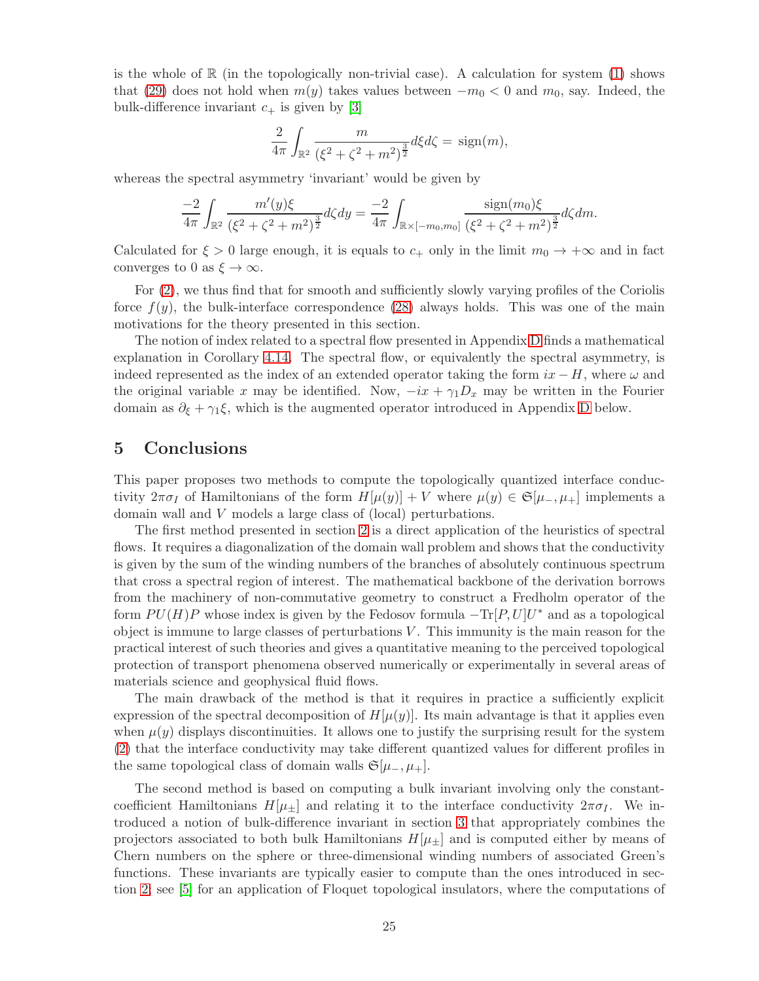is the whole of  $\mathbb R$  (in the topologically non-trivial case). A calculation for system [\(1\)](#page-1-1) shows that [\(29\)](#page-22-5) does not hold when  $m(y)$  takes values between  $-m_0 < 0$  and  $m_0$ , say. Indeed, the bulk-difference invariant  $c_+$  is given by [\[3\]](#page-36-1)

$$
\frac{2}{4\pi} \int_{\mathbb{R}^2} \frac{m}{(\xi^2 + \zeta^2 + m^2)^{\frac{3}{2}}} d\xi d\zeta = \text{sign}(m),
$$

whereas the spectral asymmetry 'invariant' would be given by

$$
\frac{-2}{4\pi} \int_{\mathbb{R}^2} \frac{m'(y)\xi}{(\xi^2 + \zeta^2 + m^2)^{\frac{3}{2}}} d\zeta dy = \frac{-2}{4\pi} \int_{\mathbb{R} \times [-m_0, m_0]} \frac{\text{sign}(m_0)\xi}{(\xi^2 + \zeta^2 + m^2)^{\frac{3}{2}}} d\zeta dm.
$$

Calculated for  $\xi > 0$  large enough, it is equals to  $c_+$  only in the limit  $m_0 \to +\infty$  and in fact converges to 0 as  $\xi \to \infty$ .

For [\(2\)](#page-1-2), we thus find that for smooth and sufficiently slowly varying profiles of the Coriolis force  $f(y)$ , the bulk-interface correspondence [\(28\)](#page-22-0) always holds. This was one of the main motivations for the theory presented in this section.

The notion of index related to a spectral flow presented in Appendix [D](#page-33-0) finds a mathematical explanation in Corollary [4.14.](#page-22-3) The spectral flow, or equivalently the spectral asymmetry, is indeed represented as the index of an extended operator taking the form  $ix - H$ , where  $\omega$  and the original variable x may be identified. Now,  $-ix + \gamma_1 D_x$  may be written in the Fourier domain as  $\partial_{\xi} + \gamma_1 \xi$ , which is the augmented operator introduced in Appendix [D](#page-33-0) below.

# <span id="page-24-0"></span>5 Conclusions

This paper proposes two methods to compute the topologically quantized interface conductivity  $2\pi\sigma_I$  of Hamiltonians of the form  $H[\mu(y)] + V$  where  $\mu(y) \in \mathfrak{S}[\mu_-, \mu_+]$  implements a domain wall and V models a large class of (local) perturbations.

The first method presented in section [2](#page-3-0) is a direct application of the heuristics of spectral flows. It requires a diagonalization of the domain wall problem and shows that the conductivity is given by the sum of the winding numbers of the branches of absolutely continuous spectrum that cross a spectral region of interest. The mathematical backbone of the derivation borrows from the machinery of non-commutative geometry to construct a Fredholm operator of the form  $PU(H)P$  whose index is given by the Fedosov formula  $-\text{Tr}[P, U]U^*$  and as a topological object is immune to large classes of perturbations  $V$ . This immunity is the main reason for the practical interest of such theories and gives a quantitative meaning to the perceived topological protection of transport phenomena observed numerically or experimentally in several areas of materials science and geophysical fluid flows.

The main drawback of the method is that it requires in practice a sufficiently explicit expression of the spectral decomposition of  $H[\mu(y)]$ . Its main advantage is that it applies even when  $\mu(y)$  displays discontinuities. It allows one to justify the surprising result for the system [\(2\)](#page-1-2) that the interface conductivity may take different quantized values for different profiles in the same topological class of domain walls  $\mathfrak{S}[\mu_-, \mu_+].$ 

The second method is based on computing a bulk invariant involving only the constantcoefficient Hamiltonians  $H[\mu_{\pm}]$  and relating it to the interface conductivity  $2\pi\sigma_I$ . We introduced a notion of bulk-difference invariant in section [3](#page-6-0) that appropriately combines the projectors associated to both bulk Hamiltonians  $H[\mu_{+}]$  and is computed either by means of Chern numbers on the sphere or three-dimensional winding numbers of associated Green's functions. These invariants are typically easier to compute than the ones introduced in section [2;](#page-3-0) see [\[5\]](#page-36-7) for an application of Floquet topological insulators, where the computations of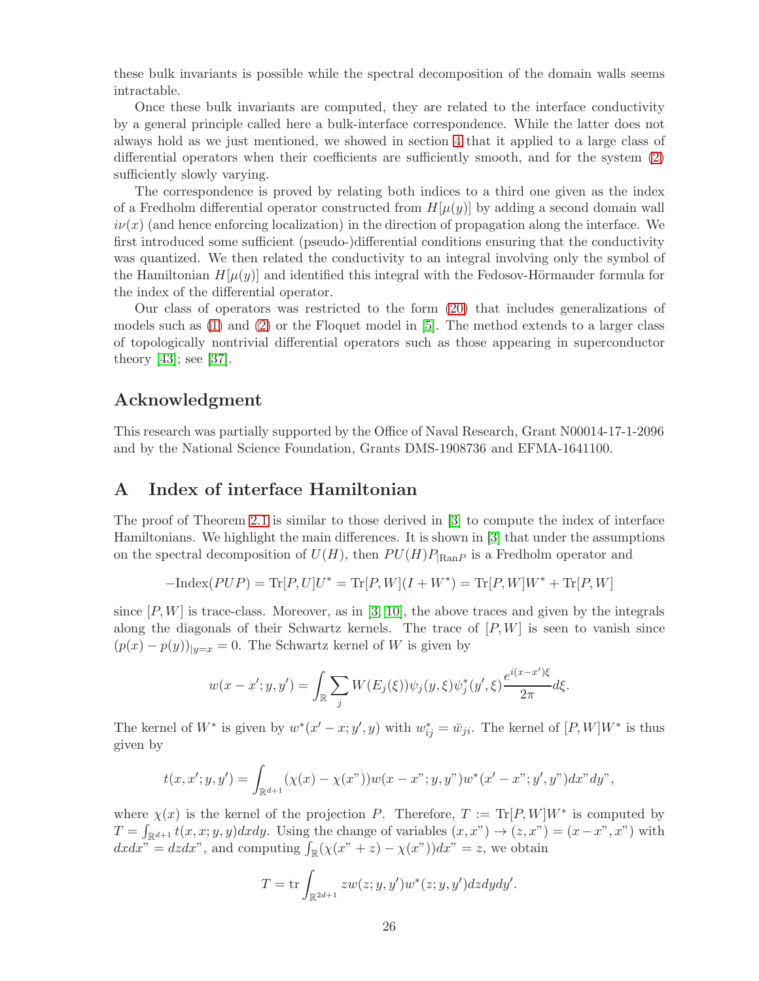these bulk invariants is possible while the spectral decomposition of the domain walls seems intractable.

Once these bulk invariants are computed, they are related to the interface conductivity by a general principle called here a bulk-interface correspondence. While the latter does not always hold as we just mentioned, we showed in section [4](#page-9-0) that it applied to a large class of differential operators when their coefficients are sufficiently smooth, and for the system [\(2\)](#page-1-2) sufficiently slowly varying.

The correspondence is proved by relating both indices to a third one given as the index of a Fredholm differential operator constructed from  $H[\mu(y)]$  by adding a second domain wall  $i\nu(x)$  (and hence enforcing localization) in the direction of propagation along the interface. We first introduced some sufficient (pseudo-)differential conditions ensuring that the conductivity was quantized. We then related the conductivity to an integral involving only the symbol of the Hamiltonian  $H[\mu(y)]$  and identified this integral with the Fedosov-Hörmander formula for the index of the differential operator.

Our class of operators was restricted to the form [\(20\)](#page-16-1) that includes generalizations of models such as [\(1\)](#page-1-1) and [\(2\)](#page-1-2) or the Floquet model in [\[5\]](#page-36-7). The method extends to a larger class of topologically nontrivial differential operators such as those appearing in superconductor theory [\[43\]](#page-38-5); see [\[37\]](#page-38-16).

# Acknowledgment

This research was partially supported by the Office of Naval Research, Grant N00014-17-1-2096 and by the National Science Foundation, Grants DMS-1908736 and EFMA-1641100.

# <span id="page-25-0"></span>A Index of interface Hamiltonian

The proof of Theorem [2.1](#page-4-0) is similar to those derived in [\[3\]](#page-36-1) to compute the index of interface Hamiltonians. We highlight the main differences. It is shown in [\[3\]](#page-36-1) that under the assumptions on the spectral decomposition of  $U(H)$ , then  $PU(H)P_{\text{Ran}P}$  is a Fredholm operator and

$$
-\text{Index}(PUP) = \text{Tr}[P, U]U^* = \text{Tr}[P, W](I + W^*) = \text{Tr}[P, W]W^* + \text{Tr}[P, W]
$$

since  $[P, W]$  is trace-class. Moreover, as in [\[3,](#page-36-1) [10\]](#page-37-17), the above traces and given by the integrals along the diagonals of their Schwartz kernels. The trace of  $[P, W]$  is seen to vanish since  $(p(x) - p(y))_{|y=x} = 0$ . The Schwartz kernel of W is given by

$$
w(x - x'; y, y') = \int_{\mathbb{R}} \sum_{j} W(E_j(\xi)) \psi_j(y, \xi) \psi_j^*(y', \xi) \frac{e^{i(x - x')\xi}}{2\pi} d\xi.
$$

The kernel of  $W^*$  is given by  $w^*(x'-x;y',y)$  with  $w^*_{ij} = \bar{w}_{ji}$ . The kernel of  $[P,W]W^*$  is thus given by

$$
t(x, x'; y, y') = \int_{\mathbb{R}^{d+1}} (\chi(x) - \chi(x''))w(x - x''; y, y'')w^*(x' - x''; y', y'')dx''dy'',
$$

where  $\chi(x)$  is the kernel of the projection P. Therefore,  $T := Tr[P, W]W^*$  is computed by  $T = \int_{\mathbb{R}^{d+1}} t(x, x; y, y) dx dy$ . Using the change of variables  $(x, x'') \rightarrow (z, x'') = (x - x''', x'')$  with  $dxdx'' = dzdx''$ , and computing  $\int_{\mathbb{R}} (\chi(x'' + z) - \chi(x''))dx'' = z$ , we obtain

$$
T = \text{tr} \int_{\mathbb{R}^{2d+1}} z w(z; y, y') w^*(z; y, y') dz dy dy'.
$$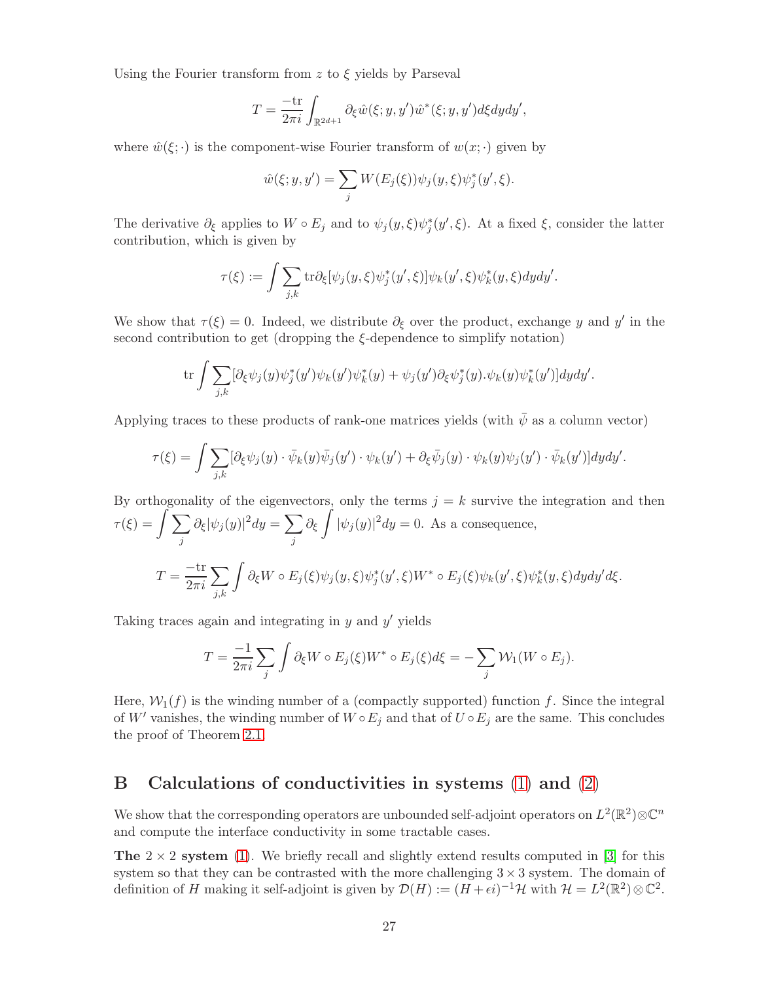Using the Fourier transform from  $z$  to  $\xi$  yields by Parseval

$$
T = \frac{-\mathrm{tr}}{2\pi i} \int_{\mathbb{R}^{2d+1}} \partial_{\xi} \hat{w}(\xi; y, y') \hat{w}^*(\xi; y, y') d\xi dy dy',
$$

where  $\hat{w}(\xi;\cdot)$  is the component-wise Fourier transform of  $w(x;\cdot)$  given by

$$
\hat{w}(\xi; y, y') = \sum_j W(E_j(\xi)) \psi_j(y, \xi) \psi_j^*(y', \xi).
$$

The derivative  $\partial_{\xi}$  applies to  $W \circ E_j$  and to  $\psi_j(y,\xi)\psi_j^*(y',\xi)$ . At a fixed  $\xi$ , consider the latter contribution, which is given by

$$
\tau(\xi):=\int \sum_{j,k} \text{tr}\partial_\xi [\psi_j(y,\xi)\psi_j^*(y',\xi)] \psi_k(y',\xi) \psi_k^*(y,\xi) dy dy'.
$$

We show that  $\tau(\xi) = 0$ . Indeed, we distribute  $\partial_{\xi}$  over the product, exchange y and y' in the second contribution to get (dropping the  $\xi$ -dependence to simplify notation)

$$
\mathrm{tr}\int \sum_{j,k} [\partial_{\xi}\psi_j(y)\psi_j^*(y')\psi_k(y')\psi_k^*(y) + \psi_j(y')\partial_{\xi}\psi_j^*(y).\psi_k(y)\psi_k^*(y')]dydy'.
$$

Applying traces to these products of rank-one matrices yields (with  $\bar{\psi}$  as a column vector)

$$
\tau(\xi) = \int \sum_{j,k} [\partial_{\xi} \psi_j(y) \cdot \bar{\psi}_k(y) \bar{\psi}_j(y') \cdot \psi_k(y') + \partial_{\xi} \bar{\psi}_j(y) \cdot \psi_k(y) \psi_j(y') \cdot \bar{\psi}_k(y')] dy dy'.
$$

By orthogonality of the eigenvectors, only the terms  $j = k$  survive the integration and then  $\sigma(\xi) = \int \sum$ j  $\partial_{\xi} |\psi_j(y)|^2 dy = \sum$ j  $\partial_{\xi}$ Z  $|\psi_j(y)|^2 dy = 0$ . As a consequence,  $T = \frac{-\text{tr}}{\Omega}$  $2\pi i$  $\sqrt{}$  $_{j,k}$ Z  $\partial_{\xi}W \circ E_j(\xi)\psi_j(y,\xi)\psi_j^*(y',\xi)W^* \circ E_j(\xi)\psi_k(y',\xi)\psi_k^*(y,\xi)dydy'd\xi.$ 

Taking traces again and integrating in  $y$  and  $y'$  yields

$$
T = \frac{-1}{2\pi i} \sum_j \int \partial_{\xi} W \circ E_j(\xi) W^* \circ E_j(\xi) d\xi = - \sum_j \mathcal{W}_1(W \circ E_j).
$$

Here,  $W_1(f)$  is the winding number of a (compactly supported) function f. Since the integral of W' vanishes, the winding number of  $W \circ E_j$  and that of  $U \circ E_j$  are the same. This concludes the proof of Theorem [2.1.](#page-4-0)

# <span id="page-26-0"></span>B Calculations of conductivities in systems [\(1\)](#page-1-1) and [\(2\)](#page-1-2)

We show that the corresponding operators are unbounded self-adjoint operators on  $L^2(\mathbb{R}^2) \otimes \mathbb{C}^n$ and compute the interface conductivity in some tractable cases.

**The**  $2 \times 2$  system [\(1\)](#page-1-1). We briefly recall and slightly extend results computed in [\[3\]](#page-36-1) for this system so that they can be contrasted with the more challenging  $3 \times 3$  system. The domain of definition of H making it self-adjoint is given by  $\mathcal{D}(H) := (H + \epsilon i)^{-1} \mathcal{H}$  with  $\mathcal{H} = L^2(\mathbb{R}^2) \otimes \mathbb{C}^2$ .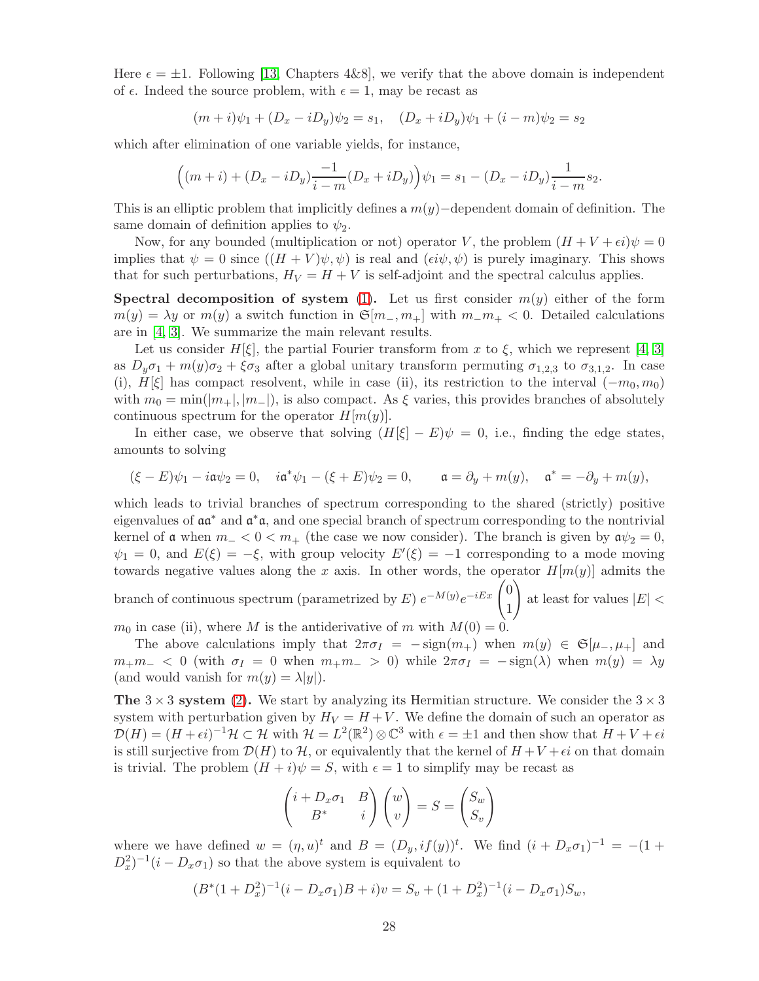Here  $\epsilon = \pm 1$ . Following [\[13,](#page-37-10) Chapters 4&8], we verify that the above domain is independent of  $\epsilon$ . Indeed the source problem, with  $\epsilon = 1$ , may be recast as

$$
(m+i)\psi_1 + (D_x - iD_y)\psi_2 = s_1, \quad (D_x + iD_y)\psi_1 + (i - m)\psi_2 = s_2
$$

which after elimination of one variable yields, for instance,

$$
((m+i) + (D_x - iD_y)\frac{-1}{i-m}(D_x + iD_y))\psi_1 = s_1 - (D_x - iD_y)\frac{1}{i-m}s_2.
$$

This is an elliptic problem that implicitly defines a  $m(y)$ −dependent domain of definition. The same domain of definition applies to  $\psi_2$ .

Now, for any bounded (multiplication or not) operator V, the problem  $(H + V + \epsilon i)\psi = 0$ implies that  $\psi = 0$  since  $((H + V)\psi, \psi)$  is real and  $(\epsilon i\psi, \psi)$  is purely imaginary. This shows that for such perturbations,  $H_V = H + V$  is self-adjoint and the spectral calculus applies.

**Spectral decomposition of system** [\(1\)](#page-1-1). Let us first consider  $m(y)$  either of the form  $m(y) = \lambda y$  or  $m(y)$  a switch function in  $\mathfrak{S}[m_-, m_+]$  with  $m_-m_+ < 0$ . Detailed calculations are in [\[4,](#page-36-2) [3\]](#page-36-1). We summarize the main relevant results.

Let us consider  $H[\xi]$ , the partial Fourier transform from x to  $\xi$ , which we represent [\[4,](#page-36-2) [3\]](#page-36-1) as  $D_y\sigma_1 + m(y)\sigma_2 + \xi\sigma_3$  after a global unitary transform permuting  $\sigma_{1,2,3}$  to  $\sigma_{3,1,2}$ . In case (i),  $H[\xi]$  has compact resolvent, while in case (ii), its restriction to the interval  $(-m_0, m_0)$ with  $m_0 = \min(|m_+|, |m_-|)$ , is also compact. As  $\xi$  varies, this provides branches of absolutely continuous spectrum for the operator  $H[m(y)].$ 

In either case, we observe that solving  $(H[\xi] - E)\psi = 0$ , i.e., finding the edge states, amounts to solving

$$
(\xi-E)\psi_1-i\mathfrak{a}\psi_2=0,\quad i\mathfrak{a}^*\psi_1-(\xi+E)\psi_2=0,\qquad \mathfrak{a}=\partial_y+m(y),\quad \mathfrak{a}^*=-\partial_y+m(y),
$$

which leads to trivial branches of spectrum corresponding to the shared (strictly) positive eigenvalues of  $\mathfrak{aa}^*$  and  $\mathfrak{a}^*\mathfrak{a}$ , and one special branch of spectrum corresponding to the nontrivial kernel of  $\mathfrak{a}$  when  $m_- < 0 < m_+$  (the case we now consider). The branch is given by  $\mathfrak{a}\psi_2 = 0$ ,  $\psi_1 = 0$ , and  $E(\xi) = -\xi$ , with group velocity  $E'(\xi) = -1$  corresponding to a mode moving towards negative values along the x axis. In other words, the operator  $H[m(y)]$  admits the

branch of continuous spectrum (parametrized by E)  $e^{-M(y)}e^{-iEx}$ 1  $\setminus$ at least for values  $|E|$  <  $m_0$  in case (ii), where M is the antiderivative of m with  $M(0) = 0$ .

The above calculations imply that  $2\pi\sigma_I = -\text{sign}(m_+)$  when  $m(y) \in \mathfrak{S}[\mu_-, \mu_+]$  and  $m_+m_- < 0$  (with  $\sigma_I = 0$  when  $m_+m_- > 0$ ) while  $2\pi\sigma_I = -\text{sign}(\lambda)$  when  $m(y) = \lambda y$ (and would vanish for  $m(y) = \lambda |y|$ ).

The  $3 \times 3$  system [\(2\)](#page-1-2). We start by analyzing its Hermitian structure. We consider the  $3 \times 3$ system with perturbation given by  $H_V = H + V$ . We define the domain of such an operator as  $\mathcal{D}(H) = (H + \epsilon i)^{-1} \mathcal{H} \subset \mathcal{H}$  with  $\mathcal{H} = L^2(\mathbb{R}^2) \otimes \mathbb{C}^3$  with  $\epsilon = \pm 1$  and then show that  $H + V + \epsilon i$ is still surjective from  $\mathcal{D}(H)$  to H, or equivalently that the kernel of  $H + V + \epsilon i$  on that domain is trivial. The problem  $(H + i)\psi = S$ , with  $\epsilon = 1$  to simplify may be recast as

$$
\begin{pmatrix} i + D_x \sigma_1 & B \ B^* & i \end{pmatrix} \begin{pmatrix} w \ v \end{pmatrix} = S = \begin{pmatrix} S_w \ S_v \end{pmatrix}
$$

where we have defined  $w = (\eta, u)^t$  and  $B = (D_y, if(y))^t$ . We find  $(i + D_x \sigma_1)^{-1} = -(1 + D_y \sigma_1)^{-1}$  $D_x^2$ <sup>-1</sup> $(i - D_x \sigma_1)$  so that the above system is equivalent to

$$
(B^*(1+D_x^2)^{-1}(i-D_x\sigma_1)B+i)v = S_v + (1+D_x^2)^{-1}(i-D_x\sigma_1)S_w,
$$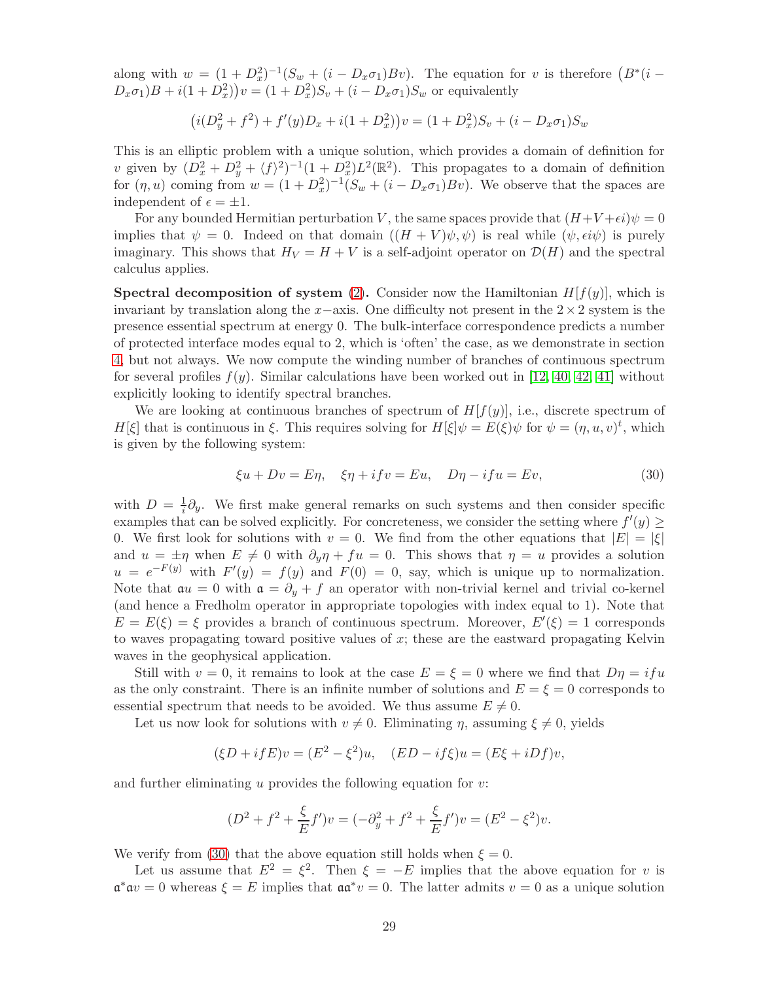along with  $w = (1 + D_x^2)^{-1} (S_w + (i - D_x \sigma_1) B_v)$ . The equation for v is therefore  $(B^*(i - D_x \sigma_1) B_v)$ .  $(D_x \sigma_1)B + i(1 + D_x^2)y = (1 + D_x^2)S_v + (i - D_x \sigma_1)S_w$  or equivalently

$$
(i(D_y^2 + f^2) + f'(y)D_x + i(1 + D_x^2))v = (1 + D_x^2)S_v + (i - D_x\sigma_1)S_w
$$

This is an elliptic problem with a unique solution, which provides a domain of definition for v given by  $(D_x^2 + D_y^2 + \langle f \rangle^2)^{-1} (1 + D_x^2) L^2(\mathbb{R}^2)$ . This propagates to a domain of definition for  $(\eta, u)$  coming from  $w = (1 + D_x^2)^{-1} (S_w + (i - D_x \sigma_1) Bv)$ . We observe that the spaces are independent of  $\epsilon = \pm 1$ .

For any bounded Hermitian perturbation V, the same spaces provide that  $(H+V+\epsilon i)\psi=0$ implies that  $\psi = 0$ . Indeed on that domain  $((H + V)\psi, \psi)$  is real while  $(\psi, \epsilon i\psi)$  is purely imaginary. This shows that  $H_V = H + V$  is a self-adjoint operator on  $\mathcal{D}(H)$  and the spectral calculus applies.

**Spectral decomposition of system [\(2\)](#page-1-2).** Consider now the Hamiltonian  $H[f(y)]$ , which is invariant by translation along the x−axis. One difficulty not present in the  $2\times 2$  system is the presence essential spectrum at energy 0. The bulk-interface correspondence predicts a number of protected interface modes equal to 2, which is 'often' the case, as we demonstrate in section [4,](#page-9-0) but not always. We now compute the winding number of branches of continuous spectrum for several profiles  $f(y)$ . Similar calculations have been worked out in [\[12,](#page-37-1) [40,](#page-38-2) [42,](#page-38-3) [41\]](#page-38-19) without explicitly looking to identify spectral branches.

We are looking at continuous branches of spectrum of  $H[f(y)]$ , i.e., discrete spectrum of  $H[\xi]$  that is continuous in  $\xi$ . This requires solving for  $H[\xi]\psi = E(\xi)\psi$  for  $\psi = (\eta, u, v)^t$ , which is given by the following system:

<span id="page-28-0"></span>
$$
\xi u + Dv = E\eta, \quad \xi \eta + if v = Eu, \quad D\eta - if u = Ev,\tag{30}
$$

with  $D = \frac{1}{i}$  $\frac{1}{i}\partial_y$ . We first make general remarks on such systems and then consider specific examples that can be solved explicitly. For concreteness, we consider the setting where  $f'(y) \geq$ 0. We first look for solutions with  $v = 0$ . We find from the other equations that  $|E| = |\xi|$ and  $u = \pm \eta$  when  $E \neq 0$  with  $\partial_{\eta} \eta + f u = 0$ . This shows that  $\eta = u$  provides a solution  $u = e^{-F(y)}$  with  $F'(y) = f(y)$  and  $F(0) = 0$ , say, which is unique up to normalization. Note that  $au = 0$  with  $a = \partial_y + f$  an operator with non-trivial kernel and trivial co-kernel (and hence a Fredholm operator in appropriate topologies with index equal to 1). Note that  $E = E(\xi) = \xi$  provides a branch of continuous spectrum. Moreover,  $E'(\xi) = 1$  corresponds to waves propagating toward positive values of  $x$ ; these are the eastward propagating Kelvin waves in the geophysical application.

Still with  $v = 0$ , it remains to look at the case  $E = \xi = 0$  where we find that  $D\eta = ifu$ as the only constraint. There is an infinite number of solutions and  $E = \xi = 0$  corresponds to essential spectrum that needs to be avoided. We thus assume  $E \neq 0$ .

Let us now look for solutions with  $v \neq 0$ . Eliminating  $\eta$ , assuming  $\xi \neq 0$ , yields

$$
(\xi D + i f E)v = (E^2 - \xi^2)u, \quad (ED - i f \xi)u = (E\xi + iDf)v,
$$

and further eliminating  $u$  provides the following equation for  $v$ :

$$
(D2 + f2 + \frac{\xi}{E}f')v = (-\partial_y^2 + f^2 + \frac{\xi}{E}f')v = (E^2 - \xi^2)v.
$$

We verify from [\(30\)](#page-28-0) that the above equation still holds when  $\xi = 0$ .

Let us assume that  $E^2 = \xi^2$ . Then  $\xi = -E$  implies that the above equation for v is  $\mathfrak{a}^*$  av = 0 whereas  $\xi = E$  implies that  $\mathfrak{a} \mathfrak{a}^* v = 0$ . The latter admits  $v = 0$  as a unique solution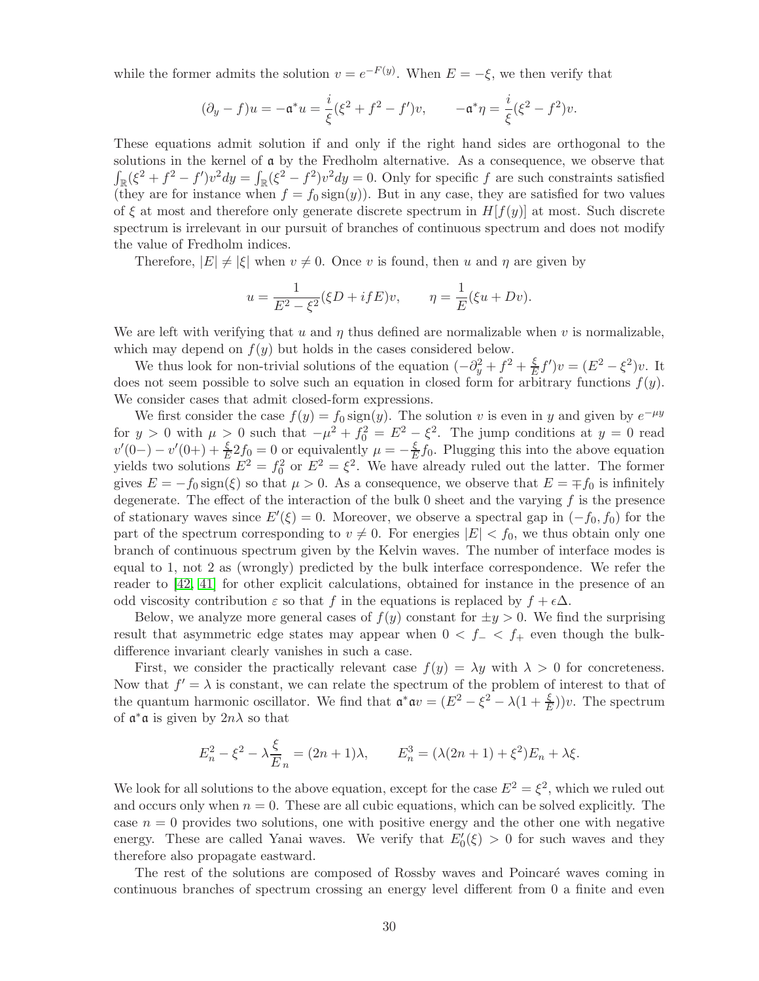while the former admits the solution  $v = e^{-F(y)}$ . When  $E = -\xi$ , we then verify that

$$
(\partial_y - f)u = -\mathfrak{a}^* u = \frac{i}{\xi} (\xi^2 + f^2 - f')v, \qquad -\mathfrak{a}^* \eta = \frac{i}{\xi} (\xi^2 - f^2)v.
$$

These equations admit solution if and only if the right hand sides are orthogonal to the solutions in the kernel of  $\alpha$  by the Fredholm alternative. As a consequence, we observe that  $\int_{\mathbb{R}} (\xi^2 + f^2 - f')v^2 dy = \int_{\mathbb{R}} (\xi^2 - f^2)v^2 dy = 0$ . Only for specific f are such constraints satisfied (they are for instance when  $f = f_0 \text{sign}(y)$ ). But in any case, they are satisfied for two values of  $\xi$  at most and therefore only generate discrete spectrum in  $H[f(y)]$  at most. Such discrete spectrum is irrelevant in our pursuit of branches of continuous spectrum and does not modify the value of Fredholm indices.

Therefore,  $|E| \neq |\xi|$  when  $v \neq 0$ . Once v is found, then u and  $\eta$  are given by

$$
u = \frac{1}{E^2 - \xi^2} (\xi D + i f E) v
$$
,  $\eta = \frac{1}{E} (\xi u + Dv)$ .

We are left with verifying that u and  $\eta$  thus defined are normalizable when v is normalizable, which may depend on  $f(y)$  but holds in the cases considered below.

We thus look for non-trivial solutions of the equation  $\left(-\partial_y^2 + f^2 + \frac{\xi}{E}\right)$  $(\frac{\xi}{E}f')v = (E^2 - \xi^2)v.$  It does not seem possible to solve such an equation in closed form for arbitrary functions  $f(y)$ . We consider cases that admit closed-form expressions.

We first consider the case  $f(y) = f_0 \text{sign}(y)$ . The solution v is even in y and given by  $e^{-\mu y}$ for  $y > 0$  with  $\mu > 0$  such that  $-\mu^2 + f_0^2 = E^2 - \xi^2$ . The jump conditions at  $y = 0$  read  $v'(0-) - v'(0+) + \frac{\xi}{E} 2f_0 = 0$  or equivalently  $\mu = -\frac{\xi}{E}$  $\frac{\xi}{E} f_0$ . Plugging this into the above equation yields two solutions  $E^2 = f_0^2$  or  $E^2 = \xi^2$ . We have already ruled out the latter. The former gives  $E = -f_0 \text{sign}(\xi)$  so that  $\mu > 0$ . As a consequence, we observe that  $E = \mp f_0$  is infinitely degenerate. The effect of the interaction of the bulk 0 sheet and the varying  $f$  is the presence of stationary waves since  $E'(\xi) = 0$ . Moreover, we observe a spectral gap in  $(-f_0, f_0)$  for the part of the spectrum corresponding to  $v \neq 0$ . For energies  $|E| < f_0$ , we thus obtain only one branch of continuous spectrum given by the Kelvin waves. The number of interface modes is equal to 1, not 2 as (wrongly) predicted by the bulk interface correspondence. We refer the reader to [\[42,](#page-38-3) [41\]](#page-38-19) for other explicit calculations, obtained for instance in the presence of an odd viscosity contribution  $\varepsilon$  so that f in the equations is replaced by  $f + \varepsilon \Delta$ .

Below, we analyze more general cases of  $f(y)$  constant for  $\pm y > 0$ . We find the surprising result that asymmetric edge states may appear when  $0 < f_{-} < f_{+}$  even though the bulkdifference invariant clearly vanishes in such a case.

First, we consider the practically relevant case  $f(y) = \lambda y$  with  $\lambda > 0$  for concreteness. Now that  $f' = \lambda$  is constant, we can relate the spectrum of the problem of interest to that of the quantum harmonic oscillator. We find that  $\mathfrak{a}^*\mathfrak{a}v = (E^2 - \xi^2 - \lambda(1 + \frac{\xi}{E}))v$ . The spectrum of  $\mathfrak{a}^* \mathfrak{a}$  is given by  $2n\lambda$  so that

$$
E_n^2 - \xi^2 - \lambda \frac{\xi}{E_n} = (2n+1)\lambda, \qquad E_n^3 = (\lambda(2n+1) + \xi^2)E_n + \lambda \xi.
$$

We look for all solutions to the above equation, except for the case  $E^2 = \xi^2$ , which we ruled out and occurs only when  $n = 0$ . These are all cubic equations, which can be solved explicitly. The case  $n = 0$  provides two solutions, one with positive energy and the other one with negative energy. These are called Yanai waves. We verify that  $E'_{0}(\xi) > 0$  for such waves and they therefore also propagate eastward.

The rest of the solutions are composed of Rossby waves and Poincaré waves coming in continuous branches of spectrum crossing an energy level different from 0 a finite and even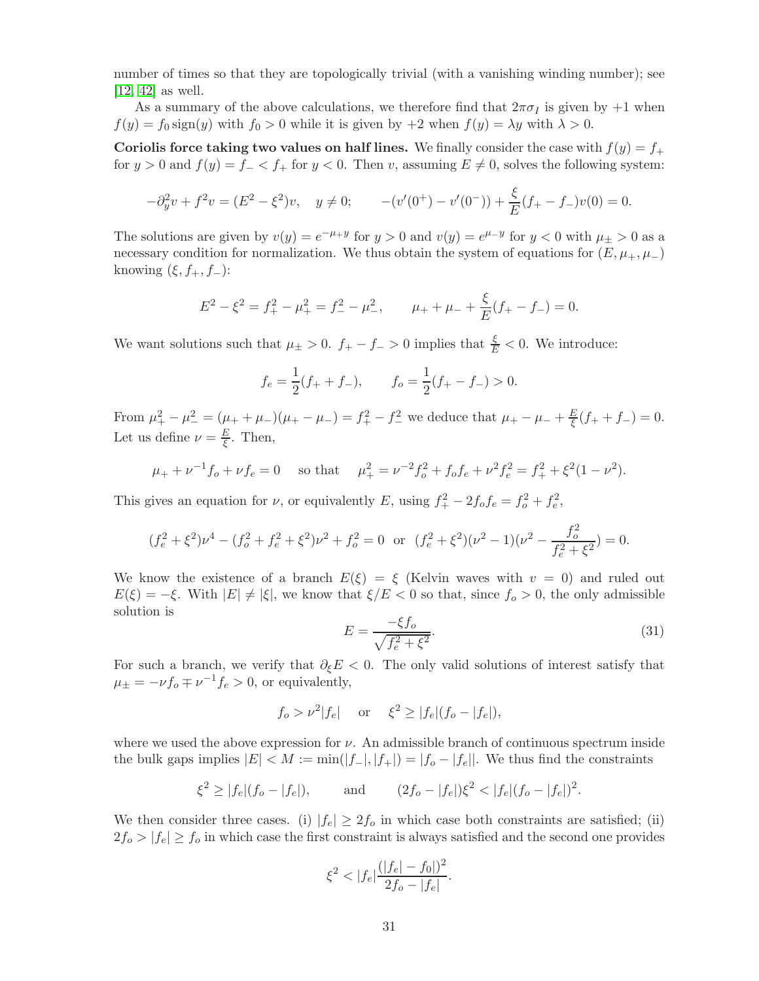number of times so that they are topologically trivial (with a vanishing winding number); see [\[12,](#page-37-1) [42\]](#page-38-3) as well.

As a summary of the above calculations, we therefore find that  $2\pi\sigma_I$  is given by  $+1$  when  $f(y) = f_0 \text{sign}(y)$  with  $f_0 > 0$  while it is given by  $+2$  when  $f(y) = \lambda y$  with  $\lambda > 0$ .

Coriolis force taking two values on half lines. We finally consider the case with  $f(y) = f_+$ for  $y > 0$  and  $f(y) = f_{-} < f_{+}$  for  $y < 0$ . Then v, assuming  $E \neq 0$ , solves the following system:

$$
-\partial_y^2 v + f^2 v = (E^2 - \xi^2)v, \quad y \neq 0; \qquad -(v'(0^+) - v'(0^-)) + \frac{\xi}{E}(f_+ - f_-)v(0) = 0.
$$

The solutions are given by  $v(y) = e^{-\mu+y}$  for  $y > 0$  and  $v(y) = e^{\mu-y}$  for  $y < 0$  with  $\mu_{\pm} > 0$  as a necessary condition for normalization. We thus obtain the system of equations for  $(E, \mu_+, \mu_-)$ knowing  $(\xi, f_+, f_-)$ :

$$
E^{2} - \xi^{2} = f_{+}^{2} - \mu_{+}^{2} = f_{-}^{2} - \mu_{-}^{2}, \qquad \mu_{+} + \mu_{-} + \frac{\xi}{E}(f_{+} - f_{-}) = 0.
$$

We want solutions such that  $\mu_{\pm} > 0$ .  $f_{+} - f_{-} > 0$  implies that  $\frac{\xi}{E} < 0$ . We introduce:

$$
f_e = \frac{1}{2}(f_+ + f_-),
$$
  $f_o = \frac{1}{2}(f_+ - f_-) > 0.$ 

From  $\mu_+^2 - \mu_-^2 = (\mu_+ + \mu_-)(\mu_+ - \mu_-) = f_+^2 - f_-^2$  we deduce that  $\mu_+ - \mu_- + \frac{E}{\xi}$  $\frac{E}{\xi}(f_+ + f_-) = 0.$ Let us define  $\nu = \frac{E}{\epsilon}$  $\frac{E}{\xi}$ . Then,

$$
\mu_+ + \nu^{-1} f_o + \nu f_e = 0
$$
 so that  $\mu_+^2 = \nu^{-2} f_o^2 + f_o f_e + \nu^2 f_e^2 = f_+^2 + \xi^2 (1 - \nu^2)$ .

This gives an equation for  $\nu$ , or equivalently E, using  $f_+^2 - 2f_0f_e = f_o^2 + f_e^2$ ,

$$
(f_e^2 + \xi^2)\nu^4 - (f_o^2 + f_e^2 + \xi^2)\nu^2 + f_o^2 = 0 \text{ or } (f_e^2 + \xi^2)(\nu^2 - 1)(\nu^2 - \frac{f_o^2}{f_e^2 + \xi^2}) = 0.
$$

We know the existence of a branch  $E(\xi) = \xi$  (Kelvin waves with  $v = 0$ ) and ruled out  $E(\xi) = -\xi$ . With  $|E| \neq |\xi|$ , we know that  $\xi/E < 0$  so that, since  $f_0 > 0$ , the only admissible solution is

$$
E = \frac{-\xi f_o}{\sqrt{f_e^2 + \xi^2}}.\tag{31}
$$

For such a branch, we verify that  $\partial_{\xi} E < 0$ . The only valid solutions of interest satisfy that  $\mu_{\pm} = -\nu f_o \mp \nu^{-1} f_e > 0$ , or equivalently,

$$
f_o > \nu^2 |f_e|
$$
 or  $\xi^2 \ge |f_e|(f_o - |f_e|),$ 

where we used the above expression for  $\nu$ . An admissible branch of continuous spectrum inside the bulk gaps implies  $|E| < M := \min(|f_-\,|, |f_+|) = |f_0 - f_0|$ . We thus find the constraints

$$
\xi^2 \ge |f_e|(f_o - |f_e|),
$$
 and  $(2f_o - |f_e|)\xi^2 < |f_e|(f_o - |f_e|)^2.$ 

We then consider three cases. (i)  $|f_e| \geq 2f_o$  in which case both constraints are satisfied; (ii)  $2f_o > |f_e| \ge f_o$  in which case the first constraint is always satisfied and the second one provides

$$
\xi^2 < |f_e| \frac{(|f_e| - f_0|)^2}{2f_o - |f_e|}.
$$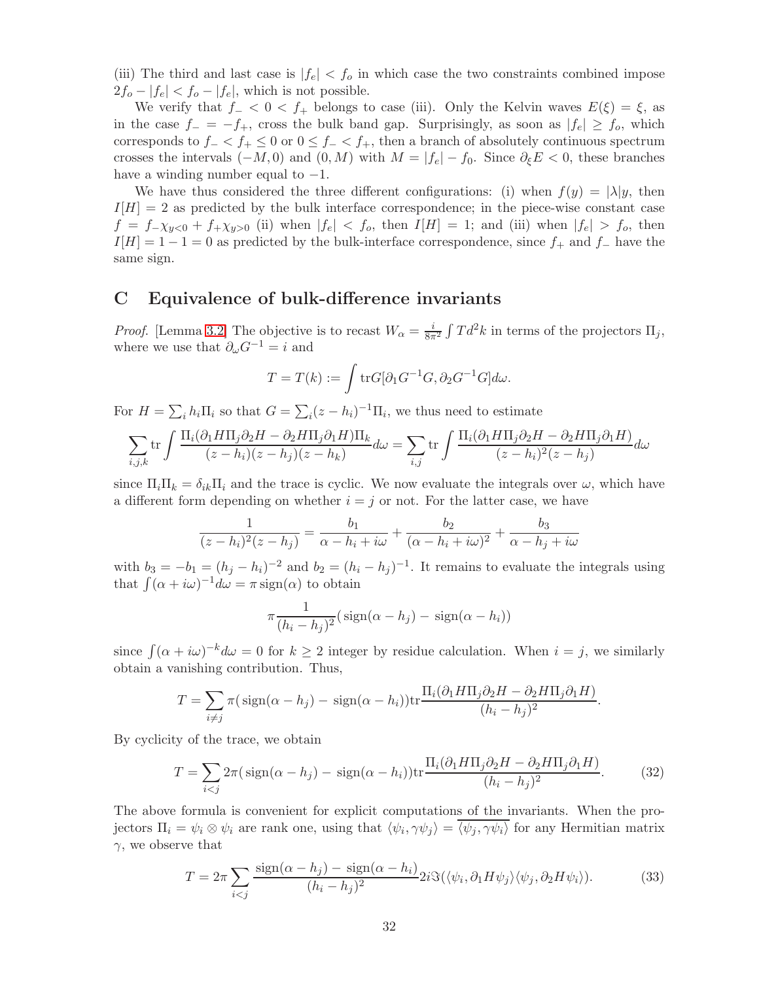(iii) The third and last case is  $|f_e| < f_o$  in which case the two constraints combined impose  $2f_o - |f_e| < f_o - |f_e|$ , which is not possible.

We verify that  $f_ - < 0 < f_ +$  belongs to case (iii). Only the Kelvin waves  $E(\xi) = \xi$ , as in the case  $f = -f_{+}$ , cross the bulk band gap. Surprisingly, as soon as  $|f_e| \ge f_o$ , which corresponds to  $f - \langle f_+ \rangle \leq 0$  or  $0 \leq f - \langle f_+ \rangle$ , then a branch of absolutely continuous spectrum crosses the intervals  $(-M, 0)$  and  $(0, M)$  with  $M = |f_e| - f_0$ . Since  $\partial_{\xi} E < 0$ , these branches have a winding number equal to  $-1$ .

We have thus considered the three different configurations: (i) when  $f(y) = |\lambda|y$ , then  $I[H] = 2$  as predicted by the bulk interface correspondence; in the piece-wise constant case  $f = f_{-\chi_{y} < 0} + f_{+\chi_{y} > 0}$  (ii) when  $|f_e| < f_o$ , then  $I[H] = 1$ ; and (iii) when  $|f_e| > f_o$ , then  $I[H] = 1 - 1 = 0$  as predicted by the bulk-interface correspondence, since  $f_+$  and  $f_-$  have the same sign.

#### <span id="page-31-0"></span>C Equivalence of bulk-difference invariants

*Proof.* [Lemma [3.2\]](#page-9-2) The objective is to recast  $W_{\alpha} = \frac{i}{8\pi^2} \int T d^2 k$  in terms of the projectors  $\Pi_j$ , where we use that  $\partial_{\omega}G^{-1} = i$  and

$$
T = T(k) := \int tr G[\partial_1 G^{-1} G, \partial_2 G^{-1} G] d\omega.
$$

For  $H = \sum_i h_i \Pi_i$  so that  $G = \sum_i (z - h_i)^{-1} \Pi_i$ , we thus need to estimate

$$
\sum_{i,j,k} \text{tr} \int \frac{\Pi_i(\partial_1 H \Pi_j \partial_2 H - \partial_2 H \Pi_j \partial_1 H) \Pi_k}{(z - h_i)(z - h_j)(z - h_k)} d\omega = \sum_{i,j} \text{tr} \int \frac{\Pi_i(\partial_1 H \Pi_j \partial_2 H - \partial_2 H \Pi_j \partial_1 H)}{(z - h_i)^2 (z - h_j)} d\omega
$$

since  $\Pi_i \Pi_k = \delta_{ik} \Pi_i$  and the trace is cyclic. We now evaluate the integrals over  $\omega$ , which have a different form depending on whether  $i = j$  or not. For the latter case, we have

$$
\frac{1}{(z-h_i)^2(z-h_j)} = \frac{b_1}{\alpha-h_i+i\omega} + \frac{b_2}{(\alpha-h_i+i\omega)^2} + \frac{b_3}{\alpha-h_j+i\omega}
$$

with  $b_3 = -b_1 = (h_j - h_i)^{-2}$  and  $b_2 = (h_i - h_j)^{-1}$ . It remains to evaluate the integrals using that  $\int (\alpha + i\omega)^{-1} d\omega = \pi \operatorname{sign}(\alpha)$  to obtain

$$
\pi \frac{1}{(h_i - h_j)^2} (\text{sign}(\alpha - h_j) - \text{sign}(\alpha - h_i))
$$

since  $\int (\alpha + i\omega)^{-k} d\omega = 0$  for  $k \ge 2$  integer by residue calculation. When  $i = j$ , we similarly obtain a vanishing contribution. Thus,

$$
T = \sum_{i \neq j} \pi(\text{sign}(\alpha - h_j) - \text{sign}(\alpha - h_i)) \text{tr} \frac{\Pi_i(\partial_1 H \Pi_j \partial_2 H - \partial_2 H \Pi_j \partial_1 H)}{(h_i - h_j)^2}.
$$

By cyclicity of the trace, we obtain

$$
T = \sum_{i < j} 2\pi (\text{sign}(\alpha - h_j) - \text{sign}(\alpha - h_i)) \text{tr} \frac{\Pi_i(\partial_1 H \Pi_j \partial_2 H - \partial_2 H \Pi_j \partial_1 H)}{(h_i - h_j)^2}.
$$
 (32)

The above formula is convenient for explicit computations of the invariants. When the projectors  $\Pi_i = \psi_i \otimes \psi_i$  are rank one, using that  $\langle \psi_i, \gamma \psi_j \rangle = \langle \psi_j, \gamma \psi_i \rangle$  for any Hermitian matrix  $\gamma$ , we observe that

<span id="page-31-1"></span>
$$
T = 2\pi \sum_{i < j} \frac{\text{sign}(\alpha - h_j) - \text{sign}(\alpha - h_i)}{(h_i - h_j)^2} 2i \Im(\langle \psi_i, \partial_1 H \psi_j \rangle \langle \psi_j, \partial_2 H \psi_i \rangle). \tag{33}
$$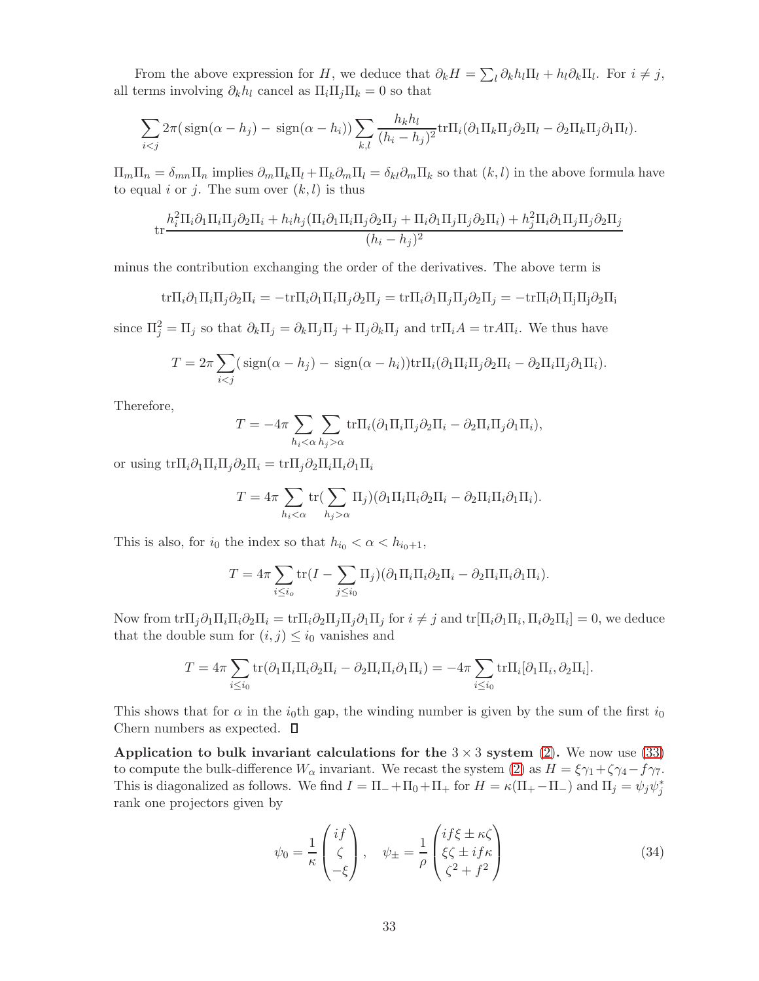From the above expression for H, we deduce that  $\partial_k H = \sum_l \partial_k h_l \Pi_l + h_l \partial_k \Pi_l$ . For  $i \neq j$ , all terms involving  $\partial_k h_l$  cancel as  $\Pi_i \Pi_j \Pi_k = 0$  so that

$$
\sum_{i < j} 2\pi(\text{sign}(\alpha - h_j) - \text{sign}(\alpha - h_i)) \sum_{k,l} \frac{h_k h_l}{(h_i - h_j)^2} \text{tr}\Pi_i(\partial_1 \Pi_k \Pi_j \partial_2 \Pi_l - \partial_2 \Pi_k \Pi_j \partial_1 \Pi_l).
$$

 $\Pi_m \Pi_n = \delta_{mn} \Pi_n$  implies  $\partial_m \Pi_k \Pi_l + \Pi_k \partial_m \Pi_l = \delta_{kl} \partial_m \Pi_k$  so that  $(k, l)$  in the above formula have to equal i or j. The sum over  $(k, l)$  is thus

$$
\operatorname{tr}\frac{h_i^2\Pi_i\partial_1\Pi_i\Pi_j\partial_2\Pi_i + h_ih_j(\Pi_i\partial_1\Pi_i\Pi_j\partial_2\Pi_j + \Pi_i\partial_1\Pi_j\Pi_j\partial_2\Pi_i) + h_j^2\Pi_i\partial_1\Pi_j\Pi_j\partial_2\Pi_j}{(h_i - h_j)^2}
$$

minus the contribution exchanging the order of the derivatives. The above term is

$$
tr\Pi_i\partial_1\Pi_i\Pi_j\partial_2\Pi_i = -tr\Pi_i\partial_1\Pi_i\Pi_j\partial_2\Pi_j = tr\Pi_i\partial_1\Pi_j\Pi_j\partial_2\Pi_j = -tr\Pi_i\partial_1\Pi_j\Pi_j\partial_2\Pi_i
$$

since  $\Pi_j^2 = \Pi_j$  so that  $\partial_k \Pi_j = \partial_k \Pi_j \Pi_j + \Pi_j \partial_k \Pi_j$  and  $tr\Pi_i A = trA \Pi_i$ . We thus have

$$
T = 2\pi \sum_{i < j} (\text{sign}(\alpha - h_j) - \text{sign}(\alpha - h_i)) \text{tr}\Pi_i(\partial_1 \Pi_i \Pi_j \partial_2 \Pi_i - \partial_2 \Pi_i \Pi_j \partial_1 \Pi_i).
$$

Therefore,

$$
T = -4\pi \sum_{h_i < \alpha} \sum_{h_j > \alpha} \text{tr}\Pi_i(\partial_1 \Pi_i \Pi_j \partial_2 \Pi_i - \partial_2 \Pi_i \Pi_j \partial_1 \Pi_i),
$$

or using  $\mathrm{tr}\Pi_i\partial_1\Pi_i\Pi_j\partial_2\Pi_i = \mathrm{tr}\Pi_i\partial_2\Pi_i\Pi_i\partial_1\Pi_i$ 

$$
T = 4\pi \sum_{h_i < \alpha} \text{tr}(\sum_{h_j > \alpha} \Pi_j) (\partial_1 \Pi_i \Pi_i \partial_2 \Pi_i - \partial_2 \Pi_i \Pi_i \partial_1 \Pi_i).
$$

This is also, for  $i_0$  the index so that  $h_{i_0} < \alpha < h_{i_0+1}$ ,

$$
T = 4\pi \sum_{i \leq i_o} tr(I - \sum_{j \leq i_0} \Pi_j) (\partial_1 \Pi_i \Pi_i \partial_2 \Pi_i - \partial_2 \Pi_i \Pi_i \partial_1 \Pi_i).
$$

Now from  $\text{tr}\Pi_j\partial_1\Pi_i\Pi_i\partial_2\Pi_i = \text{tr}\Pi_i\partial_2\Pi_j\Pi_j\partial_1\Pi_j$  for  $i \neq j$  and  $\text{tr}[\Pi_i\partial_1\Pi_i, \Pi_i\partial_2\Pi_i] = 0$ , we deduce that the double sum for  $(i, j) \leq i_0$  vanishes and

$$
T = 4\pi \sum_{i \leq i_0} \text{tr}(\partial_1 \Pi_i \Pi_i \partial_2 \Pi_i - \partial_2 \Pi_i \Pi_i \partial_1 \Pi_i) = -4\pi \sum_{i \leq i_0} \text{tr} \Pi_i [\partial_1 \Pi_i, \partial_2 \Pi_i].
$$

This shows that for  $\alpha$  in the  $i_0$ th gap, the winding number is given by the sum of the first  $i_0$ Chern numbers as expected.  $\square$ 

Application to bulk invariant calculations for the  $3 \times 3$  system [\(2\)](#page-1-2). We now use [\(33\)](#page-31-1) to compute the bulk-difference  $W_{\alpha}$  invariant. We recast the system [\(2\)](#page-1-2) as  $H = \xi \gamma_1 + \zeta \gamma_4 - f \gamma_7$ . This is diagonalized as follows. We find  $I = \Pi_- + \Pi_0 + \Pi_+$  for  $H = \kappa(\Pi_+ - \Pi_-)$  and  $\Pi_j = \psi_j \psi_j^*$ rank one projectors given by

<span id="page-32-0"></span>
$$
\psi_0 = \frac{1}{\kappa} \begin{pmatrix} if \\ \zeta \\ -\xi \end{pmatrix}, \quad \psi_{\pm} = \frac{1}{\rho} \begin{pmatrix} if\xi \pm \kappa \zeta \\ \xi \zeta \pm if\kappa \\ \zeta^2 + f^2 \end{pmatrix}
$$
(34)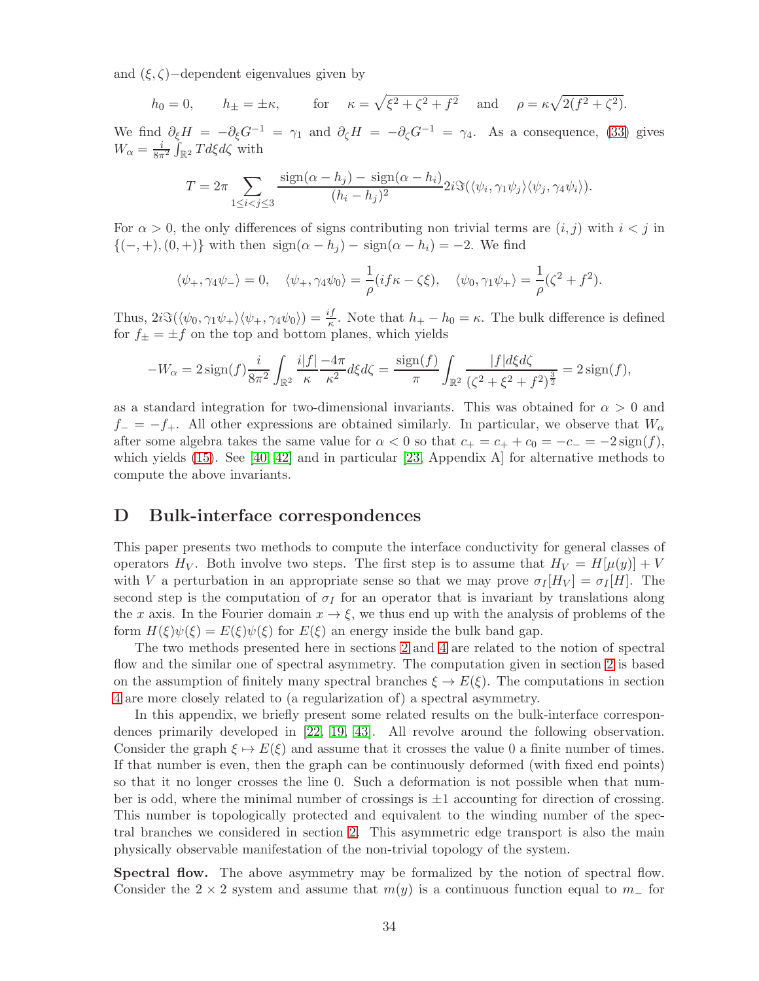and  $(\xi, \zeta)$  –dependent eigenvalues given by

$$
h_0 = 0
$$
,  $h_{\pm} = \pm \kappa$ , for  $\kappa = \sqrt{\xi^2 + \zeta^2 + f^2}$  and  $\rho = \kappa \sqrt{2(f^2 + \zeta^2)}$ .

We find  $\partial_{\xi}H = -\partial_{\xi}G^{-1} = \gamma_1$  and  $\partial_{\zeta}H = -\partial_{\zeta}G^{-1} = \gamma_4$ . As a consequence, [\(33\)](#page-31-1) gives  $W_{\alpha} = \frac{i}{8\pi^2} \int_{\mathbb{R}^2} T d\xi d\zeta$  with

$$
T = 2\pi \sum_{1 \leq i < j \leq 3} \frac{\text{sign}(\alpha - h_j) - \text{sign}(\alpha - h_i)}{(h_i - h_j)^2} 2i \Im(\langle \psi_i, \gamma_1 \psi_j \rangle \langle \psi_j, \gamma_4 \psi_i \rangle).
$$

For  $\alpha > 0$ , the only differences of signs contributing non trivial terms are  $(i, j)$  with  $i < j$  in  ${(-, +), (0, +)}$  with then  $sign(\alpha - h_i) - sign(\alpha - h_i) = -2$ . We find

$$
\langle \psi_+, \gamma_4 \psi_- \rangle = 0, \quad \langle \psi_+, \gamma_4 \psi_0 \rangle = \frac{1}{\rho} (i f \kappa - \zeta \xi), \quad \langle \psi_0, \gamma_1 \psi_+ \rangle = \frac{1}{\rho} (\zeta^2 + f^2).
$$

Thus,  $2i\Im(\langle\psi_0,\gamma_1\psi_+\rangle\langle\psi_+,\gamma_4\psi_0\rangle) = \frac{if}{\kappa}$ . Note that  $h_+ - h_0 = \kappa$ . The bulk difference is defined for  $f_{\pm} = \pm f$  on the top and bottom planes, which yields

$$
-W_{\alpha} = 2\operatorname{sign}(f)\frac{i}{8\pi^2} \int_{\mathbb{R}^2} \frac{i|f|}{\kappa} \frac{-4\pi}{\kappa^2} d\xi d\zeta = \frac{\operatorname{sign}(f)}{\pi} \int_{\mathbb{R}^2} \frac{|f|d\xi d\zeta}{(\zeta^2 + \xi^2 + f^2)^{\frac{3}{2}}} = 2\operatorname{sign}(f),
$$

as a standard integration for two-dimensional invariants. This was obtained for  $\alpha > 0$  and  $f_ - = -f_+$ . All other expressions are obtained similarly. In particular, we observe that  $W_\alpha$ after some algebra takes the same value for  $\alpha < 0$  so that  $c_+ = c_+ + c_0 = -c_- = -2 \text{sign}(f)$ , which yields [\(15\)](#page-8-0). See [\[40,](#page-38-2) [42\]](#page-38-3) and in particular [\[23,](#page-37-11) Appendix A] for alternative methods to compute the above invariants.

#### <span id="page-33-0"></span>D Bulk-interface correspondences

This paper presents two methods to compute the interface conductivity for general classes of operators  $H_V$ . Both involve two steps. The first step is to assume that  $H_V = H[\mu(y)] + V$ with V a perturbation in an appropriate sense so that we may prove  $\sigma_I[H_V] = \sigma_I[H]$ . The second step is the computation of  $\sigma_I$  for an operator that is invariant by translations along the x axis. In the Fourier domain  $x \to \xi$ , we thus end up with the analysis of problems of the form  $H(\xi)\psi(\xi) = E(\xi)\psi(\xi)$  for  $E(\xi)$  an energy inside the bulk band gap.

The two methods presented here in sections [2](#page-3-0) and [4](#page-9-0) are related to the notion of spectral flow and the similar one of spectral asymmetry. The computation given in section [2](#page-3-0) is based on the assumption of finitely many spectral branches  $\xi \to E(\xi)$ . The computations in section [4](#page-9-0) are more closely related to (a regularization of) a spectral asymmetry.

In this appendix, we briefly present some related results on the bulk-interface correspondences primarily developed in [\[22,](#page-37-8) [19,](#page-37-15) [43\]](#page-38-5). All revolve around the following observation. Consider the graph  $\xi \mapsto E(\xi)$  and assume that it crosses the value 0 a finite number of times. If that number is even, then the graph can be continuously deformed (with fixed end points) so that it no longer crosses the line 0. Such a deformation is not possible when that number is odd, where the minimal number of crossings is  $\pm 1$  accounting for direction of crossing. This number is topologically protected and equivalent to the winding number of the spectral branches we considered in section [2.](#page-3-0) This asymmetric edge transport is also the main physically observable manifestation of the non-trivial topology of the system.

Spectral flow. The above asymmetry may be formalized by the notion of spectral flow. Consider the 2 × 2 system and assume that  $m(y)$  is a continuous function equal to  $m_-\,$  for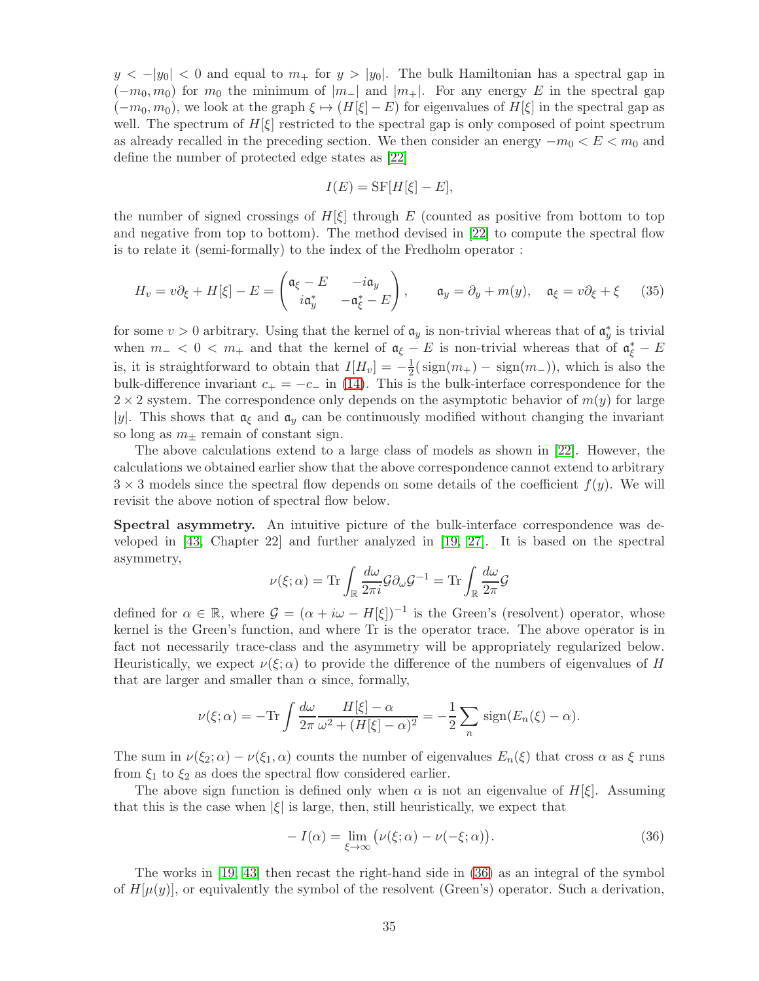$y < -|y_0| < 0$  and equal to  $m_+$  for  $y > |y_0|$ . The bulk Hamiltonian has a spectral gap in  $(-m_0, m_0)$  for  $m_0$  the minimum of  $|m_-|$  and  $|m_+|$ . For any energy E in the spectral gap  $(-m_0, m_0)$ , we look at the graph  $\xi \mapsto (H[\xi] - E)$  for eigenvalues of  $H[\xi]$  in the spectral gap as well. The spectrum of  $H[\xi]$  restricted to the spectral gap is only composed of point spectrum as already recalled in the preceding section. We then consider an energy  $-m_0 < E < m_0$  and define the number of protected edge states as [\[22\]](#page-37-8)

$$
I(E) = \mathrm{SF}[H[\xi] - E],
$$

the number of signed crossings of  $H[\xi]$  through E (counted as positive from bottom to top and negative from top to bottom). The method devised in [\[22\]](#page-37-8) to compute the spectral flow is to relate it (semi-formally) to the index of the Fredholm operator :

<span id="page-34-1"></span>
$$
H_v = v\partial_{\xi} + H[\xi] - E = \begin{pmatrix} \mathfrak{a}_{\xi} - E & -i\mathfrak{a}_y \\ i\mathfrak{a}_y^* & -\mathfrak{a}_{\xi}^* - E \end{pmatrix}, \qquad \mathfrak{a}_y = \partial_y + m(y), \quad \mathfrak{a}_{\xi} = v\partial_{\xi} + \xi \qquad (35)
$$

for some  $v > 0$  arbitrary. Using that the kernel of  $a_y$  is non-trivial whereas that of  $a_y^*$  is trivial when  $m_- < 0 < m_+$  and that the kernel of  $\mathfrak{a}_{\xi} - E$  is non-trivial whereas that of  $\mathfrak{a}_{\xi}^* - E$ is, it is straightforward to obtain that  $I[H_v] = -\frac{1}{2}$  $\frac{1}{2}(\text{sign}(m_+) - \text{sign}(m_-)),$  which is also the bulk-difference invariant  $c_+ = -c_-$  in [\(14\)](#page-8-2). This is the bulk-interface correspondence for the  $2 \times 2$  system. The correspondence only depends on the asymptotic behavior of  $m(y)$  for large |y|. This shows that  $\mathfrak{a}_{\xi}$  and  $\mathfrak{a}_y$  can be continuously modified without changing the invariant so long as  $m_{\pm}$  remain of constant sign.

The above calculations extend to a large class of models as shown in [\[22\]](#page-37-8). However, the calculations we obtained earlier show that the above correspondence cannot extend to arbitrary  $3 \times 3$  models since the spectral flow depends on some details of the coefficient  $f(y)$ . We will revisit the above notion of spectral flow below.

Spectral asymmetry. An intuitive picture of the bulk-interface correspondence was developed in [\[43,](#page-38-5) Chapter 22] and further analyzed in [\[19,](#page-37-15) [27\]](#page-38-4). It is based on the spectral asymmetry,

$$
\nu(\xi;\alpha) = \text{Tr} \int_{\mathbb{R}} \frac{d\omega}{2\pi i} \mathcal{G} \partial_{\omega} \mathcal{G}^{-1} = \text{Tr} \int_{\mathbb{R}} \frac{d\omega}{2\pi} \mathcal{G}
$$

defined for  $\alpha \in \mathbb{R}$ , where  $\mathcal{G} = (\alpha + i\omega - H[\xi])^{-1}$  is the Green's (resolvent) operator, whose kernel is the Green's function, and where Tr is the operator trace. The above operator is in fact not necessarily trace-class and the asymmetry will be appropriately regularized below. Heuristically, we expect  $\nu(\xi;\alpha)$  to provide the difference of the numbers of eigenvalues of H that are larger and smaller than  $\alpha$  since, formally,

$$
\nu(\xi;\alpha) = -\text{Tr}\int \frac{d\omega}{2\pi} \frac{H[\xi] - \alpha}{\omega^2 + (H[\xi] - \alpha)^2} = -\frac{1}{2} \sum_n \text{sign}(E_n(\xi) - \alpha).
$$

The sum in  $\nu(\xi_2; \alpha) - \nu(\xi_1, \alpha)$  counts the number of eigenvalues  $E_n(\xi)$  that cross  $\alpha$  as  $\xi$  runs from  $\xi_1$  to  $\xi_2$  as does the spectral flow considered earlier.

The above sign function is defined only when  $\alpha$  is not an eigenvalue of  $H[\xi]$ . Assuming that this is the case when  $|\xi|$  is large, then, still heuristically, we expect that

<span id="page-34-0"></span>
$$
-I(\alpha) = \lim_{\xi \to \infty} \left( \nu(\xi; \alpha) - \nu(-\xi; \alpha) \right). \tag{36}
$$

The works in [\[19,](#page-37-15) [43\]](#page-38-5) then recast the right-hand side in [\(36\)](#page-34-0) as an integral of the symbol of  $H[\mu(y)]$ , or equivalently the symbol of the resolvent (Green's) operator. Such a derivation,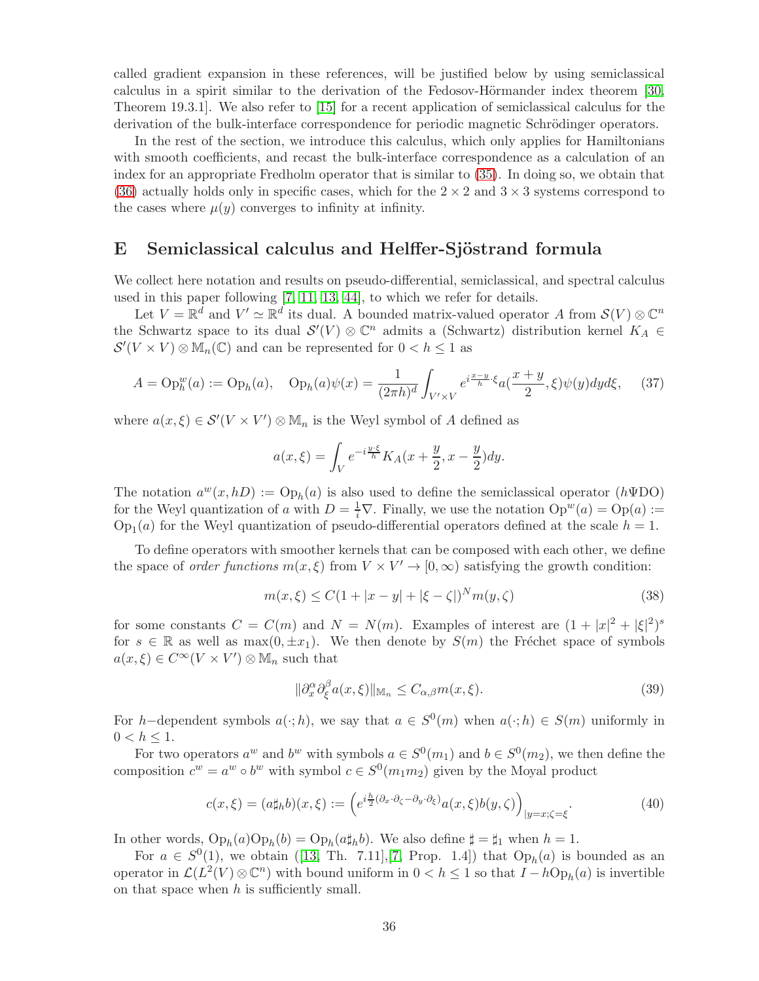called gradient expansion in these references, will be justified below by using semiclassical calculus in a spirit similar to the derivation of the Fedosov-Hörmander index theorem  $[30,$ Theorem 19.3.1]. We also refer to [\[15\]](#page-37-5) for a recent application of semiclassical calculus for the derivation of the bulk-interface correspondence for periodic magnetic Schrödinger operators.

In the rest of the section, we introduce this calculus, which only applies for Hamiltonians with smooth coefficients, and recast the bulk-interface correspondence as a calculation of an index for an appropriate Fredholm operator that is similar to [\(35\)](#page-34-1). In doing so, we obtain that [\(36\)](#page-34-0) actually holds only in specific cases, which for the  $2 \times 2$  and  $3 \times 3$  systems correspond to the cases where  $\mu(y)$  converges to infinity at infinity.

#### <span id="page-35-0"></span>E Semiclassical calculus and Helffer-Sjöstrand formula

We collect here notation and results on pseudo-differential, semiclassical, and spectral calculus used in this paper following [\[7,](#page-37-16) [11,](#page-37-9) [13,](#page-37-10) [44\]](#page-38-18), to which we refer for details.

Let  $V = \mathbb{R}^d$  and  $V' \simeq \mathbb{R}^d$  its dual. A bounded matrix-valued operator A from  $\mathcal{S}(V) \otimes \mathbb{C}^n$ the Schwartz space to its dual  $\mathcal{S}'(V) \otimes \mathbb{C}^n$  admits a (Schwartz) distribution kernel  $K_A \in$  $\mathcal{S}'(V \times V) \otimes \mathbb{M}_n(\mathbb{C})$  and can be represented for  $0 < h \leq 1$  as

$$
A = \text{Op}_{h}^{w}(a) := \text{Op}_{h}(a), \quad \text{Op}_{h}(a)\psi(x) = \frac{1}{(2\pi h)^{d}}\int_{V' \times V} e^{i\frac{x-y}{h}\cdot\xi}a(\frac{x+y}{2}, \xi)\psi(y)dyd\xi, \quad (37)
$$

where  $a(x,\xi) \in \mathcal{S}'(V \times V') \otimes \mathbb{M}_n$  is the Weyl symbol of A defined as

$$
a(x,\xi) = \int_{V} e^{-i\frac{y\cdot\xi}{h}} K_{A}(x + \frac{y}{2}, x - \frac{y}{2}) dy.
$$

The notation  $a^w(x, hD) := \text{Op}_h(a)$  is also used to define the semiclassical operator  $(h\Psi DO)$ for the Weyl quantization of a with  $D = \frac{1}{i} \nabla$ . Finally, we use the notation  $Op^{w}(a) = Op(a) :=$  $Op<sub>1</sub>(a)$  for the Weyl quantization of pseudo-differential operators defined at the scale  $h = 1$ .

To define operators with smoother kernels that can be composed with each other, we define the space of *order functions*  $m(x, \xi)$  from  $V \times V' \rightarrow [0, \infty)$  satisfying the growth condition:

$$
m(x,\xi) \le C(1+|x-y|+|\xi-\zeta|)^N m(y,\zeta)
$$
\n(38)

for some constants  $C = C(m)$  and  $N = N(m)$ . Examples of interest are  $(1 + |x|^2 + |\xi|^2)^s$ for  $s \in \mathbb{R}$  as well as max $(0, \pm x_1)$ . We then denote by  $S(m)$  the Fréchet space of symbols  $a(x,\xi) \in C^{\infty}(V \times V') \otimes \mathbb{M}_n$  such that

$$
\|\partial_x^{\alpha}\partial_{\xi}^{\beta}a(x,\xi)\|_{\mathbb{M}_n} \le C_{\alpha,\beta}m(x,\xi). \tag{39}
$$

For h-dependent symbols  $a(\cdot; h)$ , we say that  $a \in S^0(m)$  when  $a(\cdot; h) \in S(m)$  uniformly in  $0 < h \leq 1$ .

For two operators  $a^w$  and  $b^w$  with symbols  $a \in S^0(m_1)$  and  $b \in S^0(m_2)$ , we then define the composition  $c^w = a^w \circ b^w$  with symbol  $c \in S^0(m_1m_2)$  given by the Moyal product

$$
c(x,\xi) = (a\sharp_h b)(x,\xi) := \left(e^{i\frac{h}{2}(\partial_x \cdot \partial_\zeta - \partial_y \cdot \partial_\xi)} a(x,\xi) b(y,\zeta)\right)_{|y=x;\zeta=\xi}.
$$
\n(40)

In other words,  $Op_h(a)Op_h(b) = Op_h(a\sharp_h b)$ . We also define  $\sharp = \sharp_1$  when  $h = 1$ .

For $a \in S^0(1)$ , we obtain ([\[13,](#page-37-10) Th. 7.11],[\[7,](#page-37-16) Prop. 1.4]) that  $Op_h(a)$  is bounded as an operator in  $\mathcal{L}(L^2(V)\otimes \mathbb{C}^n)$  with bound uniform in  $0 < h \leq 1$  so that  $I - hOp_h(a)$  is invertible on that space when  $h$  is sufficiently small.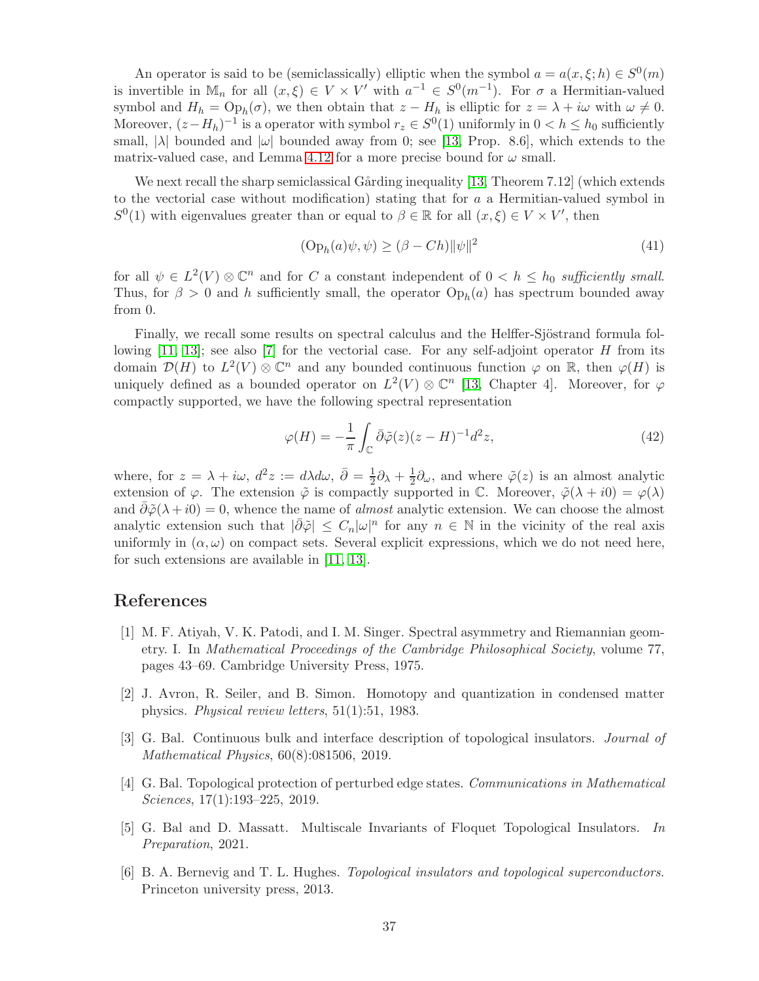An operator is said to be (semiclassically) elliptic when the symbol  $a = a(x, \xi; h) \in S^0(m)$ is invertible in  $\mathbb{M}_n$  for all  $(x,\xi) \in V \times V'$  with  $a^{-1} \in S^0(m^{-1})$ . For  $\sigma$  a Hermitian-valued symbol and  $H_h = \text{Op}_h(\sigma)$ , we then obtain that  $z - H_h$  is elliptic for  $z = \lambda + i\omega$  with  $\omega \neq 0$ . Moreover,  $(z - H_h)^{-1}$  is a operator with symbol  $r_z \in S^0(1)$  uniformly in  $0 < h \le h_0$  sufficiently small,  $|\lambda|$  bounded and  $|\omega|$  bounded away from 0; see [\[13,](#page-37-10) Prop. 8.6], which extends to the matrix-valued case, and Lemma [4.12](#page-18-2) for a more precise bound for  $\omega$  small.

We next recall the sharp semiclassical Gårding inequality [\[13,](#page-37-10) Theorem 7.12] (which extends to the vectorial case without modification) stating that for  $a$  a Hermitian-valued symbol in  $S^0(1)$  with eigenvalues greater than or equal to  $\beta \in \mathbb{R}$  for all  $(x,\xi) \in V \times V'$ , then

<span id="page-36-6"></span>
$$
(\text{Op}_h(a)\psi, \psi) \ge (\beta - Ch) \|\psi\|^2 \tag{41}
$$

for all  $\psi \in L^2(V) \otimes \mathbb{C}^n$  and for C a constant independent of  $0 < h \leq h_0$  sufficiently small. Thus, for  $\beta > 0$  and h sufficiently small, the operator  $Op_h(a)$  has spectrum bounded away from 0.

Finally, we recall some results on spectral calculus and the Helffer-Sjöstrand formula following  $[11, 13]$  $[11, 13]$ ; see also  $[7]$  for the vectorial case. For any self-adjoint operator H from its domain  $\mathcal{D}(H)$  to  $L^2(V) \otimes \mathbb{C}^n$  and any bounded continuous function  $\varphi$  on  $\mathbb{R}$ , then  $\varphi(H)$  is uniquely defined as a bounded operator on  $L^2(V) \otimes \mathbb{C}^n$  [\[13,](#page-37-10) Chapter 4]. Moreover, for  $\varphi$ compactly supported, we have the following spectral representation

<span id="page-36-5"></span>
$$
\varphi(H) = -\frac{1}{\pi} \int_{\mathbb{C}} \bar{\partial}\tilde{\varphi}(z)(z - H)^{-1} d^2 z,\tag{42}
$$

where, for  $z = \lambda + i\omega$ ,  $d^2z := d\lambda d\omega$ ,  $\overline{\partial} = \frac{1}{2}$  $\frac{1}{2}\partial_{\lambda}+\frac{1}{2}$  $\frac{1}{2}\partial_{\omega}$ , and where  $\tilde{\varphi}(z)$  is an almost analytic extension of  $\varphi$ . The extension  $\tilde{\varphi}$  is compactly supported in  $\mathbb{C}$ . Moreover,  $\tilde{\varphi}(\lambda + i0) = \varphi(\lambda)$ and  $\partial \tilde{\varphi}(\lambda + i0) = 0$ , whence the name of *almost* analytic extension. We can choose the almost analytic extension such that  $|\bar{\partial}\tilde{\varphi}| \leq C_n |\omega|^n$  for any  $n \in \mathbb{N}$  in the vicinity of the real axis uniformly in  $(\alpha, \omega)$  on compact sets. Several explicit expressions, which we do not need here, for such extensions are available in [\[11,](#page-37-9) [13\]](#page-37-10).

#### <span id="page-36-4"></span>References

- [1] M. F. Atiyah, V. K. Patodi, and I. M. Singer. Spectral asymmetry and Riemannian geometry. I. In Mathematical Proceedings of the Cambridge Philosophical Society, volume 77, pages 43–69. Cambridge University Press, 1975.
- <span id="page-36-3"></span>[2] J. Avron, R. Seiler, and B. Simon. Homotopy and quantization in condensed matter physics. Physical review letters, 51(1):51, 1983.
- <span id="page-36-1"></span>[3] G. Bal. Continuous bulk and interface description of topological insulators. Journal of Mathematical Physics, 60(8):081506, 2019.
- <span id="page-36-2"></span>[4] G. Bal. Topological protection of perturbed edge states. Communications in Mathematical Sciences, 17(1):193–225, 2019.
- <span id="page-36-7"></span>[5] G. Bal and D. Massatt. Multiscale Invariants of Floquet Topological Insulators. In Preparation, 2021.
- <span id="page-36-0"></span>[6] B. A. Bernevig and T. L. Hughes. Topological insulators and topological superconductors. Princeton university press, 2013.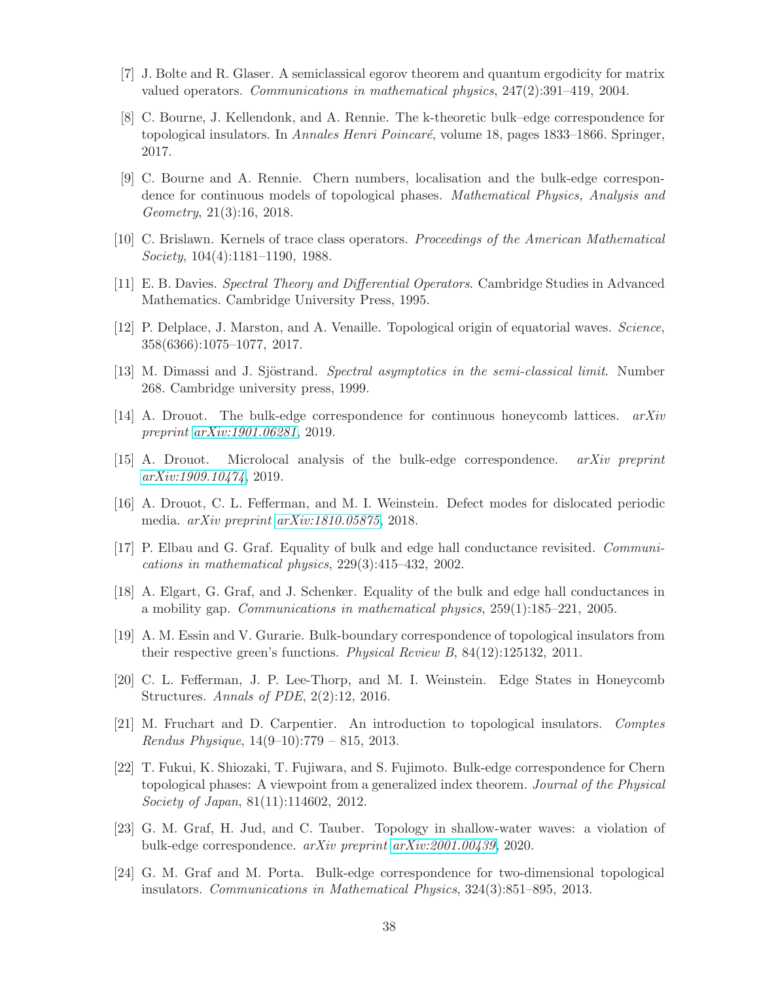- <span id="page-37-16"></span><span id="page-37-12"></span>[7] J. Bolte and R. Glaser. A semiclassical egorov theorem and quantum ergodicity for matrix valued operators. Communications in mathematical physics, 247(2):391–419, 2004.
- [8] C. Bourne, J. Kellendonk, and A. Rennie. The k-theoretic bulk–edge correspondence for topological insulators. In Annales Henri Poincaré, volume 18, pages 1833–1866. Springer, 2017.
- <span id="page-37-13"></span>[9] C. Bourne and A. Rennie. Chern numbers, localisation and the bulk-edge correspondence for continuous models of topological phases. Mathematical Physics, Analysis and Geometry, 21(3):16, 2018.
- <span id="page-37-17"></span><span id="page-37-9"></span>[10] C. Brislawn. Kernels of trace class operators. Proceedings of the American Mathematical Society, 104(4):1181–1190, 1988.
- <span id="page-37-1"></span>[11] E. B. Davies. Spectral Theory and Differential Operators. Cambridge Studies in Advanced Mathematics. Cambridge University Press, 1995.
- <span id="page-37-10"></span>[12] P. Delplace, J. Marston, and A. Venaille. Topological origin of equatorial waves. Science, 358(6366):1075–1077, 2017.
- <span id="page-37-2"></span>[13] M. Dimassi and J. Sjöstrand. *Spectral asymptotics in the semi-classical limit*. Number 268. Cambridge university press, 1999.
- <span id="page-37-5"></span>[14] A. Drouot. The bulk-edge correspondence for continuous honeycomb lattices. arXiv preprint [arXiv:1901.06281](http://arxiv.org/abs/1901.06281), 2019.
- <span id="page-37-3"></span>[15] A. Drouot. Microlocal analysis of the bulk-edge correspondence. arXiv preprint [arXiv:1909.10474](http://arxiv.org/abs/1909.10474), 2019.
- <span id="page-37-6"></span>[16] A. Drouot, C. L. Fefferman, and M. I. Weinstein. Defect modes for dislocated periodic media. arXiv preprint [arXiv:1810.05875](http://arxiv.org/abs/1810.05875), 2018.
- <span id="page-37-7"></span>[17] P. Elbau and G. Graf. Equality of bulk and edge hall conductance revisited. Communications in mathematical physics, 229(3):415–432, 2002.
- [18] A. Elgart, G. Graf, and J. Schenker. Equality of the bulk and edge hall conductances in a mobility gap. Communications in mathematical physics, 259(1):185–221, 2005.
- <span id="page-37-15"></span>[19] A. M. Essin and V. Gurarie. Bulk-boundary correspondence of topological insulators from their respective green's functions. Physical Review B, 84(12):125132, 2011.
- <span id="page-37-4"></span>[20] C. L. Fefferman, J. P. Lee-Thorp, and M. I. Weinstein. Edge States in Honeycomb Structures. Annals of PDE, 2(2):12, 2016.
- <span id="page-37-0"></span>[21] M. Fruchart and D. Carpentier. An introduction to topological insulators. Comptes Rendus Physique, 14(9–10):779 – 815, 2013.
- <span id="page-37-8"></span>[22] T. Fukui, K. Shiozaki, T. Fujiwara, and S. Fujimoto. Bulk-edge correspondence for Chern topological phases: A viewpoint from a generalized index theorem. Journal of the Physical Society of Japan, 81(11):114602, 2012.
- <span id="page-37-14"></span><span id="page-37-11"></span>[23] G. M. Graf, H. Jud, and C. Tauber. Topology in shallow-water waves: a violation of bulk-edge correspondence. arXiv preprint [arXiv:2001.00439](http://arxiv.org/abs/2001.00439), 2020.
- [24] G. M. Graf and M. Porta. Bulk-edge correspondence for two-dimensional topological insulators. Communications in Mathematical Physics, 324(3):851–895, 2013.